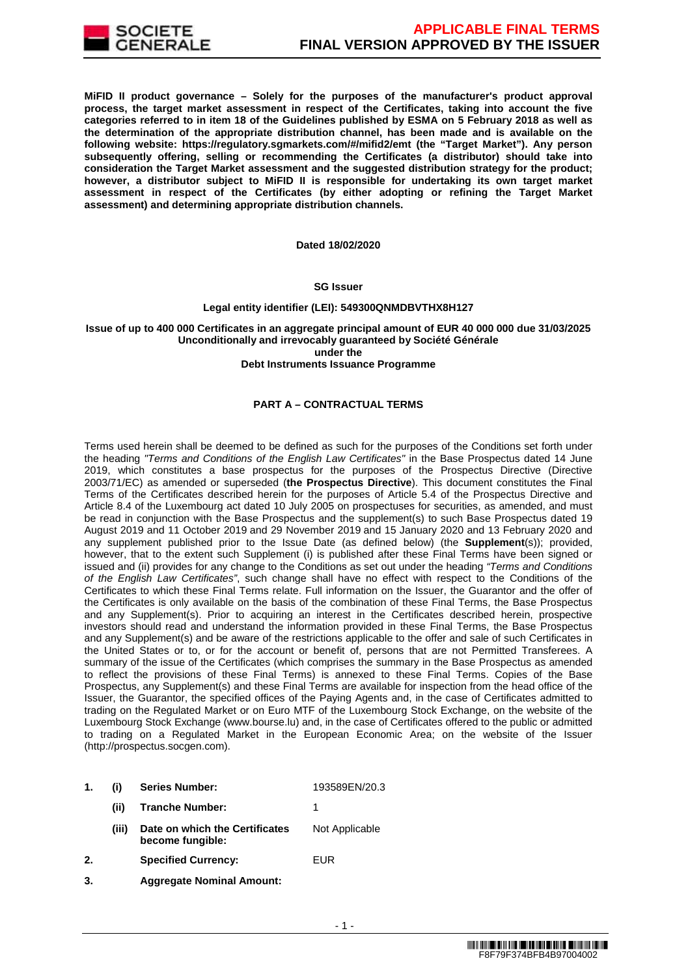

**MiFID II product governance – Solely for the purposes of the manufacturer's product approval process, the target market assessment in respect of the Certificates, taking into account the five categories referred to in item 18 of the Guidelines published by ESMA on 5 February 2018 as well as the determination of the appropriate distribution channel, has been made and is available on the following website: https://regulatory.sgmarkets.com/#/mifid2/emt (the "Target Market"). Any person subsequently offering, selling or recommending the Certificates (a distributor) should take into consideration the Target Market assessment and the suggested distribution strategy for the product; however, a distributor subject to MiFID II is responsible for undertaking its own target market assessment in respect of the Certificates (by either adopting or refining the Target Market assessment) and determining appropriate distribution channels.**

#### **Dated 18/02/2020**

#### **SG Issuer**

## **Legal entity identifier (LEI): 549300QNMDBVTHX8H127**

### **Issue of up to 400 000 Certificates in an aggregate principal amount of EUR 40 000 000 due 31/03/2025 Unconditionally and irrevocably guaranteed by Société Générale under the**

#### **Debt Instruments Issuance Programme**

## **PART A – CONTRACTUAL TERMS**

Terms used herein shall be deemed to be defined as such for the purposes of the Conditions set forth under the heading "Terms and Conditions of the English Law Certificates" in the Base Prospectus dated 14 June 2019, which constitutes a base prospectus for the purposes of the Prospectus Directive (Directive 2003/71/EC) as amended or superseded (**the Prospectus Directive**). This document constitutes the Final Terms of the Certificates described herein for the purposes of Article 5.4 of the Prospectus Directive and Article 8.4 of the Luxembourg act dated 10 July 2005 on prospectuses for securities, as amended, and must be read in conjunction with the Base Prospectus and the supplement(s) to such Base Prospectus dated 19 August 2019 and 11 October 2019 and 29 November 2019 and 15 January 2020 and 13 February 2020 and any supplement published prior to the Issue Date (as defined below) (the **Supplement**(s)); provided, however, that to the extent such Supplement (i) is published after these Final Terms have been signed or issued and (ii) provides for any change to the Conditions as set out under the heading "Terms and Conditions of the English Law Certificates", such change shall have no effect with respect to the Conditions of the Certificates to which these Final Terms relate. Full information on the Issuer, the Guarantor and the offer of the Certificates is only available on the basis of the combination of these Final Terms, the Base Prospectus and any Supplement(s). Prior to acquiring an interest in the Certificates described herein, prospective investors should read and understand the information provided in these Final Terms, the Base Prospectus and any Supplement(s) and be aware of the restrictions applicable to the offer and sale of such Certificates in the United States or to, or for the account or benefit of, persons that are not Permitted Transferees. A summary of the issue of the Certificates (which comprises the summary in the Base Prospectus as amended to reflect the provisions of these Final Terms) is annexed to these Final Terms. Copies of the Base Prospectus, any Supplement(s) and these Final Terms are available for inspection from the head office of the Issuer, the Guarantor, the specified offices of the Paying Agents and, in the case of Certificates admitted to trading on the Regulated Market or on Euro MTF of the Luxembourg Stock Exchange, on the website of the Luxembourg Stock Exchange (www.bourse.lu) and, in the case of Certificates offered to the public or admitted to trading on a Regulated Market in the European Economic Area; on the website of the Issuer (http://prospectus.socgen.com).

- **1. (i) Series Number:** 193589EN/20.3
	- **(ii) Tranche Number:** 1
		- **(iii) Date on which the Certificates become fungible:** Not Applicable
- **2. Specified Currency:** EUR
- **3. Aggregate Nominal Amount:**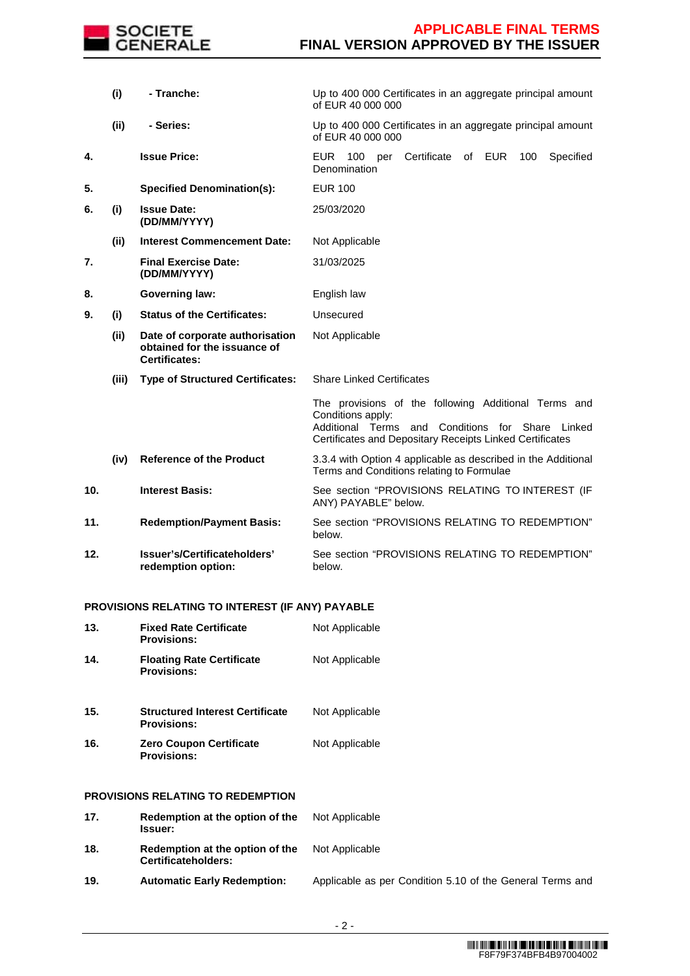

|     | (i)   | - Tranche:                                                                              | Up to 400 000 Certificates in an aggregate principal amount<br>of EUR 40 000 000                                                                                                                |  |  |
|-----|-------|-----------------------------------------------------------------------------------------|-------------------------------------------------------------------------------------------------------------------------------------------------------------------------------------------------|--|--|
|     | (ii)  | - Series:                                                                               | Up to 400 000 Certificates in an aggregate principal amount<br>of EUR 40 000 000                                                                                                                |  |  |
| 4.  |       | <b>Issue Price:</b>                                                                     | Certificate<br><b>EUR</b><br>100<br>of EUR<br>100<br>Specified<br>per<br>Denomination                                                                                                           |  |  |
| 5.  |       | <b>Specified Denomination(s):</b>                                                       | <b>EUR 100</b>                                                                                                                                                                                  |  |  |
| 6.  | (i)   | <b>Issue Date:</b><br>(DD/MM/YYYY)                                                      | 25/03/2020                                                                                                                                                                                      |  |  |
|     | (ii)  | <b>Interest Commencement Date:</b>                                                      | Not Applicable                                                                                                                                                                                  |  |  |
| 7.  |       | <b>Final Exercise Date:</b><br>(DD/MM/YYYY)                                             | 31/03/2025                                                                                                                                                                                      |  |  |
| 8.  |       | <b>Governing law:</b>                                                                   | English law                                                                                                                                                                                     |  |  |
| 9.  | (i)   | <b>Status of the Certificates:</b>                                                      | Unsecured                                                                                                                                                                                       |  |  |
|     | (ii)  | Date of corporate authorisation<br>obtained for the issuance of<br><b>Certificates:</b> | Not Applicable                                                                                                                                                                                  |  |  |
|     | (iii) | <b>Type of Structured Certificates:</b>                                                 | <b>Share Linked Certificates</b>                                                                                                                                                                |  |  |
|     |       |                                                                                         | The provisions of the following Additional Terms and<br>Conditions apply:<br>Additional Terms<br>and Conditions for Share<br>Linked<br>Certificates and Depositary Receipts Linked Certificates |  |  |
|     | (iv)  | <b>Reference of the Product</b>                                                         | 3.3.4 with Option 4 applicable as described in the Additional<br>Terms and Conditions relating to Formulae                                                                                      |  |  |
| 10. |       | <b>Interest Basis:</b>                                                                  | See section "PROVISIONS RELATING TO INTEREST (IF<br>ANY) PAYABLE" below.                                                                                                                        |  |  |
| 11. |       | <b>Redemption/Payment Basis:</b>                                                        | See section "PROVISIONS RELATING TO REDEMPTION"<br>below.                                                                                                                                       |  |  |
| 12. |       | Issuer's/Certificateholders'<br>redemption option:                                      | See section "PROVISIONS RELATING TO REDEMPTION"<br>below.                                                                                                                                       |  |  |

## **PROVISIONS RELATING TO INTEREST (IF ANY) PAYABLE**

| 13. | <b>Fixed Rate Certificate</b><br><b>Provisions:</b>          | Not Applicable |
|-----|--------------------------------------------------------------|----------------|
| 14. | <b>Floating Rate Certificate</b><br><b>Provisions:</b>       | Not Applicable |
| 15. | <b>Structured Interest Certificate</b><br><b>Provisions:</b> | Not Applicable |
| 16. | <b>Zero Coupon Certificate</b><br><b>Provisions:</b>         | Not Applicable |
|     | PROVISIONS RELATING TO REDEMPTION                            |                |
| 17. | Redemption at the option of the<br><b>Issuer:</b>            | Not Applicable |
| 18. | Redemption at the option of the<br>Certificateholders:       | Not Applicable |

**19. Automatic Early Redemption:** Applicable as per Condition 5.10 of the General Terms and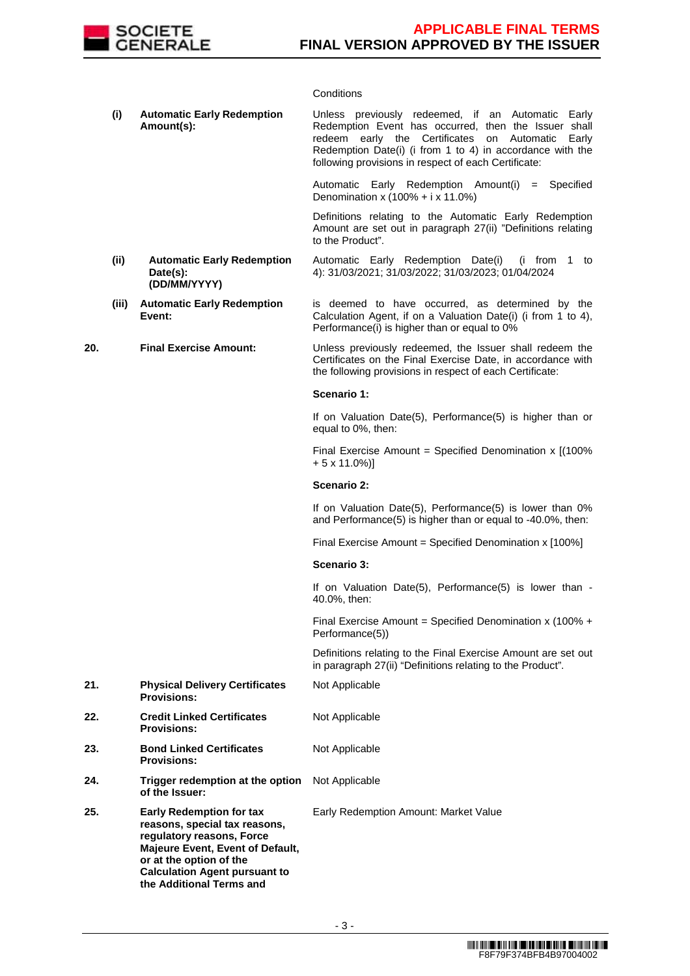

## **Conditions**

|     | (i)   | <b>Automatic Early Redemption</b><br>Amount(s):                                                                                                                                                                                  | Unless previously redeemed, if an Automatic Early<br>Redemption Event has occurred, then the Issuer shall<br>redeem early the Certificates on Automatic<br>Early<br>Redemption Date(i) (i from 1 to 4) in accordance with the<br>following provisions in respect of each Certificate: |
|-----|-------|----------------------------------------------------------------------------------------------------------------------------------------------------------------------------------------------------------------------------------|---------------------------------------------------------------------------------------------------------------------------------------------------------------------------------------------------------------------------------------------------------------------------------------|
|     |       |                                                                                                                                                                                                                                  | Automatic Early Redemption Amount(i) = Specified<br>Denomination x $(100% + i x 11.0%)$                                                                                                                                                                                               |
|     |       |                                                                                                                                                                                                                                  | Definitions relating to the Automatic Early Redemption<br>Amount are set out in paragraph 27(ii) "Definitions relating<br>to the Product".                                                                                                                                            |
|     | (ii)  | <b>Automatic Early Redemption</b><br>Date(s):<br>(DD/MM/YYYY)                                                                                                                                                                    | Automatic Early Redemption Date(i)<br>(i from 1 to<br>4): 31/03/2021; 31/03/2022; 31/03/2023; 01/04/2024                                                                                                                                                                              |
|     | (iii) | <b>Automatic Early Redemption</b><br>Event:                                                                                                                                                                                      | is deemed to have occurred, as determined by the<br>Calculation Agent, if on a Valuation Date(i) (i from 1 to 4),<br>Performance(i) is higher than or equal to 0%                                                                                                                     |
| 20. |       | <b>Final Exercise Amount:</b>                                                                                                                                                                                                    | Unless previously redeemed, the Issuer shall redeem the<br>Certificates on the Final Exercise Date, in accordance with<br>the following provisions in respect of each Certificate:                                                                                                    |
|     |       |                                                                                                                                                                                                                                  | Scenario 1:                                                                                                                                                                                                                                                                           |
|     |       |                                                                                                                                                                                                                                  | If on Valuation Date(5), Performance(5) is higher than or<br>equal to 0%, then:                                                                                                                                                                                                       |
|     |       |                                                                                                                                                                                                                                  | Final Exercise Amount = Specified Denomination $x$ [(100%<br>$+5 \times 11.0\%)$                                                                                                                                                                                                      |
|     |       |                                                                                                                                                                                                                                  | Scenario 2:                                                                                                                                                                                                                                                                           |
|     |       |                                                                                                                                                                                                                                  | If on Valuation Date(5), Performance(5) is lower than 0%<br>and Performance(5) is higher than or equal to -40.0%, then:                                                                                                                                                               |
|     |       |                                                                                                                                                                                                                                  | Final Exercise Amount = Specified Denomination x [100%]                                                                                                                                                                                                                               |
|     |       |                                                                                                                                                                                                                                  | Scenario 3:                                                                                                                                                                                                                                                                           |
|     |       |                                                                                                                                                                                                                                  | If on Valuation Date(5), Performance(5) is lower than -<br>40.0%, then:                                                                                                                                                                                                               |
|     |       |                                                                                                                                                                                                                                  | Final Exercise Amount = Specified Denomination x (100% +<br>Performance(5))                                                                                                                                                                                                           |
|     |       |                                                                                                                                                                                                                                  | Definitions relating to the Final Exercise Amount are set out<br>in paragraph 27(ii) "Definitions relating to the Product".                                                                                                                                                           |
| 21. |       | <b>Physical Delivery Certificates</b><br><b>Provisions:</b>                                                                                                                                                                      | Not Applicable                                                                                                                                                                                                                                                                        |
| 22. |       | <b>Credit Linked Certificates</b><br><b>Provisions:</b>                                                                                                                                                                          | Not Applicable                                                                                                                                                                                                                                                                        |
| 23. |       | <b>Bond Linked Certificates</b><br><b>Provisions:</b>                                                                                                                                                                            | Not Applicable                                                                                                                                                                                                                                                                        |
| 24. |       | Trigger redemption at the option<br>of the Issuer:                                                                                                                                                                               | Not Applicable                                                                                                                                                                                                                                                                        |
| 25. |       | <b>Early Redemption for tax</b><br>reasons, special tax reasons,<br>regulatory reasons, Force<br>Majeure Event, Event of Default,<br>or at the option of the<br><b>Calculation Agent pursuant to</b><br>the Additional Terms and | Early Redemption Amount: Market Value                                                                                                                                                                                                                                                 |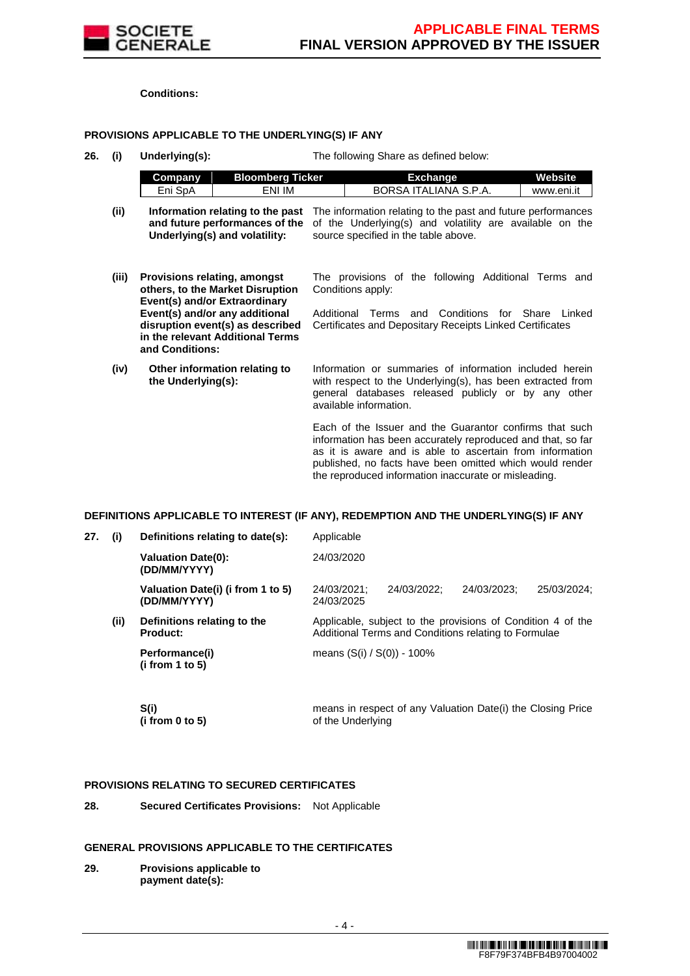

**Conditions:**

## **PROVISIONS APPLICABLE TO THE UNDERLYING(S) IF ANY**

**26. (i) Underlying(s):** The following Share as defined below:

|       | Company            | <b>Bloomberg Ticker</b>                                                                                                                                                                                     |            | <b>Exchange</b>                                                                                                                                                                                                                                                                                        | Website    |
|-------|--------------------|-------------------------------------------------------------------------------------------------------------------------------------------------------------------------------------------------------------|------------|--------------------------------------------------------------------------------------------------------------------------------------------------------------------------------------------------------------------------------------------------------------------------------------------------------|------------|
|       | Eni SpA            | ENI IM                                                                                                                                                                                                      |            | BORSA ITALIANA S.P.A.                                                                                                                                                                                                                                                                                  | www.eni.it |
| (ii)  |                    | Information relating to the past<br>and future performances of the<br>Underlying(s) and volatility:                                                                                                         |            | The information relating to the past and future performances<br>of the Underlying(s) and volatility are available on the<br>source specified in the table above.                                                                                                                                       |            |
| (iii) | and Conditions:    | Provisions relating, amongst<br>others, to the Market Disruption<br>Event(s) and/or Extraordinary<br>Event(s) and/or any additional<br>disruption event(s) as described<br>in the relevant Additional Terms | Additional | The provisions of the following Additional Terms and<br>Conditions apply:<br>Conditions for Share<br>Terms and<br>Certificates and Depositary Receipts Linked Certificates                                                                                                                             | Linked     |
| (iv)  | the Underlying(s): | Other information relating to                                                                                                                                                                               |            | Information or summaries of information included herein<br>with respect to the Underlying(s), has been extracted from<br>general databases released publicly or by any other<br>available information.                                                                                                 |            |
|       |                    |                                                                                                                                                                                                             |            | Each of the Issuer and the Guarantor confirms that such<br>information has been accurately reproduced and that, so far<br>as it is aware and is able to ascertain from information<br>published, no facts have been omitted which would render<br>the reproduced information inaccurate or misleading. |            |

## **DEFINITIONS APPLICABLE TO INTEREST (IF ANY), REDEMPTION AND THE UNDERLYING(S) IF ANY**

| 27. | $\mathbf{u}$ | Definitions relating to date(s):                  | Applicable                    |                                                                                                                     |             |             |
|-----|--------------|---------------------------------------------------|-------------------------------|---------------------------------------------------------------------------------------------------------------------|-------------|-------------|
|     |              | <b>Valuation Date(0):</b><br>(DD/MM/YYYY)         | 24/03/2020                    |                                                                                                                     |             |             |
|     |              | Valuation Date(i) (i from 1 to 5)<br>(DD/MM/YYYY) | 24/03/2021;<br>24/03/2025     | 24/03/2022:                                                                                                         | 24/03/2023: | 25/03/2024: |
|     | (ii)         | Definitions relating to the<br>Product:           |                               | Applicable, subject to the provisions of Condition 4 of the<br>Additional Terms and Conditions relating to Formulae |             |             |
|     |              | Performance(i)<br>(i from 1 to 5)                 | means $(S(i) / S(0)) - 100\%$ |                                                                                                                     |             |             |
|     |              |                                                   |                               |                                                                                                                     |             |             |

 **S(i) (i from 0 to 5)**  means in respect of any Valuation Date(i) the Closing Price of the Underlying

## **PROVISIONS RELATING TO SECURED CERTIFICATES**

**28. Secured Certificates Provisions:** Not Applicable

## **GENERAL PROVISIONS APPLICABLE TO THE CERTIFICATES**

**29. Provisions applicable to payment date(s):**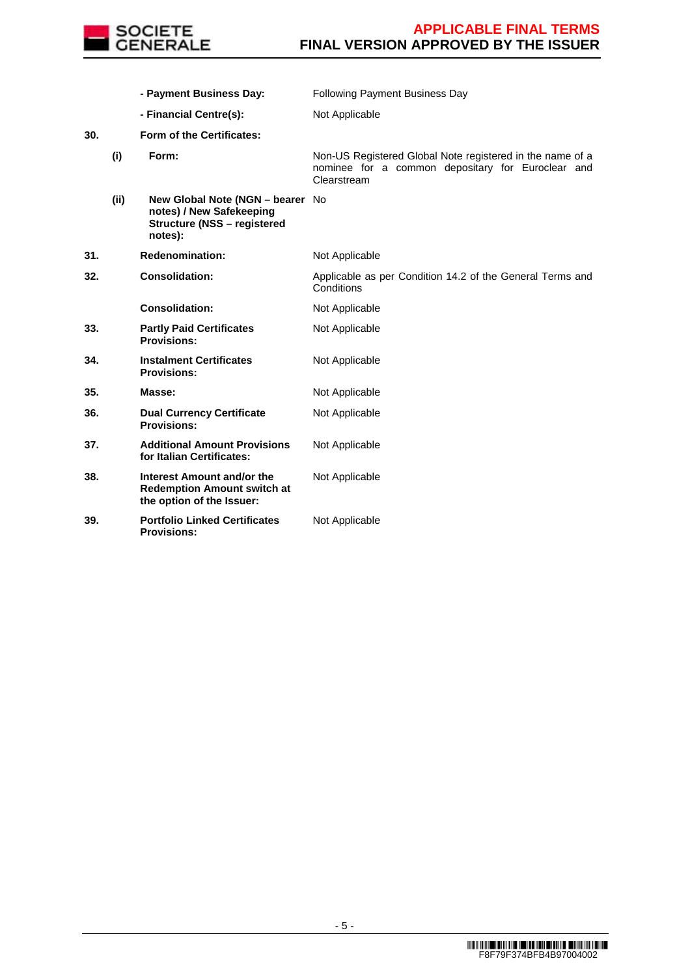

**for Italian Certificates:**

**Redemption Amount switch at the option of the Issuer:**

**38. Interest Amount and/or the** 

**39. Portfolio Linked Certificates Provisions:**

 **- Payment Business Day:** Following Payment Business Day **- Financial Centre(s):** Not Applicable **30. Form of the Certificates: (i) Form:** Non-US Registered Global Note registered in the name of a nominee for a common depositary for Euroclear and Clearstream **(ii) New Global Note (NGN – bearer**  No **notes) / New Safekeeping Structure (NSS – registered notes): 31. Redenomination:** Not Applicable **32. Consolidation:** Applicable as per Condition 14.2 of the General Terms and **Conditions Consolidation:** Not Applicable **33. Partly Paid Certificates Provisions:** Not Applicable **34. Instalment Certificates Provisions:** Not Applicable **35. Masse: Masse:** Not Applicable **36. Dual Currency Certificate Provisions:** Not Applicable **37. Additional Amount Provisions**  Not Applicable

Not Applicable

Not Applicable

F8F79F374BFB4B97004002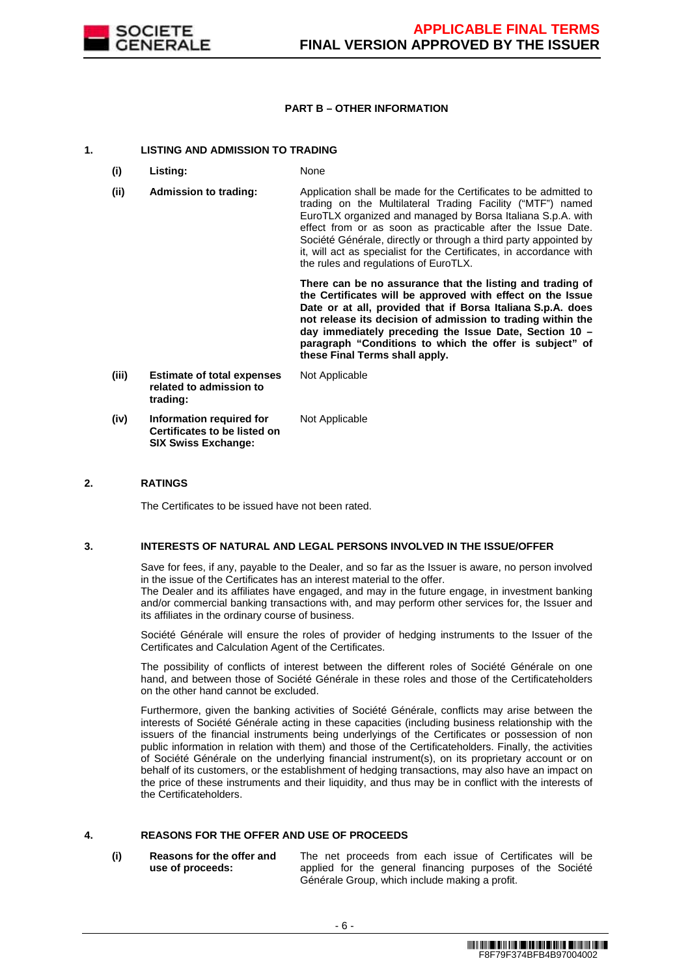

### **PART B – OTHER INFORMATION**

#### **1. LISTING AND ADMISSION TO TRADING**

- **(i) Listing:** None
- **(ii) Admission to trading:** Application shall be made for the Certificates to be admitted to trading on the Multilateral Trading Facility ("MTF") named EuroTLX organized and managed by Borsa Italiana S.p.A. with effect from or as soon as practicable after the Issue Date. Société Générale, directly or through a third party appointed by it, will act as specialist for the Certificates, in accordance with the rules and regulations of EuroTLX.

 **There can be no assurance that the listing and trading of the Certificates will be approved with effect on the Issue Date or at all, provided that if Borsa Italiana S.p.A. does not release its decision of admission to trading within the day immediately preceding the Issue Date, Section 10 – paragraph "Conditions to which the offer is subject" of these Final Terms shall apply.**

**(iii) Estimate of total expenses related to admission to trading:** Not Applicable **(iv) Information required for Certificates to be listed on SIX Swiss Exchange:** Not Applicable

### **2. RATINGS**

The Certificates to be issued have not been rated.

#### **3. INTERESTS OF NATURAL AND LEGAL PERSONS INVOLVED IN THE ISSUE/OFFER**

 Save for fees, if any, payable to the Dealer, and so far as the Issuer is aware, no person involved in the issue of the Certificates has an interest material to the offer.

The Dealer and its affiliates have engaged, and may in the future engage, in investment banking and/or commercial banking transactions with, and may perform other services for, the Issuer and its affiliates in the ordinary course of business.

 Société Générale will ensure the roles of provider of hedging instruments to the Issuer of the Certificates and Calculation Agent of the Certificates.

 The possibility of conflicts of interest between the different roles of Société Générale on one hand, and between those of Société Générale in these roles and those of the Certificateholders on the other hand cannot be excluded.

 Furthermore, given the banking activities of Société Générale, conflicts may arise between the interests of Société Générale acting in these capacities (including business relationship with the issuers of the financial instruments being underlyings of the Certificates or possession of non public information in relation with them) and those of the Certificateholders. Finally, the activities of Société Générale on the underlying financial instrument(s), on its proprietary account or on behalf of its customers, or the establishment of hedging transactions, may also have an impact on the price of these instruments and their liquidity, and thus may be in conflict with the interests of the Certificateholders.

## **4. REASONS FOR THE OFFER AND USE OF PROCEEDS**

**(i) Reasons for the offer and use of proceeds:**

The net proceeds from each issue of Certificates will be applied for the general financing purposes of the Société Générale Group, which include making a profit.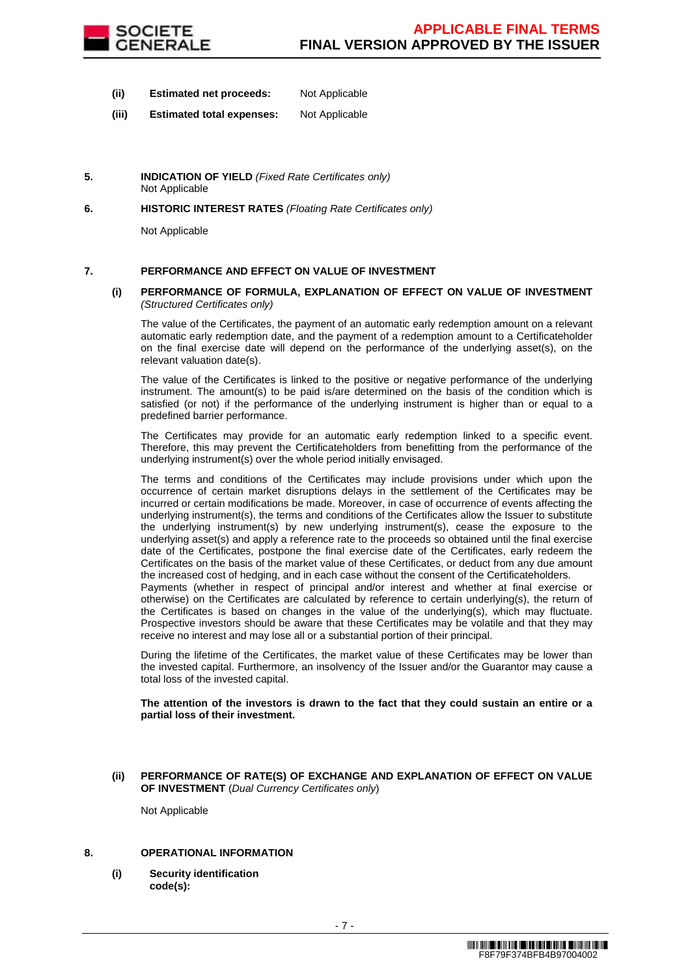

- **(ii) Estimated net proceeds:** Not Applicable
- **(iii) Estimated total expenses:** Not Applicable
- **5. INDICATION OF YIELD** (Fixed Rate Certificates only) Not Applicable
- **6. HISTORIC INTEREST RATES** (Floating Rate Certificates only)

Not Applicable

## **7. PERFORMANCE AND EFFECT ON VALUE OF INVESTMENT**

#### **(i) PERFORMANCE OF FORMULA, EXPLANATION OF EFFECT ON VALUE OF INVESTMENT**  (Structured Certificates only)

 The value of the Certificates, the payment of an automatic early redemption amount on a relevant automatic early redemption date, and the payment of a redemption amount to a Certificateholder on the final exercise date will depend on the performance of the underlying asset(s), on the relevant valuation date(s).

 The value of the Certificates is linked to the positive or negative performance of the underlying instrument. The amount(s) to be paid is/are determined on the basis of the condition which is satisfied (or not) if the performance of the underlying instrument is higher than or equal to a predefined barrier performance.

 The Certificates may provide for an automatic early redemption linked to a specific event. Therefore, this may prevent the Certificateholders from benefitting from the performance of the underlying instrument(s) over the whole period initially envisaged.

 The terms and conditions of the Certificates may include provisions under which upon the occurrence of certain market disruptions delays in the settlement of the Certificates may be incurred or certain modifications be made. Moreover, in case of occurrence of events affecting the underlying instrument(s), the terms and conditions of the Certificates allow the Issuer to substitute the underlying instrument(s) by new underlying instrument(s), cease the exposure to the underlying asset(s) and apply a reference rate to the proceeds so obtained until the final exercise date of the Certificates, postpone the final exercise date of the Certificates, early redeem the Certificates on the basis of the market value of these Certificates, or deduct from any due amount the increased cost of hedging, and in each case without the consent of the Certificateholders.

Payments (whether in respect of principal and/or interest and whether at final exercise or otherwise) on the Certificates are calculated by reference to certain underlying(s), the return of the Certificates is based on changes in the value of the underlying(s), which may fluctuate. Prospective investors should be aware that these Certificates may be volatile and that they may receive no interest and may lose all or a substantial portion of their principal.

 During the lifetime of the Certificates, the market value of these Certificates may be lower than the invested capital. Furthermore, an insolvency of the Issuer and/or the Guarantor may cause a total loss of the invested capital.

**The attention of the investors is drawn to the fact that they could sustain an entire or a partial loss of their investment.**

#### **(ii) PERFORMANCE OF RATE(S) OF EXCHANGE AND EXPLANATION OF EFFECT ON VALUE OF INVESTMENT** (Dual Currency Certificates only)

Not Applicable

#### **8. OPERATIONAL INFORMATION**

**(i) Security identification code(s):**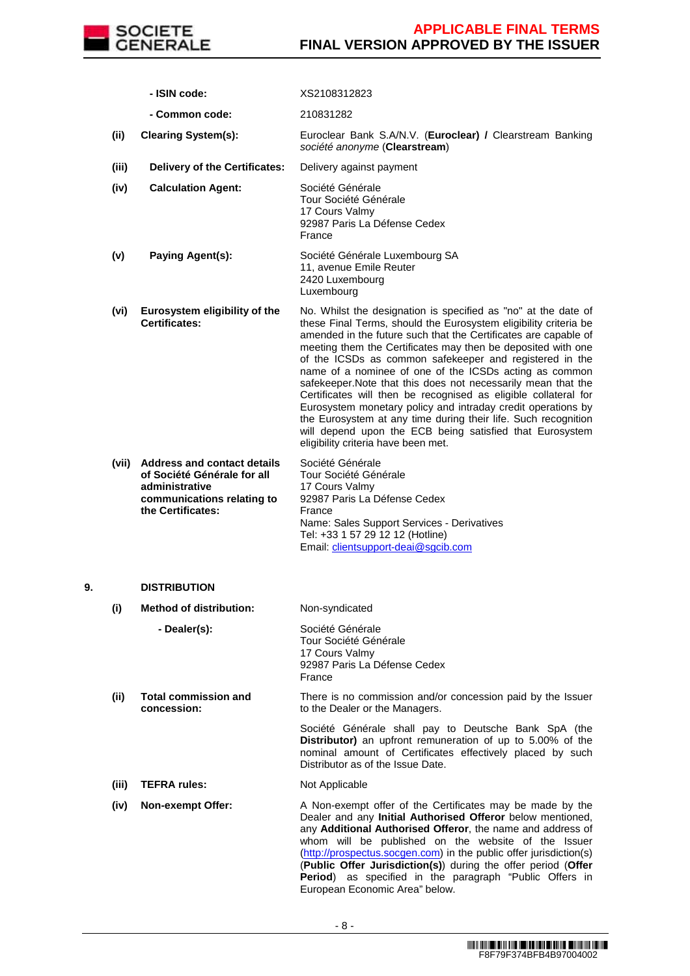

|    |       | - ISIN code:                                                                                                                           | XS2108312823                                                                                                                                                                                                                                                                                                                                                                                                                                                                                                                                                                                                                                                                                                                                                        |
|----|-------|----------------------------------------------------------------------------------------------------------------------------------------|---------------------------------------------------------------------------------------------------------------------------------------------------------------------------------------------------------------------------------------------------------------------------------------------------------------------------------------------------------------------------------------------------------------------------------------------------------------------------------------------------------------------------------------------------------------------------------------------------------------------------------------------------------------------------------------------------------------------------------------------------------------------|
|    |       | - Common code:                                                                                                                         | 210831282                                                                                                                                                                                                                                                                                                                                                                                                                                                                                                                                                                                                                                                                                                                                                           |
|    | (ii)  | <b>Clearing System(s):</b>                                                                                                             | Euroclear Bank S.A/N.V. (Euroclear) / Clearstream Banking<br>société anonyme (Clearstream)                                                                                                                                                                                                                                                                                                                                                                                                                                                                                                                                                                                                                                                                          |
|    | (iii) | Delivery of the Certificates:                                                                                                          | Delivery against payment                                                                                                                                                                                                                                                                                                                                                                                                                                                                                                                                                                                                                                                                                                                                            |
|    | (iv)  | <b>Calculation Agent:</b>                                                                                                              | Société Générale<br>Tour Société Générale<br>17 Cours Valmy<br>92987 Paris La Défense Cedex<br>France                                                                                                                                                                                                                                                                                                                                                                                                                                                                                                                                                                                                                                                               |
|    | (v)   | Paying Agent(s):                                                                                                                       | Société Générale Luxembourg SA<br>11, avenue Emile Reuter<br>2420 Luxembourg<br>Luxembourg                                                                                                                                                                                                                                                                                                                                                                                                                                                                                                                                                                                                                                                                          |
|    | (vi)  | Eurosystem eligibility of the<br><b>Certificates:</b>                                                                                  | No. Whilst the designation is specified as "no" at the date of<br>these Final Terms, should the Eurosystem eligibility criteria be<br>amended in the future such that the Certificates are capable of<br>meeting them the Certificates may then be deposited with one<br>of the ICSDs as common safekeeper and registered in the<br>name of a nominee of one of the ICSDs acting as common<br>safekeeper. Note that this does not necessarily mean that the<br>Certificates will then be recognised as eligible collateral for<br>Eurosystem monetary policy and intraday credit operations by<br>the Eurosystem at any time during their life. Such recognition<br>will depend upon the ECB being satisfied that Eurosystem<br>eligibility criteria have been met. |
|    | (vii) | <b>Address and contact details</b><br>of Société Générale for all<br>administrative<br>communications relating to<br>the Certificates: | Société Générale<br>Tour Société Générale<br>17 Cours Valmy<br>92987 Paris La Défense Cedex<br>France<br>Name: Sales Support Services - Derivatives<br>Tel: +33 1 57 29 12 12 (Hotline)<br>Email: clientsupport-deai@sgcib.com                                                                                                                                                                                                                                                                                                                                                                                                                                                                                                                                      |
| 9. |       | <b>DISTRIBUTION</b>                                                                                                                    |                                                                                                                                                                                                                                                                                                                                                                                                                                                                                                                                                                                                                                                                                                                                                                     |
|    | (i)   | <b>Method of distribution:</b>                                                                                                         | Non-syndicated                                                                                                                                                                                                                                                                                                                                                                                                                                                                                                                                                                                                                                                                                                                                                      |
|    |       | - Dealer(s):                                                                                                                           | Société Générale<br>Tour Société Générale<br>17 Cours Valmy<br>92987 Paris La Défense Cedex<br>France                                                                                                                                                                                                                                                                                                                                                                                                                                                                                                                                                                                                                                                               |
|    | (ii)  | <b>Total commission and</b><br>concession:                                                                                             | There is no commission and/or concession paid by the Issuer<br>to the Dealer or the Managers.                                                                                                                                                                                                                                                                                                                                                                                                                                                                                                                                                                                                                                                                       |
|    |       |                                                                                                                                        | Société Générale shall pay to Deutsche Bank SpA (the<br>Distributor) an upfront remuneration of up to 5.00% of the<br>nominal amount of Certificates effectively placed by such<br>Distributor as of the Issue Date.                                                                                                                                                                                                                                                                                                                                                                                                                                                                                                                                                |
|    | (iii) | <b>TEFRA rules:</b>                                                                                                                    | Not Applicable                                                                                                                                                                                                                                                                                                                                                                                                                                                                                                                                                                                                                                                                                                                                                      |
|    | (iv)  | <b>Non-exempt Offer:</b>                                                                                                               | A Non-exempt offer of the Certificates may be made by the<br>Dealer and any Initial Authorised Offeror below mentioned,<br>any Additional Authorised Offeror, the name and address of<br>whom will be published on the website of the Issuer<br>(http://prospectus.socgen.com) in the public offer jurisdiction(s)<br>(Public Offer Jurisdiction(s)) during the offer period (Offer<br>Period) as specified in the paragraph "Public Offers in                                                                                                                                                                                                                                                                                                                      |

European Economic Area" below.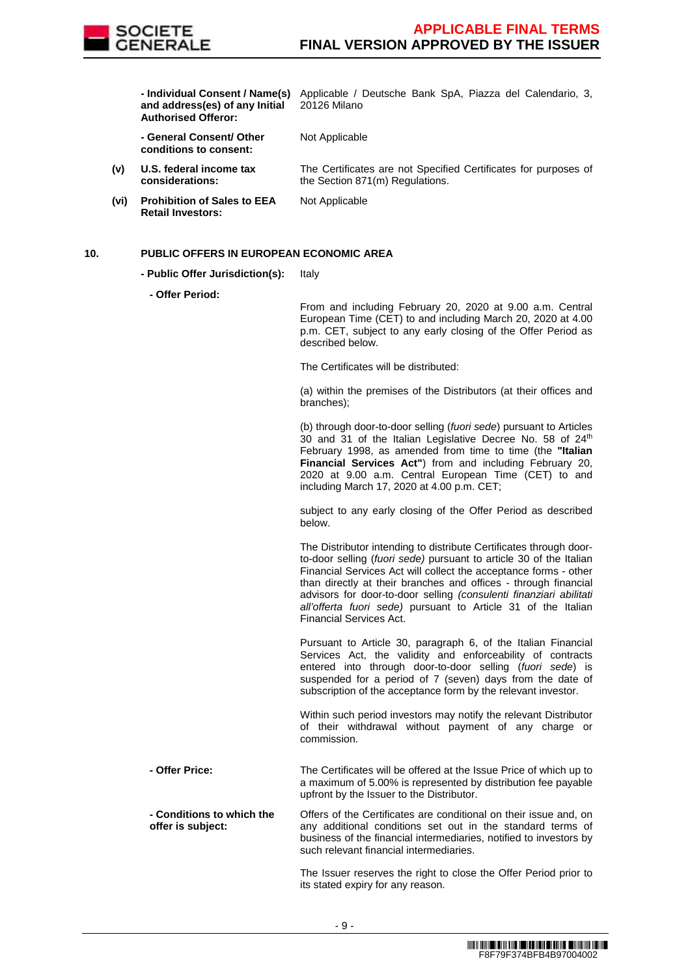

**and address(es) of any Initial Authorised Offeror:**

 **- Individual Consent / Name(s)**  Applicable / Deutsche Bank SpA, Piazza del Calendario, 3, 20126 Milano

> **- General Consent/ Other conditions to consent:**

Not Applicable

Not Applicable

The Certificates are not Specified Certificates for purposes of the Section 871(m) Regulations.

**(vi) Prohibition of Sales to EEA Retail Investors:**

**(v) U.S. federal income tax considerations:**

## **10. PUBLIC OFFERS IN EUROPEAN ECONOMIC AREA**

- **Public Offer Jurisdiction(s):** Italy
	- **Offer Period:**

From and including February 20, 2020 at 9.00 a.m. Central European Time (CET) to and including March 20, 2020 at 4.00 p.m. CET, subject to any early closing of the Offer Period as described below.

The Certificates will be distributed:

(a) within the premises of the Distributors (at their offices and branches);

(b) through door-to-door selling (fuori sede) pursuant to Articles 30 and 31 of the Italian Legislative Decree No. 58 of  $24<sup>th</sup>$ February 1998, as amended from time to time (the **"Italian Financial Services Act"**) from and including February 20, 2020 at 9.00 a.m. Central European Time (CET) to and including March 17, 2020 at 4.00 p.m. CET;

subject to any early closing of the Offer Period as described below.

The Distributor intending to distribute Certificates through doorto-door selling (fuori sede) pursuant to article 30 of the Italian Financial Services Act will collect the acceptance forms - other than directly at their branches and offices - through financial advisors for door-to-door selling (consulenti finanziari abilitati all'offerta fuori sede) pursuant to Article 31 of the Italian Financial Services Act.

Pursuant to Article 30, paragraph 6, of the Italian Financial Services Act, the validity and enforceability of contracts entered into through door-to-door selling (fuori sede) is suspended for a period of 7 (seven) days from the date of subscription of the acceptance form by the relevant investor.

Within such period investors may notify the relevant Distributor of their withdrawal without payment of any charge or commission.

 **- Offer Price:** The Certificates will be offered at the Issue Price of which up to a maximum of 5.00% is represented by distribution fee payable upfront by the Issuer to the Distributor.

 **- Conditions to which the offer is subject:** Offers of the Certificates are conditional on their issue and, on any additional conditions set out in the standard terms of business of the financial intermediaries, notified to investors by such relevant financial intermediaries.

> The Issuer reserves the right to close the Offer Period prior to its stated expiry for any reason.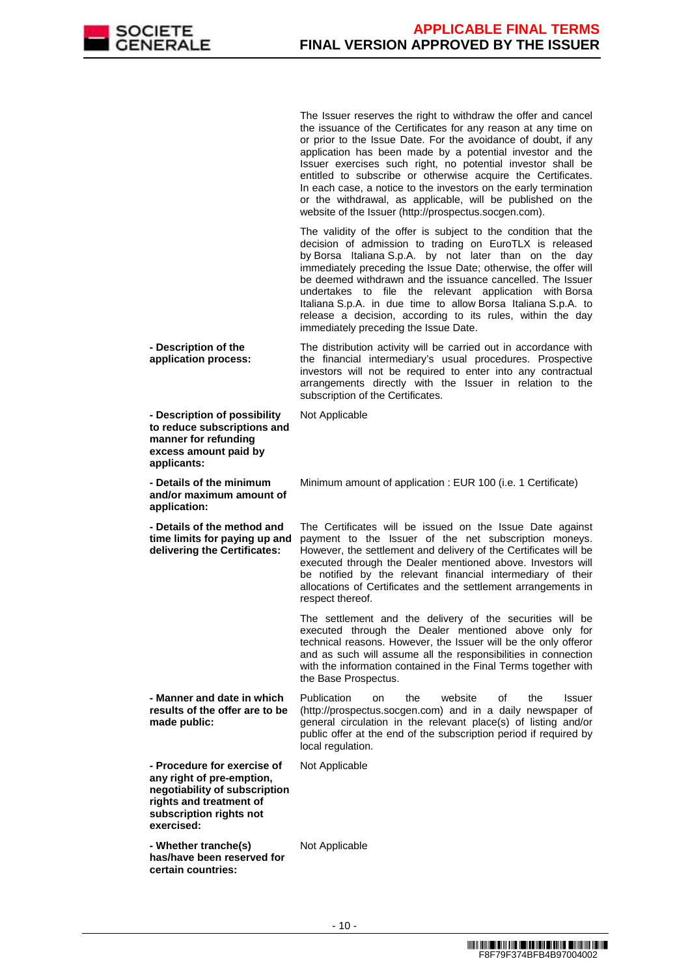

The Issuer reserves the right to withdraw the offer and cancel the issuance of the Certificates for any reason at any time on or prior to the Issue Date. For the avoidance of doubt, if any application has been made by a potential investor and the Issuer exercises such right, no potential investor shall be entitled to subscribe or otherwise acquire the Certificates. In each case, a notice to the investors on the early termination or the withdrawal, as applicable, will be published on the website of the Issuer (http://prospectus.socgen.com).

 The validity of the offer is subject to the condition that the decision of admission to trading on EuroTLX is released by Borsa Italiana S.p.A. by not later than on the day immediately preceding the Issue Date; otherwise, the offer will be deemed withdrawn and the issuance cancelled. The Issuer undertakes to file the relevant application with Borsa Italiana S.p.A. in due time to allow Borsa Italiana S.p.A. to release a decision, according to its rules, within the day immediately preceding the Issue Date.

 **- Description of the application process:** The distribution activity will be carried out in accordance with the financial intermediary's usual procedures. Prospective investors will not be required to enter into any contractual arrangements directly with the Issuer in relation to the subscription of the Certificates.

 **- Description of possibility to reduce subscriptions and manner for refunding excess amount paid by applicants:** Not Applicable **- Details of the minimum and/or maximum amount of application:** Minimum amount of application : EUR 100 (i.e. 1 Certificate) **- Details of the method and time limits for paying up and delivering the Certificates:** The Certificates will be issued on the Issue Date against payment to the Issuer of the net subscription moneys. However, the settlement and delivery of the Certificates will be executed through the Dealer mentioned above. Investors will be notified by the relevant financial intermediary of their allocations of Certificates and the settlement arrangements in respect thereof. The settlement and the delivery of the securities will be executed through the Dealer mentioned above only for technical reasons. However, the Issuer will be the only offeror and as such will assume all the responsibilities in connection with the information contained in the Final Terms together with the Base Prospectus. **- Manner and date in which results of the offer are to be made public:** Publication on the website of the Issuer (http://prospectus.socgen.com) and in a daily newspaper of general circulation in the relevant place(s) of listing and/or public offer at the end of the subscription period if required by local regulation. **- Procedure for exercise of any right of pre-emption, negotiability of subscription rights and treatment of subscription rights not exercised:** Not Applicable **- Whether tranche(s) has/have been reserved for certain countries:** Not Applicable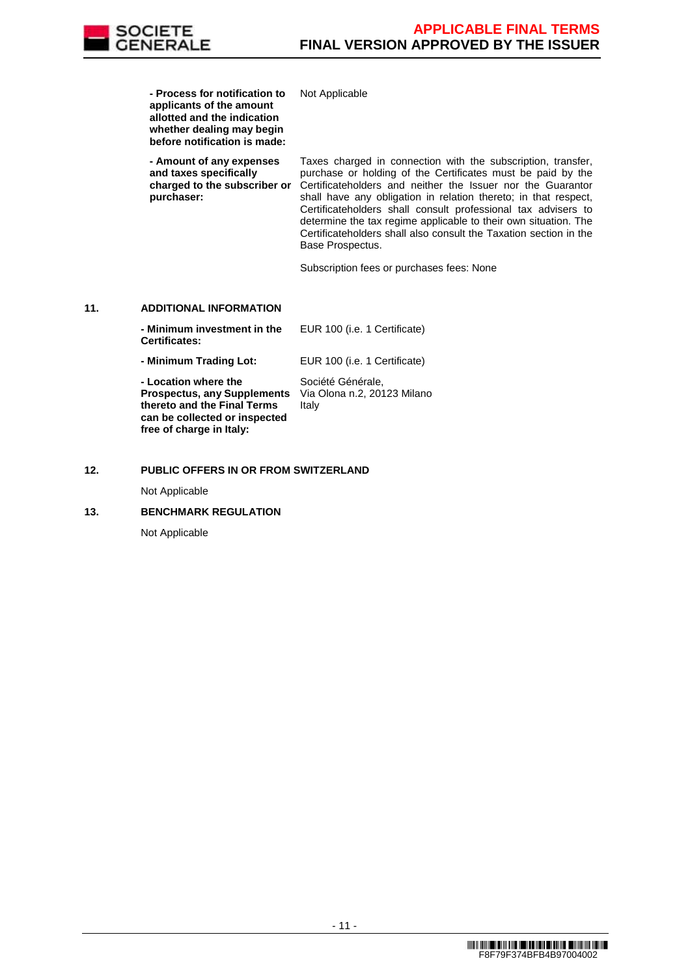

**- Process for notification to** 

**applicants of the amount allotted and the indication whether dealing may begin before notification is made: - Amount of any expenses and taxes specifically charged to the subscriber or purchaser:** Taxes charged in connection with the subscription, transfer, purchase or holding of the Certificates must be paid by the Certificateholders and neither the Issuer nor the Guarantor shall have any obligation in relation thereto; in that respect, Certificateholders shall consult professional tax advisers to determine the tax regime applicable to their own situation. The Certificateholders shall also consult the Taxation section in the Base Prospectus. Subscription fees or purchases fees: None **11. ADDITIONAL INFORMATION - Minimum investment in the Certificates:** EUR 100 (i.e. 1 Certificate) **- Minimum Trading Lot:** EUR 100 (i.e. 1 Certificate) **- Location where the Prospectus, any Supplements thereto and the Final Terms can be collected or inspected**  Société Générale, Via Olona n.2, 20123 Milano Italy

Not Applicable

#### **12. PUBLIC OFFERS IN OR FROM SWITZERLAND**

Not Applicable

### **13. BENCHMARK REGULATION**

**free of charge in Italy:**

Not Applicable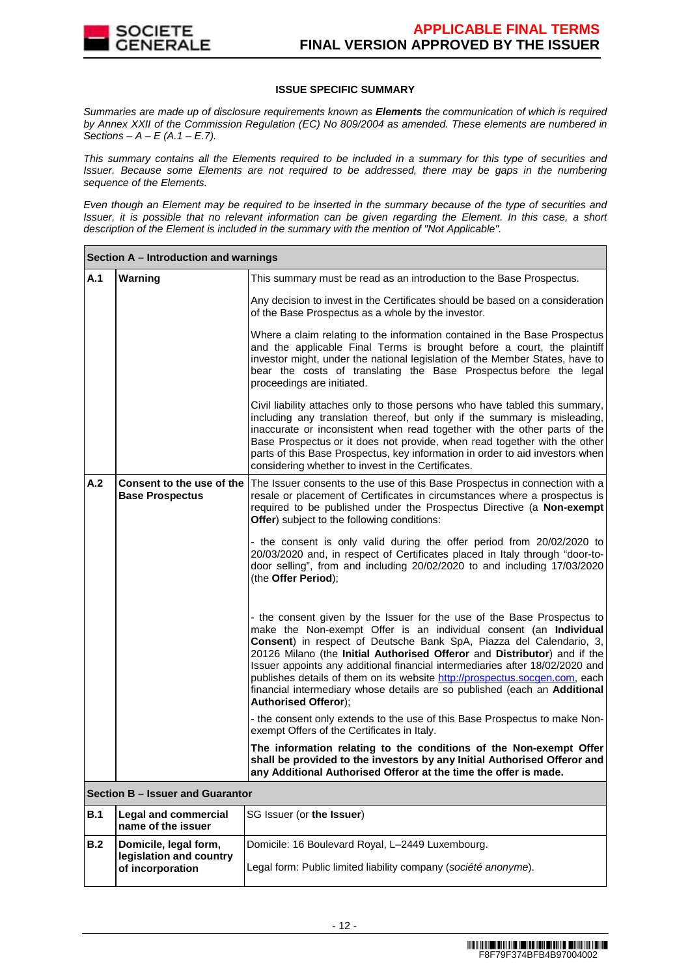

## **ISSUE SPECIFIC SUMMARY**

Summaries are made up of disclosure requirements known as **Elements** the communication of which is required by Annex XXII of the Commission Regulation (EC) No 809/2004 as amended. These elements are numbered in Sections –  $A - E(A.1 - E.7)$ .

This summary contains all the Elements required to be included in a summary for this type of securities and Issuer. Because some Elements are not required to be addressed, there may be gaps in the numbering sequence of the Elements.

Even though an Element may be required to be inserted in the summary because of the type of securities and Issuer, it is possible that no relevant information can be given regarding the Element. In this case, a short description of the Element is included in the summary with the mention of "Not Applicable".

|            | Section A – Introduction and warnings                                |                                                                                                                                                                                                                                                                                                                                                                                                                                                                                                                                                                            |  |  |
|------------|----------------------------------------------------------------------|----------------------------------------------------------------------------------------------------------------------------------------------------------------------------------------------------------------------------------------------------------------------------------------------------------------------------------------------------------------------------------------------------------------------------------------------------------------------------------------------------------------------------------------------------------------------------|--|--|
| A.1        | Warning                                                              | This summary must be read as an introduction to the Base Prospectus.                                                                                                                                                                                                                                                                                                                                                                                                                                                                                                       |  |  |
|            |                                                                      | Any decision to invest in the Certificates should be based on a consideration<br>of the Base Prospectus as a whole by the investor.                                                                                                                                                                                                                                                                                                                                                                                                                                        |  |  |
|            |                                                                      | Where a claim relating to the information contained in the Base Prospectus<br>and the applicable Final Terms is brought before a court, the plaintiff<br>investor might, under the national legislation of the Member States, have to<br>bear the costs of translating the Base Prospectus before the legal<br>proceedings are initiated.                                                                                                                                                                                                                                  |  |  |
|            |                                                                      | Civil liability attaches only to those persons who have tabled this summary,<br>including any translation thereof, but only if the summary is misleading,<br>inaccurate or inconsistent when read together with the other parts of the<br>Base Prospectus or it does not provide, when read together with the other<br>parts of this Base Prospectus, key information in order to aid investors when<br>considering whether to invest in the Certificates.                                                                                                                 |  |  |
| A.2        | Consent to the use of the<br><b>Base Prospectus</b>                  | The Issuer consents to the use of this Base Prospectus in connection with a<br>resale or placement of Certificates in circumstances where a prospectus is<br>required to be published under the Prospectus Directive (a Non-exempt<br>Offer) subject to the following conditions:                                                                                                                                                                                                                                                                                          |  |  |
|            |                                                                      | - the consent is only valid during the offer period from 20/02/2020 to<br>20/03/2020 and, in respect of Certificates placed in Italy through "door-to-<br>door selling", from and including 20/02/2020 to and including 17/03/2020<br>(the Offer Period);                                                                                                                                                                                                                                                                                                                  |  |  |
|            |                                                                      | - the consent given by the Issuer for the use of the Base Prospectus to<br>make the Non-exempt Offer is an individual consent (an Individual<br>Consent) in respect of Deutsche Bank SpA, Piazza del Calendario, 3,<br>20126 Milano (the Initial Authorised Offeror and Distributor) and if the<br>Issuer appoints any additional financial intermediaries after 18/02/2020 and<br>publishes details of them on its website http://prospectus.socgen.com, each<br>financial intermediary whose details are so published (each an Additional<br><b>Authorised Offeror);</b> |  |  |
|            |                                                                      | - the consent only extends to the use of this Base Prospectus to make Non-<br>exempt Offers of the Certificates in Italy.                                                                                                                                                                                                                                                                                                                                                                                                                                                  |  |  |
|            |                                                                      | The information relating to the conditions of the Non-exempt Offer<br>shall be provided to the investors by any Initial Authorised Offeror and<br>any Additional Authorised Offeror at the time the offer is made.                                                                                                                                                                                                                                                                                                                                                         |  |  |
|            | Section B - Issuer and Guarantor                                     |                                                                                                                                                                                                                                                                                                                                                                                                                                                                                                                                                                            |  |  |
| <b>B.1</b> | <b>Legal and commercial</b><br>name of the issuer                    | SG Issuer (or the Issuer)                                                                                                                                                                                                                                                                                                                                                                                                                                                                                                                                                  |  |  |
| B.2        | Domicile, legal form,<br>legislation and country<br>of incorporation | Domicile: 16 Boulevard Royal, L-2449 Luxembourg.<br>Legal form: Public limited liability company (société anonyme).                                                                                                                                                                                                                                                                                                                                                                                                                                                        |  |  |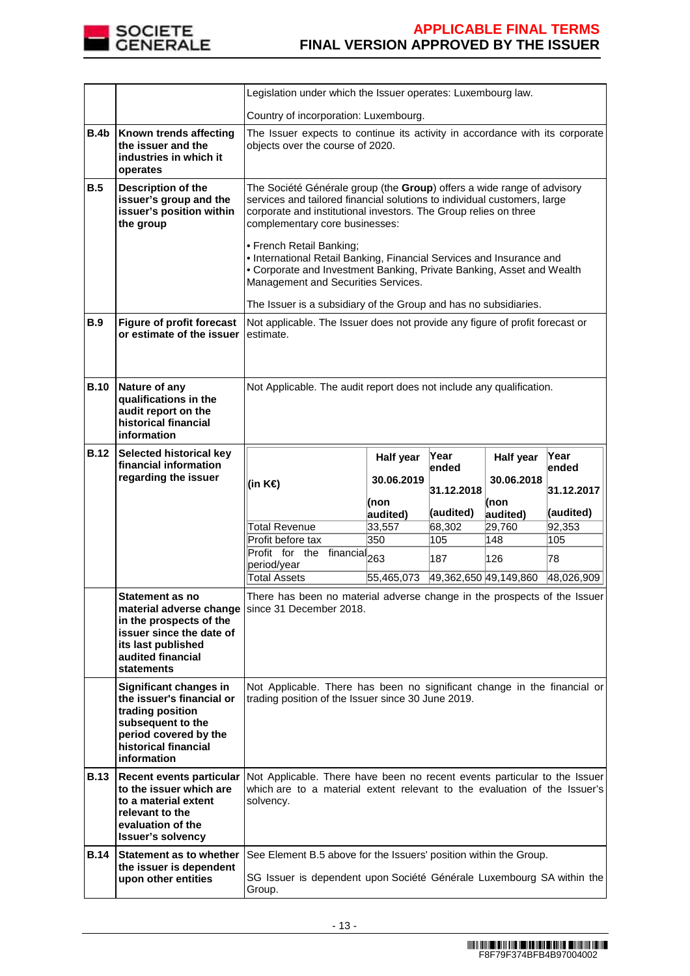

|             |                                                                                                                                                              | Legislation under which the Issuer operates: Luxembourg law.                                                                                                                                                                                                                                                                                                                                                                                                                 |            |                       |            |               |
|-------------|--------------------------------------------------------------------------------------------------------------------------------------------------------------|------------------------------------------------------------------------------------------------------------------------------------------------------------------------------------------------------------------------------------------------------------------------------------------------------------------------------------------------------------------------------------------------------------------------------------------------------------------------------|------------|-----------------------|------------|---------------|
|             |                                                                                                                                                              | Country of incorporation: Luxembourg.                                                                                                                                                                                                                                                                                                                                                                                                                                        |            |                       |            |               |
| <b>B.4b</b> | Known trends affecting<br>the issuer and the<br>industries in which it<br>operates                                                                           | The Issuer expects to continue its activity in accordance with its corporate<br>objects over the course of 2020.                                                                                                                                                                                                                                                                                                                                                             |            |                       |            |               |
| B.5         | Description of the<br>issuer's group and the<br>issuer's position within<br>the group                                                                        | The Société Générale group (the Group) offers a wide range of advisory<br>services and tailored financial solutions to individual customers, large<br>corporate and institutional investors. The Group relies on three<br>complementary core businesses:<br>• French Retail Banking;<br>• International Retail Banking, Financial Services and Insurance and<br>• Corporate and Investment Banking, Private Banking, Asset and Wealth<br>Management and Securities Services. |            |                       |            |               |
| <b>B.9</b>  | <b>Figure of profit forecast</b><br>or estimate of the issuer                                                                                                | Not applicable. The Issuer does not provide any figure of profit forecast or<br>estimate.                                                                                                                                                                                                                                                                                                                                                                                    |            |                       |            |               |
| <b>B.10</b> | Nature of any<br>qualifications in the<br>audit report on the<br>historical financial<br>information                                                         | Not Applicable. The audit report does not include any qualification.                                                                                                                                                                                                                                                                                                                                                                                                         |            |                       |            |               |
| <b>B.12</b> | Selected historical key<br>financial information                                                                                                             |                                                                                                                                                                                                                                                                                                                                                                                                                                                                              | Half year  | Year                  | Half year  | Year<br>ended |
|             | regarding the issuer                                                                                                                                         | (in K€)                                                                                                                                                                                                                                                                                                                                                                                                                                                                      | 30.06.2019 | lended                | 30.06.2018 |               |
|             |                                                                                                                                                              |                                                                                                                                                                                                                                                                                                                                                                                                                                                                              | (non       | 31.12.2018            | (non       | 31.12.2017    |
|             |                                                                                                                                                              |                                                                                                                                                                                                                                                                                                                                                                                                                                                                              | audited)   | (audited)             | audited)   | (audited)     |
|             |                                                                                                                                                              | <b>Total Revenue</b>                                                                                                                                                                                                                                                                                                                                                                                                                                                         | 33,557     | 68,302                | 29,760     | 92,353        |
|             |                                                                                                                                                              | Profit before tax                                                                                                                                                                                                                                                                                                                                                                                                                                                            | 350        | 105                   | 148        | 105           |
|             |                                                                                                                                                              | Profit for the financial <sub>263</sub>                                                                                                                                                                                                                                                                                                                                                                                                                                      |            | 187                   | 126        | 78            |
|             |                                                                                                                                                              | period/year                                                                                                                                                                                                                                                                                                                                                                                                                                                                  |            |                       |            |               |
|             |                                                                                                                                                              | <b>Total Assets</b>                                                                                                                                                                                                                                                                                                                                                                                                                                                          | 55,465,073 | 49,362,650 49,149,860 |            | 48,026,909    |
|             | Statement as no<br>in the prospects of the<br>issuer since the date of<br>its last published<br>audited financial<br><b>statements</b>                       | There has been no material adverse change in the prospects of the Issuer<br>material adverse change   since 31 December 2018.                                                                                                                                                                                                                                                                                                                                                |            |                       |            |               |
|             | Significant changes in<br>the issuer's financial or<br>trading position<br>subsequent to the<br>period covered by the<br>historical financial<br>information | Not Applicable. There has been no significant change in the financial or<br>trading position of the Issuer since 30 June 2019.                                                                                                                                                                                                                                                                                                                                               |            |                       |            |               |
| <b>B.13</b> | <b>Recent events particular</b><br>to the issuer which are<br>to a material extent                                                                           | Not Applicable. There have been no recent events particular to the Issuer<br>which are to a material extent relevant to the evaluation of the Issuer's<br>solvency.                                                                                                                                                                                                                                                                                                          |            |                       |            |               |
|             | relevant to the<br>evaluation of the<br><b>Issuer's solvency</b>                                                                                             |                                                                                                                                                                                                                                                                                                                                                                                                                                                                              |            |                       |            |               |
| <b>B.14</b> | Statement as to whether<br>the issuer is dependent                                                                                                           | See Element B.5 above for the Issuers' position within the Group.                                                                                                                                                                                                                                                                                                                                                                                                            |            |                       |            |               |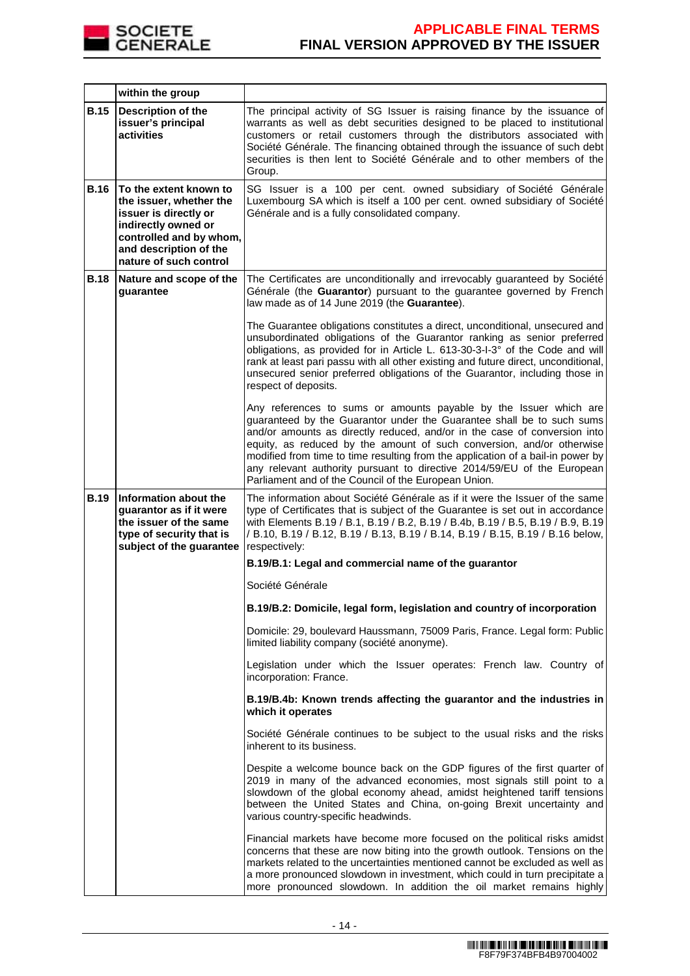

|             | within the group                                                                                                                                                                 |                                                                                                                                                                                                                                                                                                                                                                                                                                                                                                                        |
|-------------|----------------------------------------------------------------------------------------------------------------------------------------------------------------------------------|------------------------------------------------------------------------------------------------------------------------------------------------------------------------------------------------------------------------------------------------------------------------------------------------------------------------------------------------------------------------------------------------------------------------------------------------------------------------------------------------------------------------|
| <b>B.15</b> | <b>Description of the</b><br>issuer's principal<br>activities                                                                                                                    | The principal activity of SG Issuer is raising finance by the issuance of<br>warrants as well as debt securities designed to be placed to institutional<br>customers or retail customers through the distributors associated with<br>Société Générale. The financing obtained through the issuance of such debt<br>securities is then lent to Société Générale and to other members of the<br>Group.                                                                                                                   |
| <b>B.16</b> | To the extent known to<br>the issuer, whether the<br>issuer is directly or<br>indirectly owned or<br>controlled and by whom,<br>and description of the<br>nature of such control | SG Issuer is a 100 per cent. owned subsidiary of Société Générale<br>Luxembourg SA which is itself a 100 per cent. owned subsidiary of Société<br>Générale and is a fully consolidated company.                                                                                                                                                                                                                                                                                                                        |
| <b>B.18</b> | Nature and scope of the<br>guarantee                                                                                                                                             | The Certificates are unconditionally and irrevocably guaranteed by Société<br>Générale (the Guarantor) pursuant to the guarantee governed by French<br>law made as of 14 June 2019 (the Guarantee).                                                                                                                                                                                                                                                                                                                    |
|             |                                                                                                                                                                                  | The Guarantee obligations constitutes a direct, unconditional, unsecured and<br>unsubordinated obligations of the Guarantor ranking as senior preferred<br>obligations, as provided for in Article L. 613-30-3-I-3° of the Code and will<br>rank at least pari passu with all other existing and future direct, unconditional,<br>unsecured senior preferred obligations of the Guarantor, including those in<br>respect of deposits.                                                                                  |
|             |                                                                                                                                                                                  | Any references to sums or amounts payable by the Issuer which are<br>guaranteed by the Guarantor under the Guarantee shall be to such sums<br>and/or amounts as directly reduced, and/or in the case of conversion into<br>equity, as reduced by the amount of such conversion, and/or otherwise<br>modified from time to time resulting from the application of a bail-in power by<br>any relevant authority pursuant to directive 2014/59/EU of the European<br>Parliament and of the Council of the European Union. |
| <b>B.19</b> | Information about the<br>guarantor as if it were<br>the issuer of the same<br>type of security that is<br>subject of the guarantee                                               | The information about Société Générale as if it were the Issuer of the same<br>type of Certificates that is subject of the Guarantee is set out in accordance<br>with Elements B.19 / B.1, B.19 / B.2, B.19 / B.4b, B.19 / B.5, B.19 / B.9, B.19<br>/ B.10, B.19 / B.12, B.19 / B.13, B.19 / B.14, B.19 / B.15, B.19 / B.16 below,<br>respectively:                                                                                                                                                                    |
|             |                                                                                                                                                                                  | B.19/B.1: Legal and commercial name of the guarantor                                                                                                                                                                                                                                                                                                                                                                                                                                                                   |
|             |                                                                                                                                                                                  | Société Générale                                                                                                                                                                                                                                                                                                                                                                                                                                                                                                       |
|             |                                                                                                                                                                                  | B.19/B.2: Domicile, legal form, legislation and country of incorporation                                                                                                                                                                                                                                                                                                                                                                                                                                               |
|             |                                                                                                                                                                                  | Domicile: 29, boulevard Haussmann, 75009 Paris, France. Legal form: Public<br>limited liability company (société anonyme).                                                                                                                                                                                                                                                                                                                                                                                             |
|             |                                                                                                                                                                                  | Legislation under which the Issuer operates: French law. Country of<br>incorporation: France.                                                                                                                                                                                                                                                                                                                                                                                                                          |
|             |                                                                                                                                                                                  | B.19/B.4b: Known trends affecting the guarantor and the industries in<br>which it operates                                                                                                                                                                                                                                                                                                                                                                                                                             |
|             |                                                                                                                                                                                  | Société Générale continues to be subject to the usual risks and the risks<br>inherent to its business.                                                                                                                                                                                                                                                                                                                                                                                                                 |
|             |                                                                                                                                                                                  | Despite a welcome bounce back on the GDP figures of the first quarter of<br>2019 in many of the advanced economies, most signals still point to a<br>slowdown of the global economy ahead, amidst heightened tariff tensions<br>between the United States and China, on-going Brexit uncertainty and<br>various country-specific headwinds.                                                                                                                                                                            |
|             |                                                                                                                                                                                  | Financial markets have become more focused on the political risks amidst<br>concerns that these are now biting into the growth outlook. Tensions on the<br>markets related to the uncertainties mentioned cannot be excluded as well as<br>a more pronounced slowdown in investment, which could in turn precipitate a<br>more pronounced slowdown. In addition the oil market remains highly                                                                                                                          |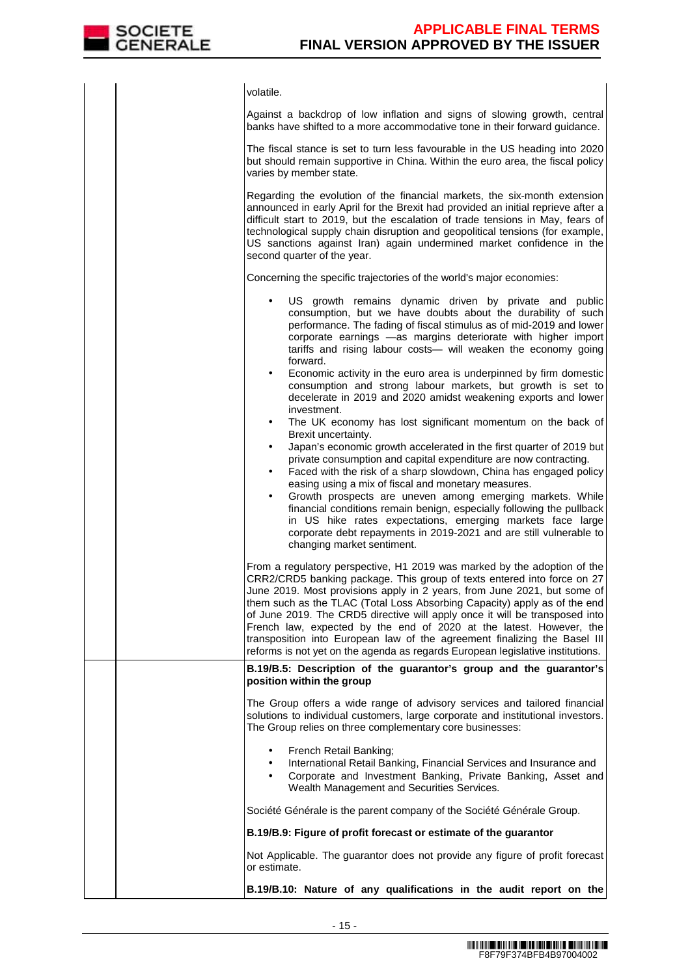

volatile. Against a backdrop of low inflation and signs of slowing growth, central banks have shifted to a more accommodative tone in their forward guidance. The fiscal stance is set to turn less favourable in the US heading into 2020 but should remain supportive in China. Within the euro area, the fiscal policy varies by member state. Regarding the evolution of the financial markets, the six-month extension announced in early April for the Brexit had provided an initial reprieve after a difficult start to 2019, but the escalation of trade tensions in May, fears of technological supply chain disruption and geopolitical tensions (for example, US sanctions against Iran) again undermined market confidence in the second quarter of the year. Concerning the specific trajectories of the world's major economies: US growth remains dynamic driven by private and public consumption, but we have doubts about the durability of such performance. The fading of fiscal stimulus as of mid-2019 and lower corporate earnings —as margins deteriorate with higher import tariffs and rising labour costs— will weaken the economy going forward. • Economic activity in the euro area is underpinned by firm domestic consumption and strong labour markets, but growth is set to decelerate in 2019 and 2020 amidst weakening exports and lower investment. The UK economy has lost significant momentum on the back of Brexit uncertainty. • Japan's economic growth accelerated in the first quarter of 2019 but private consumption and capital expenditure are now contracting. • Faced with the risk of a sharp slowdown, China has engaged policy easing using a mix of fiscal and monetary measures. Growth prospects are uneven among emerging markets. While financial conditions remain benign, especially following the pullback in US hike rates expectations, emerging markets face large corporate debt repayments in 2019-2021 and are still vulnerable to changing market sentiment. From a regulatory perspective, H1 2019 was marked by the adoption of the CRR2/CRD5 banking package. This group of texts entered into force on 27 June 2019. Most provisions apply in 2 years, from June 2021, but some of them such as the TLAC (Total Loss Absorbing Capacity) apply as of the end of June 2019. The CRD5 directive will apply once it will be transposed into French law, expected by the end of 2020 at the latest. However, the transposition into European law of the agreement finalizing the Basel III reforms is not yet on the agenda as regards European legislative institutions. **B.19/B.5: Description of the guarantor's group and the guarantor's position within the group**  The Group offers a wide range of advisory services and tailored financial solutions to individual customers, large corporate and institutional investors. The Group relies on three complementary core businesses: • French Retail Banking; • International Retail Banking, Financial Services and Insurance and • Corporate and Investment Banking, Private Banking, Asset and Wealth Management and Securities Services. Société Générale is the parent company of the Société Générale Group. **B.19/B.9: Figure of profit forecast or estimate of the guarantor**  Not Applicable. The guarantor does not provide any figure of profit forecast or estimate. **B.19/B.10: Nature of any qualifications in the audit report on the**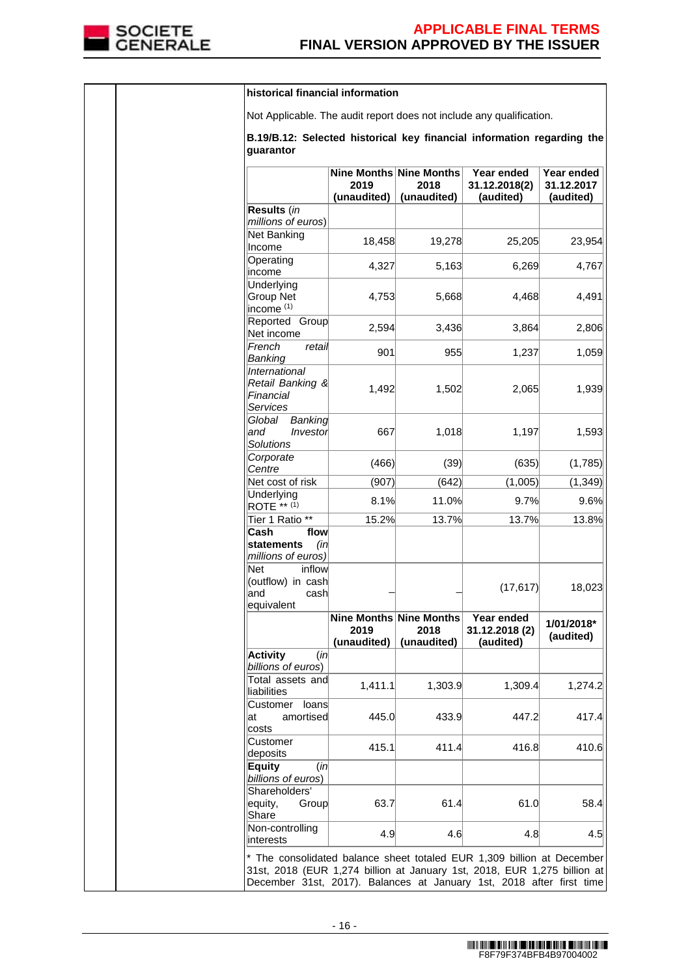

|  | historical financial information                                                                                                                                                                                           |                                                |                     |                                           |                                       |
|--|----------------------------------------------------------------------------------------------------------------------------------------------------------------------------------------------------------------------------|------------------------------------------------|---------------------|-------------------------------------------|---------------------------------------|
|  | Not Applicable. The audit report does not include any qualification.                                                                                                                                                       |                                                |                     |                                           |                                       |
|  | B.19/B.12: Selected historical key financial information regarding the<br>guarantor                                                                                                                                        |                                                |                     |                                           |                                       |
|  |                                                                                                                                                                                                                            | Nine Months Nine Months<br>2019<br>(unaudited) | 2018<br>(unaudited) | Year ended<br>31.12.2018(2)<br>(audited)  | Year ended<br>31.12.2017<br>(audited) |
|  | Results (in<br>millions of euros)                                                                                                                                                                                          |                                                |                     |                                           |                                       |
|  | Net Banking<br>Income                                                                                                                                                                                                      | 18,458                                         | 19,278              | 25,205                                    | 23,954                                |
|  | Operating<br>income                                                                                                                                                                                                        | 4,327                                          | 5,163               | 6,269                                     | 4,767                                 |
|  | Underlying<br>Group Net<br>income <sup>(1)</sup>                                                                                                                                                                           | 4,753                                          | 5,668               | 4,468                                     | 4,491                                 |
|  | Reported Group<br>Net income                                                                                                                                                                                               | 2,594                                          | 3,436               | 3,864                                     | 2,806                                 |
|  | French<br>retail<br>Banking                                                                                                                                                                                                | 901                                            | 955                 | 1,237                                     | 1,059                                 |
|  | International<br>Retail Banking &<br>Financial<br>Services                                                                                                                                                                 | 1,492                                          | 1,502               | 2,065                                     | 1,939                                 |
|  | Global<br>Banking<br>and<br>Investor<br><b>Solutions</b>                                                                                                                                                                   | 667                                            | 1,018               | 1,197                                     | 1,593                                 |
|  | Corporate<br>Centre                                                                                                                                                                                                        | (466)                                          | (39)                | (635)                                     | (1,785)                               |
|  | Net cost of risk                                                                                                                                                                                                           | (907)                                          | (642)               | (1,005)                                   | (1, 349)                              |
|  | Underlying<br>$ROTE$ ** (1)                                                                                                                                                                                                | 8.1%                                           | 11.0%               | 9.7%                                      | 9.6%                                  |
|  | Tier 1 Ratio **                                                                                                                                                                                                            | 15.2%                                          | 13.7%               | 13.7%                                     | 13.8%                                 |
|  | Cash<br>flow<br>statements<br>(in<br>millions of euros)                                                                                                                                                                    |                                                |                     |                                           |                                       |
|  | <b>Net</b><br>inflow<br>(outflow) in cash<br>and<br>cash<br>equivalent                                                                                                                                                     |                                                |                     | (17, 617)                                 | 18,023                                |
|  |                                                                                                                                                                                                                            | Nine Months Nine Months<br>2019<br>(unaudited) | 2018<br>(unaudited) | Year ended<br>31.12.2018 (2)<br>(audited) | 1/01/2018*<br>(audited)               |
|  | <b>Activity</b><br>(in<br>billions of euros)                                                                                                                                                                               |                                                |                     |                                           |                                       |
|  | Total assets and<br>liabilities                                                                                                                                                                                            | 1,411.1                                        | 1,303.9             | 1,309.4                                   | 1,274.2                               |
|  | loans<br>Customer<br>amortised<br>lat<br>costs                                                                                                                                                                             | 445.0                                          | 433.9               | 447.2                                     | 417.4                                 |
|  | Customer<br>deposits                                                                                                                                                                                                       | 415.1                                          | 411.4               | 416.8                                     | 410.6                                 |
|  | Equity<br>(in<br>billions of euros)                                                                                                                                                                                        |                                                |                     |                                           |                                       |
|  | Shareholders'<br>equity,<br>Group<br>Share                                                                                                                                                                                 | 63.7                                           | 61.4                | 61.0                                      | 58.4                                  |
|  | Non-controlling<br>interests                                                                                                                                                                                               | 4.9                                            | 4.6                 | 4.8                                       | 4.5                                   |
|  | * The consolidated balance sheet totaled EUR 1,309 billion at December<br>31st, 2018 (EUR 1,274 billion at January 1st, 2018, EUR 1,275 billion at<br>December 31st, 2017). Balances at January 1st, 2018 after first time |                                                |                     |                                           |                                       |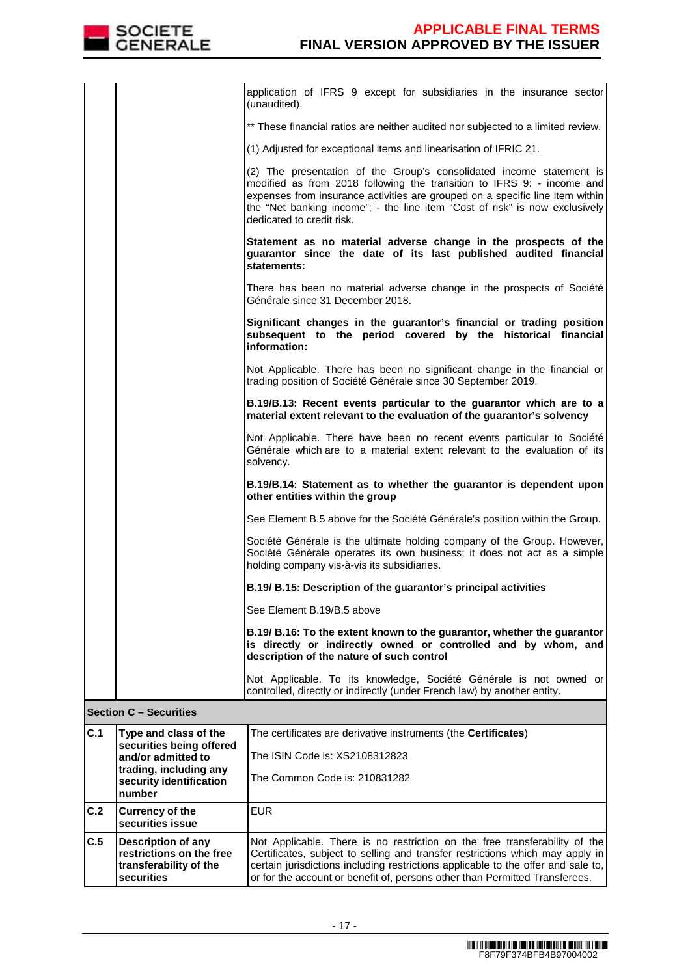|     |                                                             | application of IFRS 9 except for subsidiaries in the insurance sector<br>(unaudited).                                                                                                                                                                                                                                                       |
|-----|-------------------------------------------------------------|---------------------------------------------------------------------------------------------------------------------------------------------------------------------------------------------------------------------------------------------------------------------------------------------------------------------------------------------|
|     |                                                             | ** These financial ratios are neither audited nor subjected to a limited review.                                                                                                                                                                                                                                                            |
|     |                                                             | (1) Adjusted for exceptional items and linearisation of IFRIC 21.                                                                                                                                                                                                                                                                           |
|     |                                                             | (2) The presentation of the Group's consolidated income statement is<br>modified as from 2018 following the transition to IFRS 9: - income and<br>expenses from insurance activities are grouped on a specific line item within<br>the "Net banking income"; - the line item "Cost of risk" is now exclusively<br>dedicated to credit risk. |
|     |                                                             | Statement as no material adverse change in the prospects of the<br>guarantor since the date of its last published audited financial<br>statements:                                                                                                                                                                                          |
|     |                                                             | There has been no material adverse change in the prospects of Société<br>Générale since 31 December 2018.                                                                                                                                                                                                                                   |
|     |                                                             | Significant changes in the guarantor's financial or trading position<br>subsequent to the period covered by the historical financial<br>information:                                                                                                                                                                                        |
|     |                                                             | Not Applicable. There has been no significant change in the financial or<br>trading position of Société Générale since 30 September 2019.                                                                                                                                                                                                   |
|     |                                                             | B.19/B.13: Recent events particular to the guarantor which are to a<br>material extent relevant to the evaluation of the guarantor's solvency                                                                                                                                                                                               |
|     |                                                             | Not Applicable. There have been no recent events particular to Société<br>Générale which are to a material extent relevant to the evaluation of its<br>solvency.                                                                                                                                                                            |
|     |                                                             | B.19/B.14: Statement as to whether the guarantor is dependent upon<br>other entities within the group                                                                                                                                                                                                                                       |
|     |                                                             | See Element B.5 above for the Société Générale's position within the Group.                                                                                                                                                                                                                                                                 |
|     |                                                             | Société Générale is the ultimate holding company of the Group. However,<br>Société Générale operates its own business; it does not act as a simple<br>holding company vis-à-vis its subsidiaries.                                                                                                                                           |
|     |                                                             | B.19/ B.15: Description of the guarantor's principal activities                                                                                                                                                                                                                                                                             |
|     |                                                             | See Element B.19/B.5 above                                                                                                                                                                                                                                                                                                                  |
|     |                                                             | B.19/ B.16: To the extent known to the guarantor, whether the guarantor<br>is directly or indirectly owned or controlled and by whom, and<br>description of the nature of such control                                                                                                                                                      |
|     |                                                             | Not Applicable. To its knowledge, Société Générale is not owned or<br>controlled, directly or indirectly (under French law) by another entity.                                                                                                                                                                                              |
|     | <b>Section C - Securities</b>                               |                                                                                                                                                                                                                                                                                                                                             |
| C.1 | Type and class of the                                       | The certificates are derivative instruments (the <b>Certificates</b> )                                                                                                                                                                                                                                                                      |
|     | securities being offered<br>and/or admitted to              | The ISIN Code is: XS2108312823                                                                                                                                                                                                                                                                                                              |
|     | trading, including any<br>security identification<br>number | The Common Code is: 210831282                                                                                                                                                                                                                                                                                                               |
| C.2 | <b>Currency of the</b><br>securities issue                  | <b>EUR</b>                                                                                                                                                                                                                                                                                                                                  |
| C.5 | <b>Description of any</b><br>restrictions on the free       | Not Applicable. There is no restriction on the free transferability of the<br>Certificates, subject to selling and transfer restrictions which may apply in                                                                                                                                                                                 |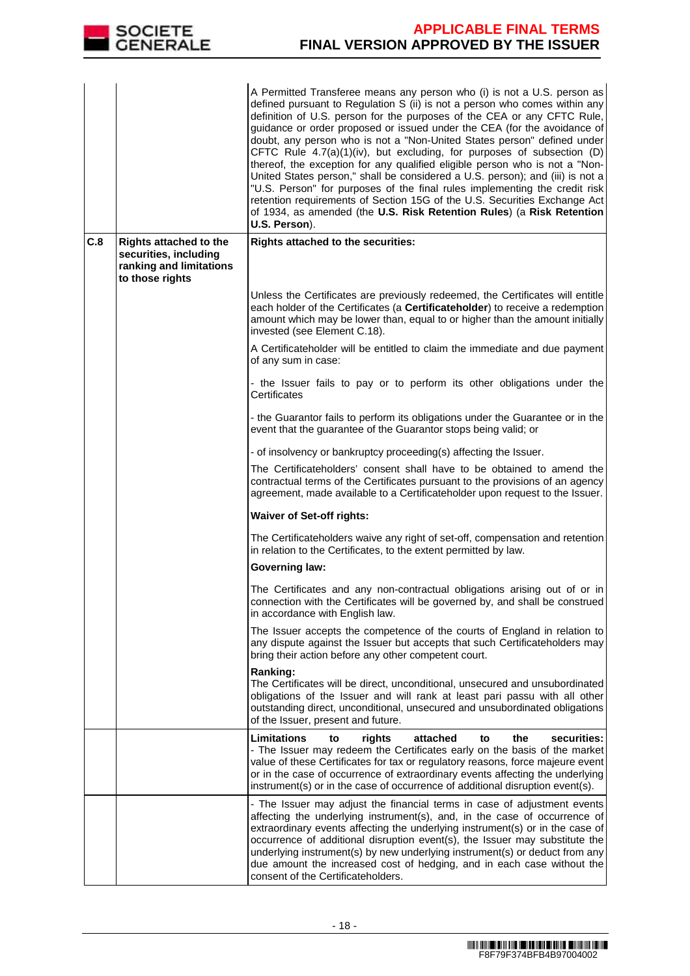

|     |                                                                                                      | A Permitted Transferee means any person who (i) is not a U.S. person as<br>defined pursuant to Regulation S (ii) is not a person who comes within any<br>definition of U.S. person for the purposes of the CEA or any CFTC Rule,<br>guidance or order proposed or issued under the CEA (for the avoidance of<br>doubt, any person who is not a "Non-United States person" defined under<br>CFTC Rule 4.7(a)(1)(iv), but excluding, for purposes of subsection (D)<br>thereof, the exception for any qualified eligible person who is not a "Non-<br>United States person," shall be considered a U.S. person); and (iii) is not a<br>"U.S. Person" for purposes of the final rules implementing the credit risk<br>retention requirements of Section 15G of the U.S. Securities Exchange Act<br>of 1934, as amended (the U.S. Risk Retention Rules) (a Risk Retention<br>U.S. Person). |
|-----|------------------------------------------------------------------------------------------------------|----------------------------------------------------------------------------------------------------------------------------------------------------------------------------------------------------------------------------------------------------------------------------------------------------------------------------------------------------------------------------------------------------------------------------------------------------------------------------------------------------------------------------------------------------------------------------------------------------------------------------------------------------------------------------------------------------------------------------------------------------------------------------------------------------------------------------------------------------------------------------------------|
| C.8 | <b>Rights attached to the</b><br>securities, including<br>ranking and limitations<br>to those rights | Rights attached to the securities:                                                                                                                                                                                                                                                                                                                                                                                                                                                                                                                                                                                                                                                                                                                                                                                                                                                     |
|     |                                                                                                      | Unless the Certificates are previously redeemed, the Certificates will entitle<br>each holder of the Certificates (a Certificateholder) to receive a redemption<br>amount which may be lower than, equal to or higher than the amount initially<br>invested (see Element C.18).                                                                                                                                                                                                                                                                                                                                                                                                                                                                                                                                                                                                        |
|     |                                                                                                      | A Certificateholder will be entitled to claim the immediate and due payment<br>of any sum in case:                                                                                                                                                                                                                                                                                                                                                                                                                                                                                                                                                                                                                                                                                                                                                                                     |
|     |                                                                                                      | - the Issuer fails to pay or to perform its other obligations under the<br>Certificates                                                                                                                                                                                                                                                                                                                                                                                                                                                                                                                                                                                                                                                                                                                                                                                                |
|     |                                                                                                      | - the Guarantor fails to perform its obligations under the Guarantee or in the<br>event that the guarantee of the Guarantor stops being valid; or                                                                                                                                                                                                                                                                                                                                                                                                                                                                                                                                                                                                                                                                                                                                      |
|     |                                                                                                      | - of insolvency or bankruptcy proceeding(s) affecting the Issuer.                                                                                                                                                                                                                                                                                                                                                                                                                                                                                                                                                                                                                                                                                                                                                                                                                      |
|     |                                                                                                      | The Certificateholders' consent shall have to be obtained to amend the<br>contractual terms of the Certificates pursuant to the provisions of an agency<br>agreement, made available to a Certificateholder upon request to the Issuer.                                                                                                                                                                                                                                                                                                                                                                                                                                                                                                                                                                                                                                                |
|     |                                                                                                      | <b>Waiver of Set-off rights:</b>                                                                                                                                                                                                                                                                                                                                                                                                                                                                                                                                                                                                                                                                                                                                                                                                                                                       |
|     |                                                                                                      | The Certificateholders waive any right of set-off, compensation and retention<br>in relation to the Certificates, to the extent permitted by law.                                                                                                                                                                                                                                                                                                                                                                                                                                                                                                                                                                                                                                                                                                                                      |
|     |                                                                                                      | <b>Governing law:</b>                                                                                                                                                                                                                                                                                                                                                                                                                                                                                                                                                                                                                                                                                                                                                                                                                                                                  |
|     |                                                                                                      | The Certificates and any non-contractual obligations arising out of or in<br>connection with the Certificates will be governed by, and shall be construed<br>in accordance with English law.                                                                                                                                                                                                                                                                                                                                                                                                                                                                                                                                                                                                                                                                                           |
|     |                                                                                                      | The Issuer accepts the competence of the courts of England in relation to<br>any dispute against the Issuer but accepts that such Certificateholders may<br>bring their action before any other competent court.                                                                                                                                                                                                                                                                                                                                                                                                                                                                                                                                                                                                                                                                       |
|     |                                                                                                      | Ranking:<br>The Certificates will be direct, unconditional, unsecured and unsubordinated<br>obligations of the Issuer and will rank at least pari passu with all other<br>outstanding direct, unconditional, unsecured and unsubordinated obligations<br>of the Issuer, present and future.                                                                                                                                                                                                                                                                                                                                                                                                                                                                                                                                                                                            |
|     |                                                                                                      | <b>Limitations</b><br>securities:<br>rights<br>attached<br>the<br>to<br>to<br>- The Issuer may redeem the Certificates early on the basis of the market<br>value of these Certificates for tax or regulatory reasons, force majeure event<br>or in the case of occurrence of extraordinary events affecting the underlying<br>instrument(s) or in the case of occurrence of additional disruption event(s).                                                                                                                                                                                                                                                                                                                                                                                                                                                                            |
|     |                                                                                                      | - The Issuer may adjust the financial terms in case of adjustment events<br>affecting the underlying instrument(s), and, in the case of occurrence of<br>extraordinary events affecting the underlying instrument(s) or in the case of<br>occurrence of additional disruption event(s), the Issuer may substitute the<br>underlying instrument(s) by new underlying instrument(s) or deduct from any<br>due amount the increased cost of hedging, and in each case without the<br>consent of the Certificateholders.                                                                                                                                                                                                                                                                                                                                                                   |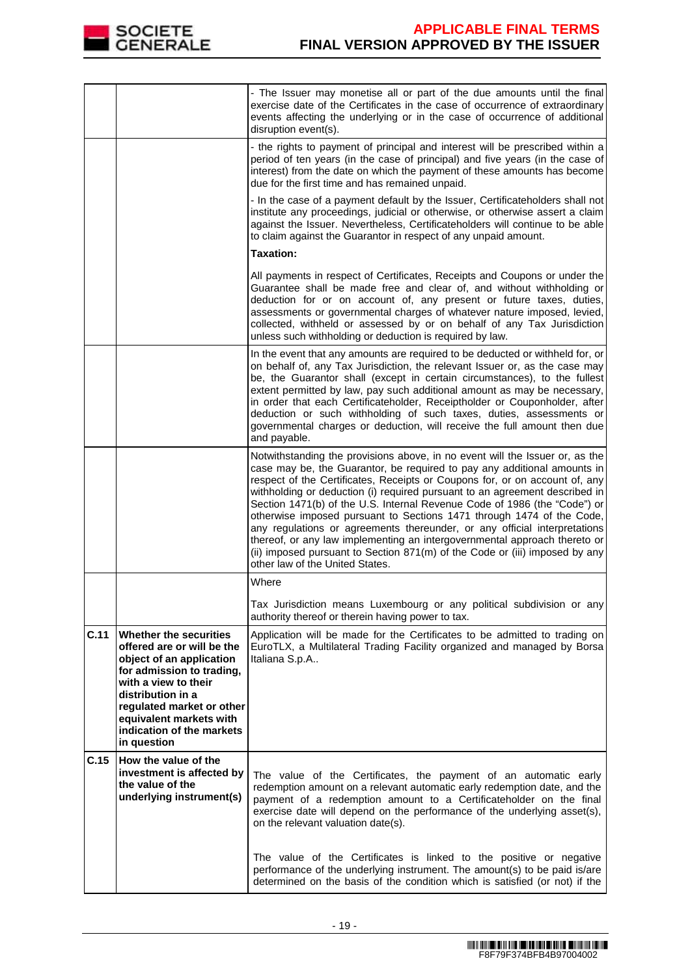

|      |                                                                                                                                                                                                                                                                | - The Issuer may monetise all or part of the due amounts until the final<br>exercise date of the Certificates in the case of occurrence of extraordinary<br>events affecting the underlying or in the case of occurrence of additional<br>disruption event(s).                                                                                                                                                                                                                                                                                                                                                                                                                                                                                           |
|------|----------------------------------------------------------------------------------------------------------------------------------------------------------------------------------------------------------------------------------------------------------------|----------------------------------------------------------------------------------------------------------------------------------------------------------------------------------------------------------------------------------------------------------------------------------------------------------------------------------------------------------------------------------------------------------------------------------------------------------------------------------------------------------------------------------------------------------------------------------------------------------------------------------------------------------------------------------------------------------------------------------------------------------|
|      |                                                                                                                                                                                                                                                                | - the rights to payment of principal and interest will be prescribed within a<br>period of ten years (in the case of principal) and five years (in the case of<br>interest) from the date on which the payment of these amounts has become<br>due for the first time and has remained unpaid.                                                                                                                                                                                                                                                                                                                                                                                                                                                            |
|      |                                                                                                                                                                                                                                                                | - In the case of a payment default by the Issuer, Certificateholders shall not<br>institute any proceedings, judicial or otherwise, or otherwise assert a claim<br>against the Issuer. Nevertheless, Certificateholders will continue to be able<br>to claim against the Guarantor in respect of any unpaid amount.                                                                                                                                                                                                                                                                                                                                                                                                                                      |
|      |                                                                                                                                                                                                                                                                | <b>Taxation:</b>                                                                                                                                                                                                                                                                                                                                                                                                                                                                                                                                                                                                                                                                                                                                         |
|      |                                                                                                                                                                                                                                                                | All payments in respect of Certificates, Receipts and Coupons or under the<br>Guarantee shall be made free and clear of, and without withholding or<br>deduction for or on account of, any present or future taxes, duties,<br>assessments or governmental charges of whatever nature imposed, levied,<br>collected, withheld or assessed by or on behalf of any Tax Jurisdiction<br>unless such withholding or deduction is required by law.                                                                                                                                                                                                                                                                                                            |
|      |                                                                                                                                                                                                                                                                | In the event that any amounts are required to be deducted or withheld for, or<br>on behalf of, any Tax Jurisdiction, the relevant Issuer or, as the case may<br>be, the Guarantor shall (except in certain circumstances), to the fullest<br>extent permitted by law, pay such additional amount as may be necessary,<br>in order that each Certificateholder, Receiptholder or Couponholder, after<br>deduction or such withholding of such taxes, duties, assessments or<br>governmental charges or deduction, will receive the full amount then due<br>and payable.                                                                                                                                                                                   |
|      |                                                                                                                                                                                                                                                                | Notwithstanding the provisions above, in no event will the Issuer or, as the<br>case may be, the Guarantor, be required to pay any additional amounts in<br>respect of the Certificates, Receipts or Coupons for, or on account of, any<br>withholding or deduction (i) required pursuant to an agreement described in<br>Section 1471(b) of the U.S. Internal Revenue Code of 1986 (the "Code") or<br>otherwise imposed pursuant to Sections 1471 through 1474 of the Code,<br>any regulations or agreements thereunder, or any official interpretations<br>thereof, or any law implementing an intergovernmental approach thereto or<br>(ii) imposed pursuant to Section 871(m) of the Code or (iii) imposed by any<br>other law of the United States. |
|      |                                                                                                                                                                                                                                                                | Where                                                                                                                                                                                                                                                                                                                                                                                                                                                                                                                                                                                                                                                                                                                                                    |
|      |                                                                                                                                                                                                                                                                | Tax Jurisdiction means Luxembourg or any political subdivision or any<br>authority thereof or therein having power to tax.                                                                                                                                                                                                                                                                                                                                                                                                                                                                                                                                                                                                                               |
| C.11 | Whether the securities<br>offered are or will be the<br>object of an application<br>for admission to trading,<br>with a view to their<br>distribution in a<br>regulated market or other<br>equivalent markets with<br>indication of the markets<br>in question | Application will be made for the Certificates to be admitted to trading on<br>EuroTLX, a Multilateral Trading Facility organized and managed by Borsa<br>Italiana S.p.A                                                                                                                                                                                                                                                                                                                                                                                                                                                                                                                                                                                  |
| C.15 | How the value of the<br>investment is affected by<br>the value of the<br>underlying instrument(s)                                                                                                                                                              | The value of the Certificates, the payment of an automatic early<br>redemption amount on a relevant automatic early redemption date, and the<br>payment of a redemption amount to a Certificateholder on the final<br>exercise date will depend on the performance of the underlying asset(s),<br>on the relevant valuation date(s).                                                                                                                                                                                                                                                                                                                                                                                                                     |
|      |                                                                                                                                                                                                                                                                | The value of the Certificates is linked to the positive or negative<br>performance of the underlying instrument. The amount(s) to be paid is/are<br>determined on the basis of the condition which is satisfied (or not) if the                                                                                                                                                                                                                                                                                                                                                                                                                                                                                                                          |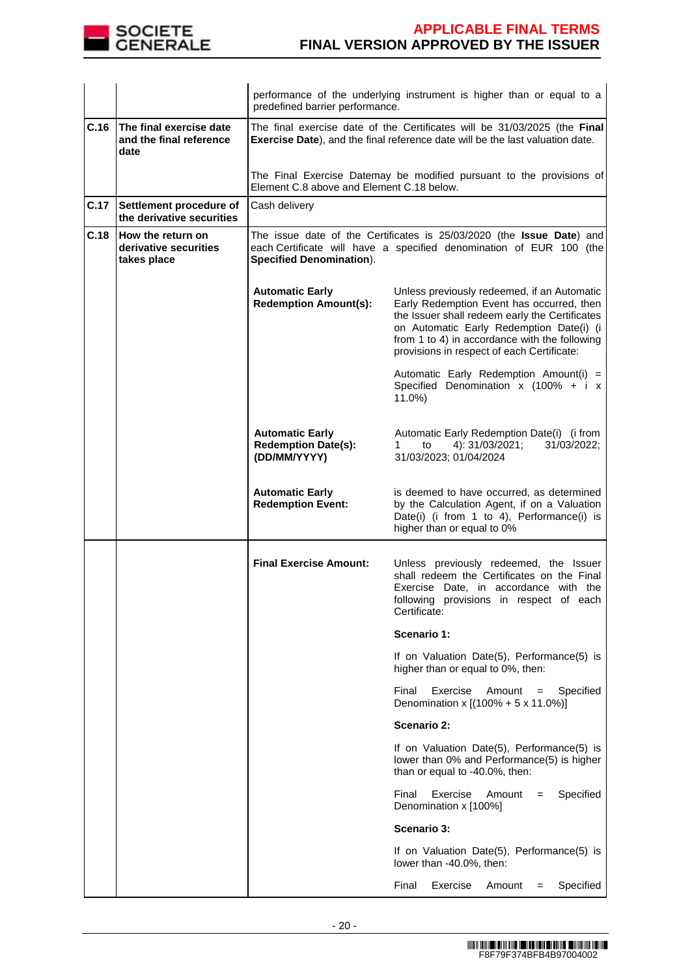

|      |                                                            | performance of the underlying instrument is higher than or equal to a<br>predefined barrier performance.                                                                                |                                                                                                                                                                                                                                                                                       |  |  |  |
|------|------------------------------------------------------------|-----------------------------------------------------------------------------------------------------------------------------------------------------------------------------------------|---------------------------------------------------------------------------------------------------------------------------------------------------------------------------------------------------------------------------------------------------------------------------------------|--|--|--|
| C.16 | The final exercise date<br>and the final reference<br>date |                                                                                                                                                                                         | The final exercise date of the Certificates will be 31/03/2025 (the Final<br>Exercise Date), and the final reference date will be the last valuation date.                                                                                                                            |  |  |  |
|      |                                                            | Element C.8 above and Element C.18 below.                                                                                                                                               | The Final Exercise Datemay be modified pursuant to the provisions of                                                                                                                                                                                                                  |  |  |  |
| C.17 | Settlement procedure of<br>the derivative securities       | Cash delivery                                                                                                                                                                           |                                                                                                                                                                                                                                                                                       |  |  |  |
| C.18 | How the return on<br>derivative securities<br>takes place  | The issue date of the Certificates is 25/03/2020 (the <b>Issue Date</b> ) and<br>each Certificate will have a specified denomination of EUR 100 (the<br><b>Specified Denomination).</b> |                                                                                                                                                                                                                                                                                       |  |  |  |
|      |                                                            | <b>Automatic Early</b><br><b>Redemption Amount(s):</b>                                                                                                                                  | Unless previously redeemed, if an Automatic<br>Early Redemption Event has occurred, then<br>the Issuer shall redeem early the Certificates<br>on Automatic Early Redemption Date(i) (i<br>from 1 to 4) in accordance with the following<br>provisions in respect of each Certificate: |  |  |  |
|      |                                                            |                                                                                                                                                                                         | Automatic Early Redemption Amount(i) =<br>Specified Denomination $x$ (100% + i $x$<br>11.0%)                                                                                                                                                                                          |  |  |  |
|      |                                                            | <b>Automatic Early</b><br><b>Redemption Date(s):</b><br>(DD/MM/YYYY)                                                                                                                    | Automatic Early Redemption Date(i) (i from<br>31/03/2022;<br>4): 31/03/2021;<br>to<br>1<br>31/03/2023; 01/04/2024                                                                                                                                                                     |  |  |  |
|      |                                                            | <b>Automatic Early</b><br><b>Redemption Event:</b>                                                                                                                                      | is deemed to have occurred, as determined<br>by the Calculation Agent, if on a Valuation<br>Date(i) (i from 1 to 4), Performance(i) is<br>higher than or equal to 0%                                                                                                                  |  |  |  |
|      |                                                            | <b>Final Exercise Amount:</b>                                                                                                                                                           | Unless previously redeemed, the Issuer<br>shall redeem the Certificates on the Final<br>Exercise Date, in accordance with the<br>following provisions in respect of each<br>Certificate:                                                                                              |  |  |  |
|      |                                                            |                                                                                                                                                                                         | Scenario 1:                                                                                                                                                                                                                                                                           |  |  |  |
|      |                                                            |                                                                                                                                                                                         | If on Valuation Date(5), Performance(5) is<br>higher than or equal to 0%, then:                                                                                                                                                                                                       |  |  |  |
|      |                                                            |                                                                                                                                                                                         | Exercise<br>Final<br>Amount<br>Specified<br>$\,=\,$<br>Denomination x [(100% + 5 x 11.0%)]                                                                                                                                                                                            |  |  |  |
|      |                                                            |                                                                                                                                                                                         | <b>Scenario 2:</b>                                                                                                                                                                                                                                                                    |  |  |  |
|      |                                                            |                                                                                                                                                                                         | If on Valuation Date(5), Performance(5) is<br>lower than 0% and Performance(5) is higher<br>than or equal to -40.0%, then:                                                                                                                                                            |  |  |  |
|      |                                                            |                                                                                                                                                                                         | Final<br>Exercise<br>Specified<br>Amount<br>$=$<br>Denomination x [100%]                                                                                                                                                                                                              |  |  |  |
|      |                                                            |                                                                                                                                                                                         | Scenario 3:                                                                                                                                                                                                                                                                           |  |  |  |
|      |                                                            |                                                                                                                                                                                         | If on Valuation Date(5), Performance(5) is<br>lower than -40.0%, then:                                                                                                                                                                                                                |  |  |  |
|      |                                                            |                                                                                                                                                                                         | Final<br>Exercise<br>Specified<br>Amount<br>$=$                                                                                                                                                                                                                                       |  |  |  |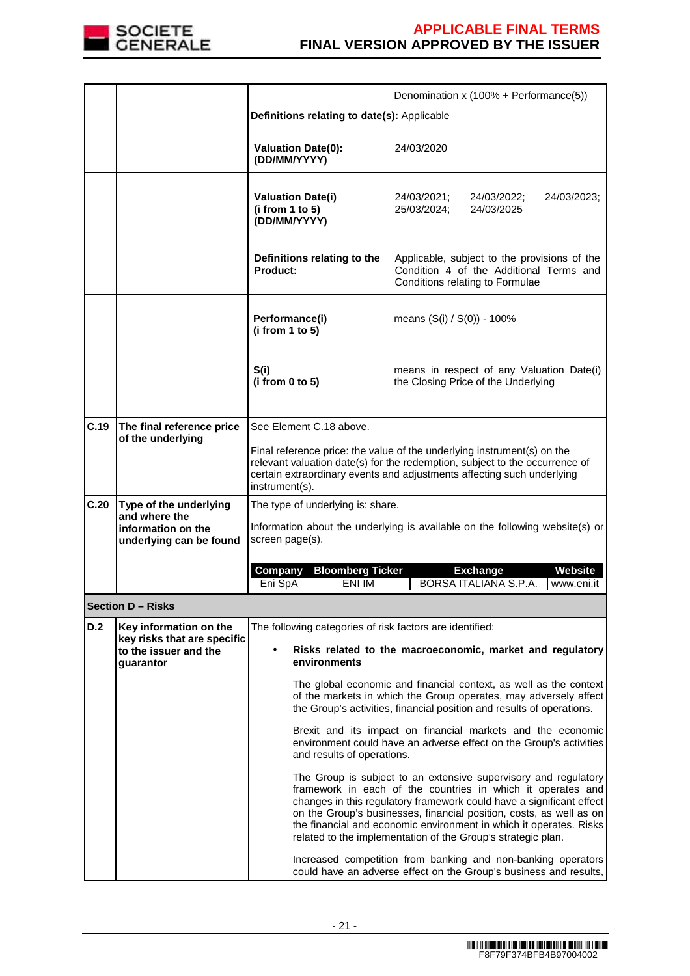

|      |                                                                                          |                                                                                                                                                                                                                                                                                                                                                                                                                     | Denomination x (100% + Performance(5))                                                                                                                                                                         |  |  |  |
|------|------------------------------------------------------------------------------------------|---------------------------------------------------------------------------------------------------------------------------------------------------------------------------------------------------------------------------------------------------------------------------------------------------------------------------------------------------------------------------------------------------------------------|----------------------------------------------------------------------------------------------------------------------------------------------------------------------------------------------------------------|--|--|--|
|      |                                                                                          | Definitions relating to date(s): Applicable                                                                                                                                                                                                                                                                                                                                                                         |                                                                                                                                                                                                                |  |  |  |
|      |                                                                                          |                                                                                                                                                                                                                                                                                                                                                                                                                     |                                                                                                                                                                                                                |  |  |  |
|      |                                                                                          | <b>Valuation Date(0):</b><br>(DD/MM/YYYY)                                                                                                                                                                                                                                                                                                                                                                           | 24/03/2020                                                                                                                                                                                                     |  |  |  |
|      |                                                                                          | <b>Valuation Date(i)</b><br>(i from 1 to 5)<br>(DD/MM/YYYY)                                                                                                                                                                                                                                                                                                                                                         | 24/03/2021;<br>24/03/2022;<br>24/03/2023:<br>25/03/2024;<br>24/03/2025                                                                                                                                         |  |  |  |
|      |                                                                                          | Definitions relating to the<br><b>Product:</b>                                                                                                                                                                                                                                                                                                                                                                      | Applicable, subject to the provisions of the<br>Condition 4 of the Additional Terms and<br>Conditions relating to Formulae                                                                                     |  |  |  |
|      |                                                                                          | Performance(i)<br>(i from 1 to 5)                                                                                                                                                                                                                                                                                                                                                                                   | means $(S(i) / S(0)) - 100\%$                                                                                                                                                                                  |  |  |  |
|      |                                                                                          | S(i)<br>(i from 0 to 5)                                                                                                                                                                                                                                                                                                                                                                                             | means in respect of any Valuation Date(i)<br>the Closing Price of the Underlying                                                                                                                               |  |  |  |
| C.19 | The final reference price<br>of the underlying                                           | See Element C.18 above.<br>Final reference price: the value of the underlying instrument(s) on the<br>relevant valuation date(s) for the redemption, subject to the occurrence of<br>certain extraordinary events and adjustments affecting such underlying<br>instrument(s).                                                                                                                                       |                                                                                                                                                                                                                |  |  |  |
| C.20 | Type of the underlying<br>and where the<br>information on the<br>underlying can be found | The type of underlying is: share.<br>Information about the underlying is available on the following website(s) or<br>screen page(s).                                                                                                                                                                                                                                                                                |                                                                                                                                                                                                                |  |  |  |
|      |                                                                                          | <b>Bloomberg Ticker</b><br>Company<br>Eni SpA<br>ENI IM                                                                                                                                                                                                                                                                                                                                                             | <b>Exchange</b><br><b>Website</b><br>BORSA ITALIANA S.P.A.<br>www.eni.it                                                                                                                                       |  |  |  |
|      | <b>Section D - Risks</b>                                                                 |                                                                                                                                                                                                                                                                                                                                                                                                                     |                                                                                                                                                                                                                |  |  |  |
| D.2  | Key information on the                                                                   | The following categories of risk factors are identified:                                                                                                                                                                                                                                                                                                                                                            |                                                                                                                                                                                                                |  |  |  |
|      | key risks that are specific<br>to the issuer and the<br>quarantor                        | environments                                                                                                                                                                                                                                                                                                                                                                                                        | Risks related to the macroeconomic, market and regulatory                                                                                                                                                      |  |  |  |
|      |                                                                                          |                                                                                                                                                                                                                                                                                                                                                                                                                     | The global economic and financial context, as well as the context<br>of the markets in which the Group operates, may adversely affect<br>the Group's activities, financial position and results of operations. |  |  |  |
|      |                                                                                          | and results of operations.                                                                                                                                                                                                                                                                                                                                                                                          | Brexit and its impact on financial markets and the economic<br>environment could have an adverse effect on the Group's activities                                                                              |  |  |  |
|      |                                                                                          | The Group is subject to an extensive supervisory and regulatory<br>framework in each of the countries in which it operates and<br>changes in this regulatory framework could have a significant effect<br>on the Group's businesses, financial position, costs, as well as on<br>the financial and economic environment in which it operates. Risks<br>related to the implementation of the Group's strategic plan. |                                                                                                                                                                                                                |  |  |  |
|      |                                                                                          |                                                                                                                                                                                                                                                                                                                                                                                                                     | Increased competition from banking and non-banking operators<br>could have an adverse effect on the Group's business and results,                                                                              |  |  |  |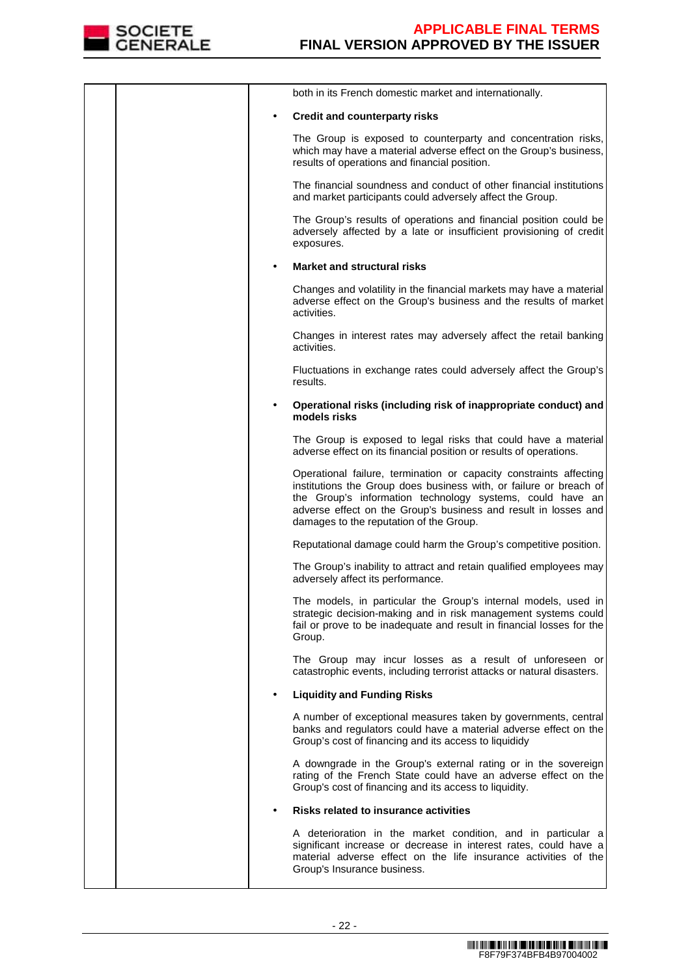

|  | both in its French domestic market and internationally.                                                                                                                                                                                                                                                             |
|--|---------------------------------------------------------------------------------------------------------------------------------------------------------------------------------------------------------------------------------------------------------------------------------------------------------------------|
|  | <b>Credit and counterparty risks</b>                                                                                                                                                                                                                                                                                |
|  | The Group is exposed to counterparty and concentration risks,<br>which may have a material adverse effect on the Group's business,<br>results of operations and financial position.                                                                                                                                 |
|  | The financial soundness and conduct of other financial institutions<br>and market participants could adversely affect the Group.                                                                                                                                                                                    |
|  | The Group's results of operations and financial position could be<br>adversely affected by a late or insufficient provisioning of credit<br>exposures.                                                                                                                                                              |
|  | <b>Market and structural risks</b>                                                                                                                                                                                                                                                                                  |
|  | Changes and volatility in the financial markets may have a material<br>adverse effect on the Group's business and the results of market<br>activities.                                                                                                                                                              |
|  | Changes in interest rates may adversely affect the retail banking<br>activities.                                                                                                                                                                                                                                    |
|  | Fluctuations in exchange rates could adversely affect the Group's<br>results.                                                                                                                                                                                                                                       |
|  | Operational risks (including risk of inappropriate conduct) and<br>models risks                                                                                                                                                                                                                                     |
|  | The Group is exposed to legal risks that could have a material<br>adverse effect on its financial position or results of operations.                                                                                                                                                                                |
|  | Operational failure, termination or capacity constraints affecting<br>institutions the Group does business with, or failure or breach of<br>the Group's information technology systems, could have an<br>adverse effect on the Group's business and result in losses and<br>damages to the reputation of the Group. |
|  | Reputational damage could harm the Group's competitive position.                                                                                                                                                                                                                                                    |
|  | The Group's inability to attract and retain qualified employees may<br>adversely affect its performance.                                                                                                                                                                                                            |
|  | The models, in particular the Group's internal models, used in<br>strategic decision-making and in risk management systems could<br>fail or prove to be inadequate and result in financial losses for the<br>Group.                                                                                                 |
|  | The Group may incur losses as a result of unforeseen or<br>catastrophic events, including terrorist attacks or natural disasters.                                                                                                                                                                                   |
|  | <b>Liquidity and Funding Risks</b>                                                                                                                                                                                                                                                                                  |
|  | A number of exceptional measures taken by governments, central<br>banks and regulators could have a material adverse effect on the<br>Group's cost of financing and its access to liquididy                                                                                                                         |
|  | A downgrade in the Group's external rating or in the sovereign<br>rating of the French State could have an adverse effect on the<br>Group's cost of financing and its access to liquidity.                                                                                                                          |
|  | <b>Risks related to insurance activities</b>                                                                                                                                                                                                                                                                        |
|  | A deterioration in the market condition, and in particular a<br>significant increase or decrease in interest rates, could have a<br>material adverse effect on the life insurance activities of the<br>Group's Insurance business.                                                                                  |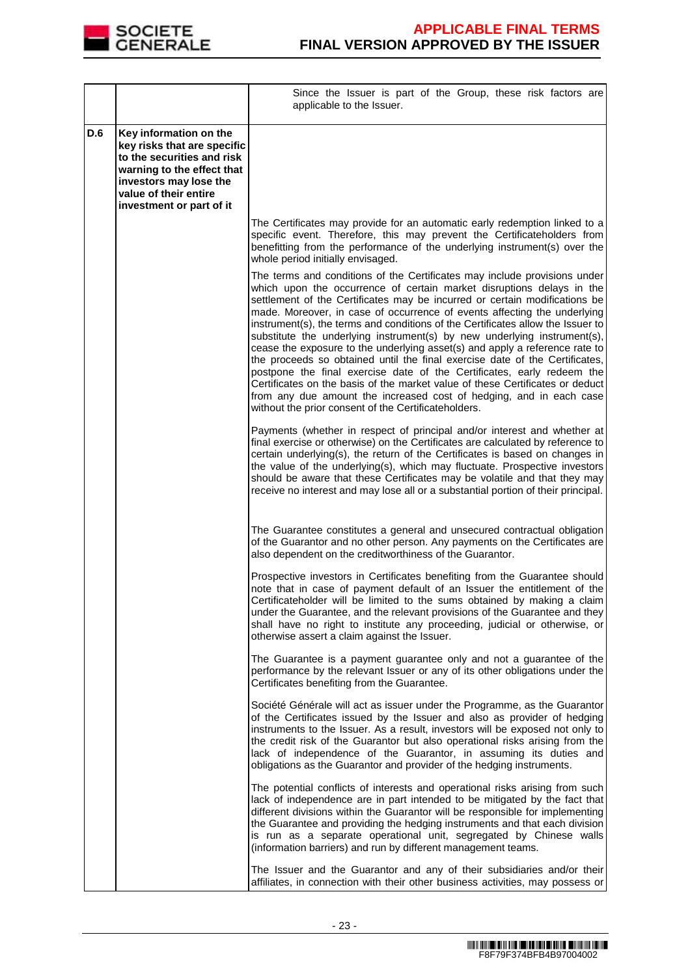

|            |                                                                                                                                                                                                  | Since the Issuer is part of the Group, these risk factors are<br>applicable to the Issuer.                                                                                                                                                                                                                                                                                                                                                                                                                                                                                                                                                                                                                                                                                                                                                                                                                                          |
|------------|--------------------------------------------------------------------------------------------------------------------------------------------------------------------------------------------------|-------------------------------------------------------------------------------------------------------------------------------------------------------------------------------------------------------------------------------------------------------------------------------------------------------------------------------------------------------------------------------------------------------------------------------------------------------------------------------------------------------------------------------------------------------------------------------------------------------------------------------------------------------------------------------------------------------------------------------------------------------------------------------------------------------------------------------------------------------------------------------------------------------------------------------------|
| <b>D.6</b> | Key information on the<br>key risks that are specific<br>to the securities and risk<br>warning to the effect that<br>investors may lose the<br>value of their entire<br>investment or part of it |                                                                                                                                                                                                                                                                                                                                                                                                                                                                                                                                                                                                                                                                                                                                                                                                                                                                                                                                     |
|            |                                                                                                                                                                                                  | The Certificates may provide for an automatic early redemption linked to a<br>specific event. Therefore, this may prevent the Certificateholders from<br>benefitting from the performance of the underlying instrument(s) over the<br>whole period initially envisaged.                                                                                                                                                                                                                                                                                                                                                                                                                                                                                                                                                                                                                                                             |
|            |                                                                                                                                                                                                  | The terms and conditions of the Certificates may include provisions under<br>which upon the occurrence of certain market disruptions delays in the<br>settlement of the Certificates may be incurred or certain modifications be<br>made. Moreover, in case of occurrence of events affecting the underlying<br>instrument(s), the terms and conditions of the Certificates allow the Issuer to<br>substitute the underlying instrument(s) by new underlying instrument(s),<br>cease the exposure to the underlying asset(s) and apply a reference rate to<br>the proceeds so obtained until the final exercise date of the Certificates,<br>postpone the final exercise date of the Certificates, early redeem the<br>Certificates on the basis of the market value of these Certificates or deduct<br>from any due amount the increased cost of hedging, and in each case<br>without the prior consent of the Certificateholders. |
|            |                                                                                                                                                                                                  | Payments (whether in respect of principal and/or interest and whether at<br>final exercise or otherwise) on the Certificates are calculated by reference to<br>certain underlying(s), the return of the Certificates is based on changes in<br>the value of the underlying(s), which may fluctuate. Prospective investors<br>should be aware that these Certificates may be volatile and that they may<br>receive no interest and may lose all or a substantial portion of their principal.                                                                                                                                                                                                                                                                                                                                                                                                                                         |
|            |                                                                                                                                                                                                  | The Guarantee constitutes a general and unsecured contractual obligation<br>of the Guarantor and no other person. Any payments on the Certificates are<br>also dependent on the creditworthiness of the Guarantor.                                                                                                                                                                                                                                                                                                                                                                                                                                                                                                                                                                                                                                                                                                                  |
|            |                                                                                                                                                                                                  | Prospective investors in Certificates benefiting from the Guarantee should<br>note that in case of payment default of an Issuer the entitlement of the<br>Certificateholder will be limited to the sums obtained by making a claim<br>under the Guarantee, and the relevant provisions of the Guarantee and they<br>shall have no right to institute any proceeding, judicial or otherwise, or<br>otherwise assert a claim against the Issuer.                                                                                                                                                                                                                                                                                                                                                                                                                                                                                      |
|            |                                                                                                                                                                                                  | The Guarantee is a payment guarantee only and not a guarantee of the<br>performance by the relevant Issuer or any of its other obligations under the<br>Certificates benefiting from the Guarantee.                                                                                                                                                                                                                                                                                                                                                                                                                                                                                                                                                                                                                                                                                                                                 |
|            |                                                                                                                                                                                                  | Société Générale will act as issuer under the Programme, as the Guarantor<br>of the Certificates issued by the Issuer and also as provider of hedging<br>instruments to the Issuer. As a result, investors will be exposed not only to<br>the credit risk of the Guarantor but also operational risks arising from the<br>lack of independence of the Guarantor, in assuming its duties and<br>obligations as the Guarantor and provider of the hedging instruments.                                                                                                                                                                                                                                                                                                                                                                                                                                                                |
|            |                                                                                                                                                                                                  | The potential conflicts of interests and operational risks arising from such<br>lack of independence are in part intended to be mitigated by the fact that<br>different divisions within the Guarantor will be responsible for implementing<br>the Guarantee and providing the hedging instruments and that each division<br>is run as a separate operational unit, segregated by Chinese walls<br>(information barriers) and run by different management teams.                                                                                                                                                                                                                                                                                                                                                                                                                                                                    |
|            |                                                                                                                                                                                                  | The Issuer and the Guarantor and any of their subsidiaries and/or their<br>affiliates, in connection with their other business activities, may possess or                                                                                                                                                                                                                                                                                                                                                                                                                                                                                                                                                                                                                                                                                                                                                                           |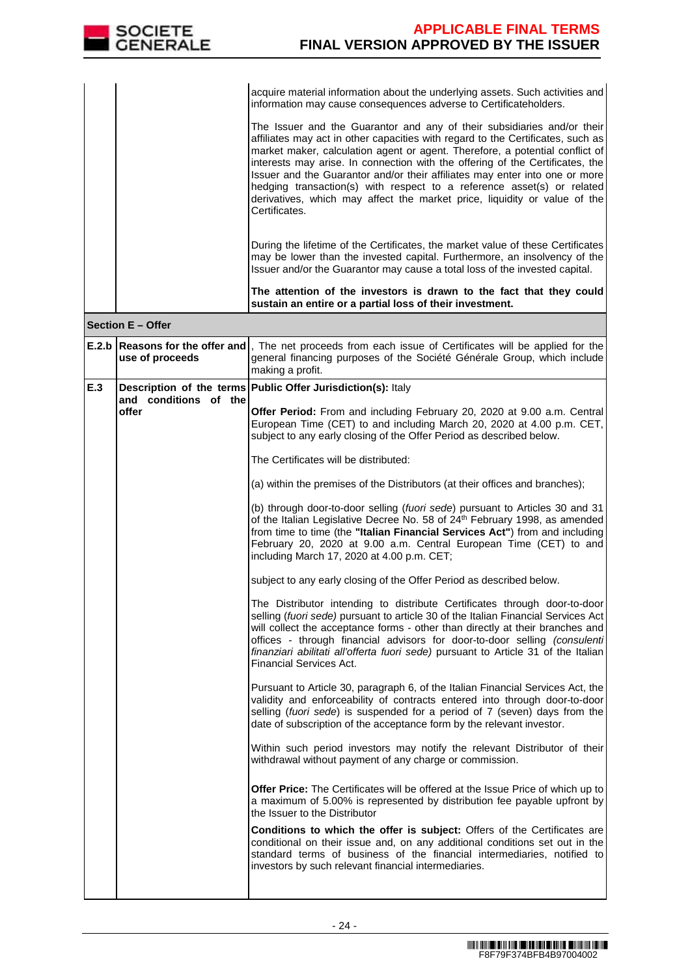

|     |                       | acquire material information about the underlying assets. Such activities and<br>information may cause consequences adverse to Certificateholders.<br>The Issuer and the Guarantor and any of their subsidiaries and/or their<br>affiliates may act in other capacities with regard to the Certificates, such as<br>market maker, calculation agent or agent. Therefore, a potential conflict of<br>interests may arise. In connection with the offering of the Certificates, the<br>Issuer and the Guarantor and/or their affiliates may enter into one or more<br>hedging transaction(s) with respect to a reference asset(s) or related<br>derivatives, which may affect the market price, liquidity or value of the<br>Certificates.<br>During the lifetime of the Certificates, the market value of these Certificates<br>may be lower than the invested capital. Furthermore, an insolvency of the<br>Issuer and/or the Guarantor may cause a total loss of the invested capital.<br>The attention of the investors is drawn to the fact that they could<br>sustain an entire or a partial loss of their investment. |
|-----|-----------------------|----------------------------------------------------------------------------------------------------------------------------------------------------------------------------------------------------------------------------------------------------------------------------------------------------------------------------------------------------------------------------------------------------------------------------------------------------------------------------------------------------------------------------------------------------------------------------------------------------------------------------------------------------------------------------------------------------------------------------------------------------------------------------------------------------------------------------------------------------------------------------------------------------------------------------------------------------------------------------------------------------------------------------------------------------------------------------------------------------------------------------|
|     | Section E - Offer     |                                                                                                                                                                                                                                                                                                                                                                                                                                                                                                                                                                                                                                                                                                                                                                                                                                                                                                                                                                                                                                                                                                                            |
|     | use of proceeds       | <b>E.2.b Reasons for the offer and</b> , The net proceeds from each issue of Certificates will be applied for the<br>general financing purposes of the Société Générale Group, which include<br>making a profit.                                                                                                                                                                                                                                                                                                                                                                                                                                                                                                                                                                                                                                                                                                                                                                                                                                                                                                           |
| E.3 | and conditions of the | Description of the terms Public Offer Jurisdiction(s): Italy                                                                                                                                                                                                                                                                                                                                                                                                                                                                                                                                                                                                                                                                                                                                                                                                                                                                                                                                                                                                                                                               |
|     | offer                 | Offer Period: From and including February 20, 2020 at 9.00 a.m. Central<br>European Time (CET) to and including March 20, 2020 at 4.00 p.m. CET,<br>subject to any early closing of the Offer Period as described below.                                                                                                                                                                                                                                                                                                                                                                                                                                                                                                                                                                                                                                                                                                                                                                                                                                                                                                   |
|     |                       | The Certificates will be distributed:                                                                                                                                                                                                                                                                                                                                                                                                                                                                                                                                                                                                                                                                                                                                                                                                                                                                                                                                                                                                                                                                                      |
|     |                       | (a) within the premises of the Distributors (at their offices and branches);                                                                                                                                                                                                                                                                                                                                                                                                                                                                                                                                                                                                                                                                                                                                                                                                                                                                                                                                                                                                                                               |
|     |                       | (b) through door-to-door selling (fuori sede) pursuant to Articles 30 and 31<br>of the Italian Legislative Decree No. 58 of 24th February 1998, as amended<br>from time to time (the "Italian Financial Services Act") from and including<br>February 20, 2020 at 9.00 a.m. Central European Time (CET) to and<br>including March 17, 2020 at 4.00 p.m. CET;                                                                                                                                                                                                                                                                                                                                                                                                                                                                                                                                                                                                                                                                                                                                                               |
|     |                       | subject to any early closing of the Offer Period as described below.                                                                                                                                                                                                                                                                                                                                                                                                                                                                                                                                                                                                                                                                                                                                                                                                                                                                                                                                                                                                                                                       |
|     |                       | The Distributor intending to distribute Certificates through door-to-door<br>selling (fuori sede) pursuant to article 30 of the Italian Financial Services Act<br>will collect the acceptance forms - other than directly at their branches and<br>offices - through financial advisors for door-to-door selling (consulenti<br>finanziari abilitati all'offerta fuori sede) pursuant to Article 31 of the Italian<br><b>Financial Services Act.</b>                                                                                                                                                                                                                                                                                                                                                                                                                                                                                                                                                                                                                                                                       |
|     |                       | Pursuant to Article 30, paragraph 6, of the Italian Financial Services Act, the<br>validity and enforceability of contracts entered into through door-to-door<br>selling (fuori sede) is suspended for a period of 7 (seven) days from the<br>date of subscription of the acceptance form by the relevant investor.                                                                                                                                                                                                                                                                                                                                                                                                                                                                                                                                                                                                                                                                                                                                                                                                        |
|     |                       | Within such period investors may notify the relevant Distributor of their<br>withdrawal without payment of any charge or commission.                                                                                                                                                                                                                                                                                                                                                                                                                                                                                                                                                                                                                                                                                                                                                                                                                                                                                                                                                                                       |
|     |                       | Offer Price: The Certificates will be offered at the Issue Price of which up to<br>a maximum of 5.00% is represented by distribution fee payable upfront by<br>the Issuer to the Distributor                                                                                                                                                                                                                                                                                                                                                                                                                                                                                                                                                                                                                                                                                                                                                                                                                                                                                                                               |
|     |                       | Conditions to which the offer is subject: Offers of the Certificates are<br>conditional on their issue and, on any additional conditions set out in the<br>standard terms of business of the financial intermediaries, notified to<br>investors by such relevant financial intermediaries.                                                                                                                                                                                                                                                                                                                                                                                                                                                                                                                                                                                                                                                                                                                                                                                                                                 |
|     |                       |                                                                                                                                                                                                                                                                                                                                                                                                                                                                                                                                                                                                                                                                                                                                                                                                                                                                                                                                                                                                                                                                                                                            |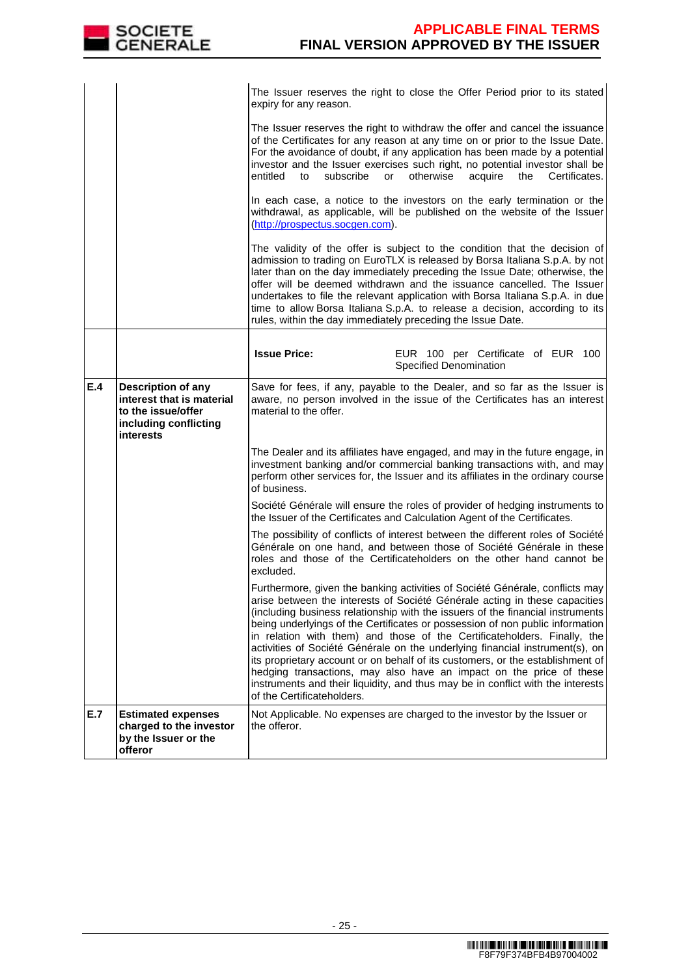| <b>SOCIETE</b>    |
|-------------------|
| <b>I GENERALE</b> |

|     |                                                                                                                    | The Issuer reserves the right to close the Offer Period prior to its stated<br>expiry for any reason.                                                                                                                                                                                                                                                                                                                                                                                                                                                                                                                                                                                                                                                               |
|-----|--------------------------------------------------------------------------------------------------------------------|---------------------------------------------------------------------------------------------------------------------------------------------------------------------------------------------------------------------------------------------------------------------------------------------------------------------------------------------------------------------------------------------------------------------------------------------------------------------------------------------------------------------------------------------------------------------------------------------------------------------------------------------------------------------------------------------------------------------------------------------------------------------|
|     |                                                                                                                    | The Issuer reserves the right to withdraw the offer and cancel the issuance<br>of the Certificates for any reason at any time on or prior to the Issue Date.<br>For the avoidance of doubt, if any application has been made by a potential<br>investor and the Issuer exercises such right, no potential investor shall be<br>entitled<br>subscribe<br>or<br>otherwise<br>acquire<br>the<br>Certificates.<br>to                                                                                                                                                                                                                                                                                                                                                    |
|     |                                                                                                                    | In each case, a notice to the investors on the early termination or the<br>withdrawal, as applicable, will be published on the website of the Issuer<br>(http://prospectus.socgen.com).                                                                                                                                                                                                                                                                                                                                                                                                                                                                                                                                                                             |
|     |                                                                                                                    | The validity of the offer is subject to the condition that the decision of<br>admission to trading on EuroTLX is released by Borsa Italiana S.p.A. by not<br>later than on the day immediately preceding the Issue Date; otherwise, the<br>offer will be deemed withdrawn and the issuance cancelled. The Issuer<br>undertakes to file the relevant application with Borsa Italiana S.p.A. in due<br>time to allow Borsa Italiana S.p.A. to release a decision, according to its<br>rules, within the day immediately preceding the Issue Date.                                                                                                                                                                                                                     |
|     |                                                                                                                    | <b>Issue Price:</b><br>EUR 100 per Certificate of EUR 100<br>Specified Denomination                                                                                                                                                                                                                                                                                                                                                                                                                                                                                                                                                                                                                                                                                 |
| E.4 | Description of any<br>interest that is material<br>to the issue/offer<br>including conflicting<br><b>interests</b> | Save for fees, if any, payable to the Dealer, and so far as the Issuer is<br>aware, no person involved in the issue of the Certificates has an interest<br>material to the offer.                                                                                                                                                                                                                                                                                                                                                                                                                                                                                                                                                                                   |
|     |                                                                                                                    | The Dealer and its affiliates have engaged, and may in the future engage, in<br>investment banking and/or commercial banking transactions with, and may<br>perform other services for, the Issuer and its affiliates in the ordinary course<br>of business.                                                                                                                                                                                                                                                                                                                                                                                                                                                                                                         |
|     |                                                                                                                    | Société Générale will ensure the roles of provider of hedging instruments to<br>the Issuer of the Certificates and Calculation Agent of the Certificates.                                                                                                                                                                                                                                                                                                                                                                                                                                                                                                                                                                                                           |
|     |                                                                                                                    | The possibility of conflicts of interest between the different roles of Société<br>Générale on one hand, and between those of Société Générale in these<br>roles and those of the Certificateholders on the other hand cannot be<br>excluded.                                                                                                                                                                                                                                                                                                                                                                                                                                                                                                                       |
|     |                                                                                                                    | Furthermore, given the banking activities of Société Générale, conflicts may<br>arise between the interests of Société Générale acting in these capacities<br>(including business relationship with the issuers of the financial instruments<br>being underlyings of the Certificates or possession of non public information<br>in relation with them) and those of the Certificateholders. Finally, the<br>activities of Société Générale on the underlying financial instrument(s), on<br>its proprietary account or on behalf of its customers, or the establishment of<br>hedging transactions, may also have an impact on the price of these<br>instruments and their liquidity, and thus may be in conflict with the interests<br>of the Certificateholders. |
| E.7 | <b>Estimated expenses</b><br>charged to the investor<br>by the Issuer or the<br>offeror                            | Not Applicable. No expenses are charged to the investor by the Issuer or<br>the offeror.                                                                                                                                                                                                                                                                                                                                                                                                                                                                                                                                                                                                                                                                            |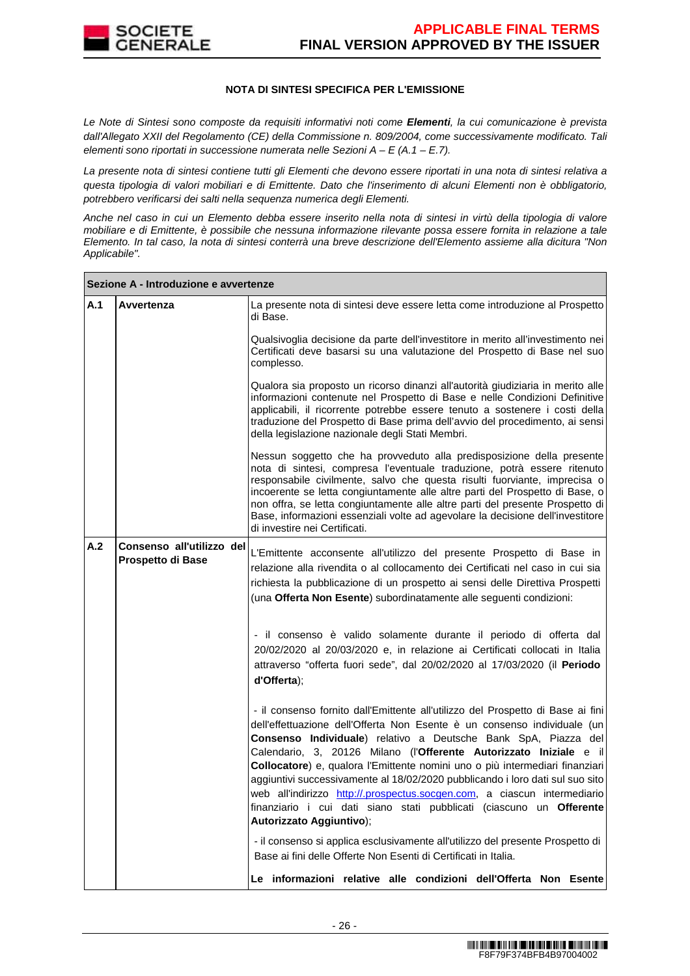

### **NOTA DI SINTESI SPECIFICA PER L'EMISSIONE**

Le Note di Sintesi sono composte da requisiti informativi noti come **Elementi**, la cui comunicazione è prevista dall'Allegato XXII del Regolamento (CE) della Commissione n. 809/2004, come successivamente modificato. Tali elementi sono riportati in successione numerata nelle Sezioni  $A - E(A.1 - E.7)$ .

La presente nota di sintesi contiene tutti gli Elementi che devono essere riportati in una nota di sintesi relativa a questa tipologia di valori mobiliari e di Emittente. Dato che l'inserimento di alcuni Elementi non è obbligatorio, potrebbero verificarsi dei salti nella sequenza numerica degli Elementi.

Anche nel caso in cui un Elemento debba essere inserito nella nota di sintesi in virtù della tipologia di valore mobiliare e di Emittente, è possibile che nessuna informazione rilevante possa essere fornita in relazione a tale Elemento. In tal caso, la nota di sintesi conterrà una breve descrizione dell'Elemento assieme alla dicitura "Non Applicabile".

|     | Sezione A - Introduzione e avvertenze          |                                                                                                                                                                                                                                                                                                                                                                                                                                                                                                                                                                                                                                                       |
|-----|------------------------------------------------|-------------------------------------------------------------------------------------------------------------------------------------------------------------------------------------------------------------------------------------------------------------------------------------------------------------------------------------------------------------------------------------------------------------------------------------------------------------------------------------------------------------------------------------------------------------------------------------------------------------------------------------------------------|
| A.1 | Avvertenza                                     | La presente nota di sintesi deve essere letta come introduzione al Prospetto<br>di Base.                                                                                                                                                                                                                                                                                                                                                                                                                                                                                                                                                              |
|     |                                                | Qualsivoglia decisione da parte dell'investitore in merito all'investimento nei<br>Certificati deve basarsi su una valutazione del Prospetto di Base nel suo<br>complesso.                                                                                                                                                                                                                                                                                                                                                                                                                                                                            |
|     |                                                | Qualora sia proposto un ricorso dinanzi all'autorità giudiziaria in merito alle<br>informazioni contenute nel Prospetto di Base e nelle Condizioni Definitive<br>applicabili, il ricorrente potrebbe essere tenuto a sostenere i costi della<br>traduzione del Prospetto di Base prima dell'avvio del procedimento, ai sensi<br>della legislazione nazionale degli Stati Membri.                                                                                                                                                                                                                                                                      |
|     |                                                | Nessun soggetto che ha provveduto alla predisposizione della presente<br>nota di sintesi, compresa l'eventuale traduzione, potrà essere ritenuto<br>responsabile civilmente, salvo che questa risulti fuorviante, imprecisa o<br>incoerente se letta congiuntamente alle altre parti del Prospetto di Base, o<br>non offra, se letta congiuntamente alle altre parti del presente Prospetto di<br>Base, informazioni essenziali volte ad agevolare la decisione dell'investitore<br>di investire nei Certificati.                                                                                                                                     |
| A.2 | Consenso all'utilizzo del<br>Prospetto di Base | L'Emittente acconsente all'utilizzo del presente Prospetto di Base in<br>relazione alla rivendita o al collocamento dei Certificati nel caso in cui sia<br>richiesta la pubblicazione di un prospetto ai sensi delle Direttiva Prospetti<br>(una Offerta Non Esente) subordinatamente alle seguenti condizioni:                                                                                                                                                                                                                                                                                                                                       |
|     |                                                | - il consenso è valido solamente durante il periodo di offerta dal<br>20/02/2020 al 20/03/2020 e, in relazione ai Certificati collocati in Italia<br>attraverso "offerta fuori sede", dal 20/02/2020 al 17/03/2020 (il Periodo<br>d'Offerta);                                                                                                                                                                                                                                                                                                                                                                                                         |
|     |                                                | - il consenso fornito dall'Emittente all'utilizzo del Prospetto di Base ai fini<br>dell'effettuazione dell'Offerta Non Esente è un consenso individuale (un<br>Consenso Individuale) relativo a Deutsche Bank SpA, Piazza del<br>Calendario, 3, 20126 Milano (l'Offerente Autorizzato Iniziale e il<br>Collocatore) e, qualora l'Emittente nomini uno o più intermediari finanziari<br>aggiuntivi successivamente al 18/02/2020 pubblicando i loro dati sul suo sito<br>web all'indirizzo http://.prospectus.socgen.com, a ciascun intermediario.<br>finanziario i cui dati siano stati pubblicati (ciascuno un Offerente<br>Autorizzato Aggiuntivo); |
|     |                                                | - il consenso si applica esclusivamente all'utilizzo del presente Prospetto di<br>Base ai fini delle Offerte Non Esenti di Certificati in Italia.                                                                                                                                                                                                                                                                                                                                                                                                                                                                                                     |
|     |                                                | Le informazioni relative alle condizioni dell'Offerta Non Esente                                                                                                                                                                                                                                                                                                                                                                                                                                                                                                                                                                                      |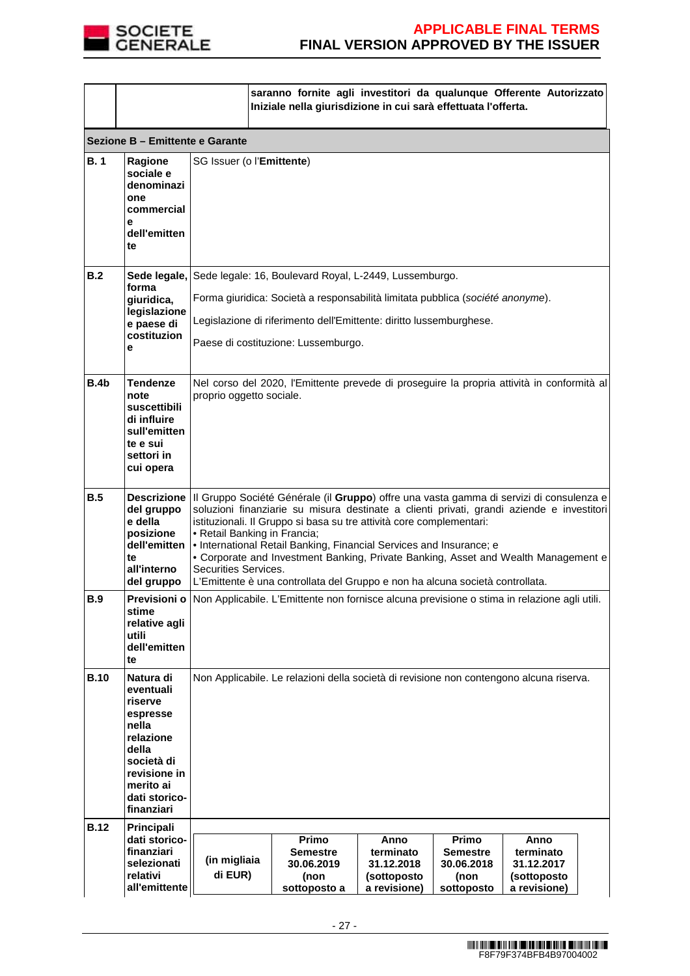

|             |                                                                                                                                                        |                                                                                                                                                                                                                                                                                                                                                                                                                                                                                                                                                                                  | saranno fornite agli investitori da qualunque Offerente Autorizzato<br>Iniziale nella giurisdizione in cui sarà effettuata l'offerta. |                                                                |                                                              |                                                                |  |
|-------------|--------------------------------------------------------------------------------------------------------------------------------------------------------|----------------------------------------------------------------------------------------------------------------------------------------------------------------------------------------------------------------------------------------------------------------------------------------------------------------------------------------------------------------------------------------------------------------------------------------------------------------------------------------------------------------------------------------------------------------------------------|---------------------------------------------------------------------------------------------------------------------------------------|----------------------------------------------------------------|--------------------------------------------------------------|----------------------------------------------------------------|--|
|             | Sezione B - Emittente e Garante                                                                                                                        |                                                                                                                                                                                                                                                                                                                                                                                                                                                                                                                                                                                  |                                                                                                                                       |                                                                |                                                              |                                                                |  |
| <b>B.1</b>  | Ragione<br>sociale e<br>denominazi<br>one<br>commercial<br>е<br>dell'emitten<br>te                                                                     |                                                                                                                                                                                                                                                                                                                                                                                                                                                                                                                                                                                  | SG Issuer (o l'Emittente)                                                                                                             |                                                                |                                                              |                                                                |  |
| B.2         | forma                                                                                                                                                  |                                                                                                                                                                                                                                                                                                                                                                                                                                                                                                                                                                                  | Sede legale, Sede legale: 16, Boulevard Royal, L-2449, Lussemburgo.                                                                   |                                                                |                                                              |                                                                |  |
|             | giuridica,<br>legislazione                                                                                                                             |                                                                                                                                                                                                                                                                                                                                                                                                                                                                                                                                                                                  | Forma giuridica: Società a responsabilità limitata pubblica (société anonyme).                                                        |                                                                |                                                              |                                                                |  |
|             | e paese di<br>costituzion                                                                                                                              |                                                                                                                                                                                                                                                                                                                                                                                                                                                                                                                                                                                  | Legislazione di riferimento dell'Emittente: diritto lussemburghese.                                                                   |                                                                |                                                              |                                                                |  |
|             | е                                                                                                                                                      |                                                                                                                                                                                                                                                                                                                                                                                                                                                                                                                                                                                  | Paese di costituzione: Lussemburgo.                                                                                                   |                                                                |                                                              |                                                                |  |
| B.4b        | Tendenze<br>note<br>suscettibili<br>di influire<br>sull'emitten<br>te e sui<br>settori in<br>cui opera                                                 | Nel corso del 2020, l'Emittente prevede di proseguire la propria attività in conformità al<br>proprio oggetto sociale.                                                                                                                                                                                                                                                                                                                                                                                                                                                           |                                                                                                                                       |                                                                |                                                              |                                                                |  |
| B.5         | del gruppo<br>e della<br>posizione<br>dell'emitten<br>te<br>all'interno<br>del gruppo                                                                  | Descrizione   Il Gruppo Société Générale (il Gruppo) offre una vasta gamma di servizi di consulenza e<br>soluzioni finanziarie su misura destinate a clienti privati, grandi aziende e investitori<br>istituzionali. Il Gruppo si basa su tre attività core complementari:<br>• Retail Banking in Francia;<br>• International Retail Banking, Financial Services and Insurance; e<br>• Corporate and Investment Banking, Private Banking, Asset and Wealth Management e<br>Securities Services.<br>L'Emittente è una controllata del Gruppo e non ha alcuna società controllata. |                                                                                                                                       |                                                                |                                                              |                                                                |  |
| <b>B.9</b>  | stime<br>relative agli<br>utili<br>dell'emitten<br>te                                                                                                  | Previsioni o Non Applicabile. L'Emittente non fornisce alcuna previsione o stima in relazione agli utili.                                                                                                                                                                                                                                                                                                                                                                                                                                                                        |                                                                                                                                       |                                                                |                                                              |                                                                |  |
| <b>B.10</b> | Natura di<br>eventuali<br>riserve<br>espresse<br>nella<br>relazione<br>della<br>società di<br>revisione in<br>merito ai<br>dati storico-<br>finanziari | Non Applicabile. Le relazioni della società di revisione non contengono alcuna riserva.                                                                                                                                                                                                                                                                                                                                                                                                                                                                                          |                                                                                                                                       |                                                                |                                                              |                                                                |  |
| <b>B.12</b> | Principali                                                                                                                                             |                                                                                                                                                                                                                                                                                                                                                                                                                                                                                                                                                                                  |                                                                                                                                       |                                                                |                                                              |                                                                |  |
|             | dati storico-<br>finanziari<br>selezionati<br>relativi<br>all'emittente                                                                                | (in migliaia<br>di EUR)                                                                                                                                                                                                                                                                                                                                                                                                                                                                                                                                                          | Primo<br><b>Semestre</b><br>30.06.2019<br>(non<br>sottoposto a                                                                        | Anno<br>terminato<br>31.12.2018<br>(sottoposto<br>a revisione) | Primo<br><b>Semestre</b><br>30.06.2018<br>(non<br>sottoposto | Anno<br>terminato<br>31.12.2017<br>(sottoposto<br>a revisione) |  |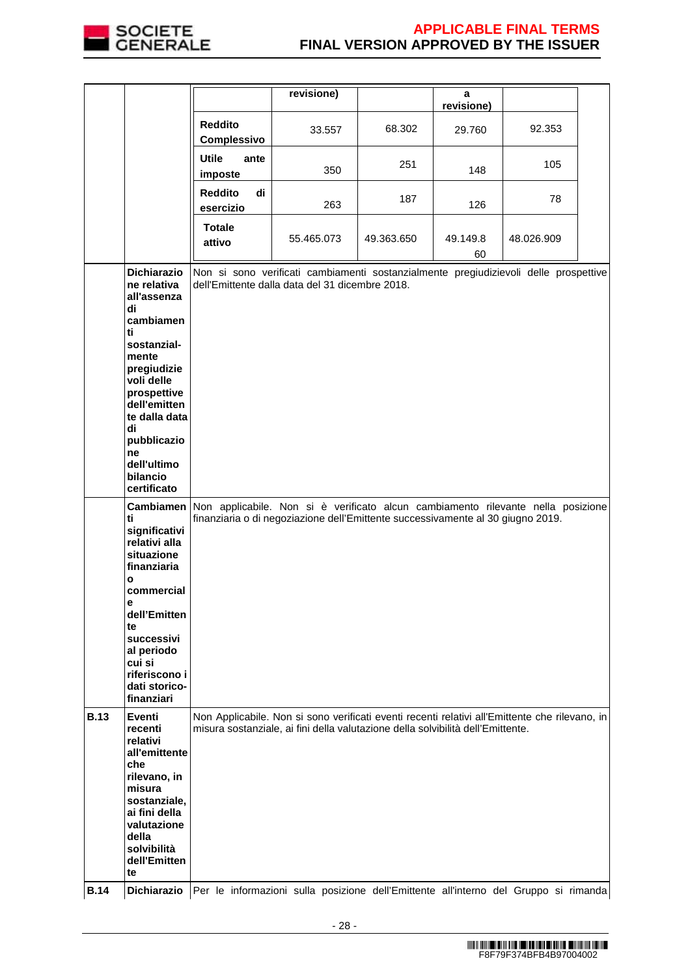

|             |                                                                                                                             |                                                                                                                                                                     | revisione)                                                                                                                                                                        |            | a              |            |  |
|-------------|-----------------------------------------------------------------------------------------------------------------------------|---------------------------------------------------------------------------------------------------------------------------------------------------------------------|-----------------------------------------------------------------------------------------------------------------------------------------------------------------------------------|------------|----------------|------------|--|
|             |                                                                                                                             |                                                                                                                                                                     |                                                                                                                                                                                   |            | revisione)     |            |  |
|             |                                                                                                                             | <b>Reddito</b><br>Complessivo                                                                                                                                       | 33.557                                                                                                                                                                            | 68.302     | 29.760         | 92.353     |  |
|             |                                                                                                                             | <b>Utile</b><br>ante<br>imposte                                                                                                                                     | 350                                                                                                                                                                               | 251        | 148            | 105        |  |
|             |                                                                                                                             | <b>Reddito</b><br>di<br>esercizio                                                                                                                                   | 263                                                                                                                                                                               | 187        | 126            | 78         |  |
|             |                                                                                                                             | <b>Totale</b><br>attivo                                                                                                                                             | 55.465.073                                                                                                                                                                        | 49.363.650 | 49.149.8<br>60 | 48.026.909 |  |
|             | <b>Dichiarazio</b><br>ne relativa<br>all'assenza<br>di                                                                      |                                                                                                                                                                     | Non si sono verificati cambiamenti sostanzialmente pregiudizievoli delle prospettive<br>dell'Emittente dalla data del 31 dicembre 2018.                                           |            |                |            |  |
|             | cambiamen<br>ti<br>sostanzial-                                                                                              |                                                                                                                                                                     |                                                                                                                                                                                   |            |                |            |  |
|             | mente<br>pregiudizie<br>voli delle<br>prospettive<br>dell'emitten<br>te dalla data                                          |                                                                                                                                                                     |                                                                                                                                                                                   |            |                |            |  |
|             | di<br>pubblicazio<br>ne                                                                                                     |                                                                                                                                                                     |                                                                                                                                                                                   |            |                |            |  |
|             | dell'ultimo<br>bilancio<br>certificato                                                                                      |                                                                                                                                                                     |                                                                                                                                                                                   |            |                |            |  |
|             | <b>Cambiamen</b><br>ti<br>significativi<br>relativi alla<br>situazione<br>finanziaria<br>$\mathbf{o}$                       | Non applicabile. Non si è verificato alcun cambiamento rilevante nella posizione<br>finanziaria o di negoziazione dell'Emittente successivamente al 30 giugno 2019. |                                                                                                                                                                                   |            |                |            |  |
|             | commercial<br>е<br>dell'Emitten                                                                                             |                                                                                                                                                                     |                                                                                                                                                                                   |            |                |            |  |
|             | te<br>successivi<br>al periodo<br>cui si<br>riferiscono i<br>dati storico-<br>finanziari                                    |                                                                                                                                                                     |                                                                                                                                                                                   |            |                |            |  |
| <b>B.13</b> | Eventi<br>recenti<br>relativi<br>all'emittente                                                                              |                                                                                                                                                                     | Non Applicabile. Non si sono verificati eventi recenti relativi all'Emittente che rilevano, in<br>misura sostanziale, ai fini della valutazione della solvibilità dell'Emittente. |            |                |            |  |
|             | che<br>rilevano, in<br>misura<br>sostanziale,<br>ai fini della<br>valutazione<br>della<br>solvibilità<br>dell'Emitten<br>te |                                                                                                                                                                     |                                                                                                                                                                                   |            |                |            |  |
| <b>B.14</b> | Dichiarazio                                                                                                                 |                                                                                                                                                                     | Per le informazioni sulla posizione dell'Emittente all'interno del Gruppo si rimanda                                                                                              |            |                |            |  |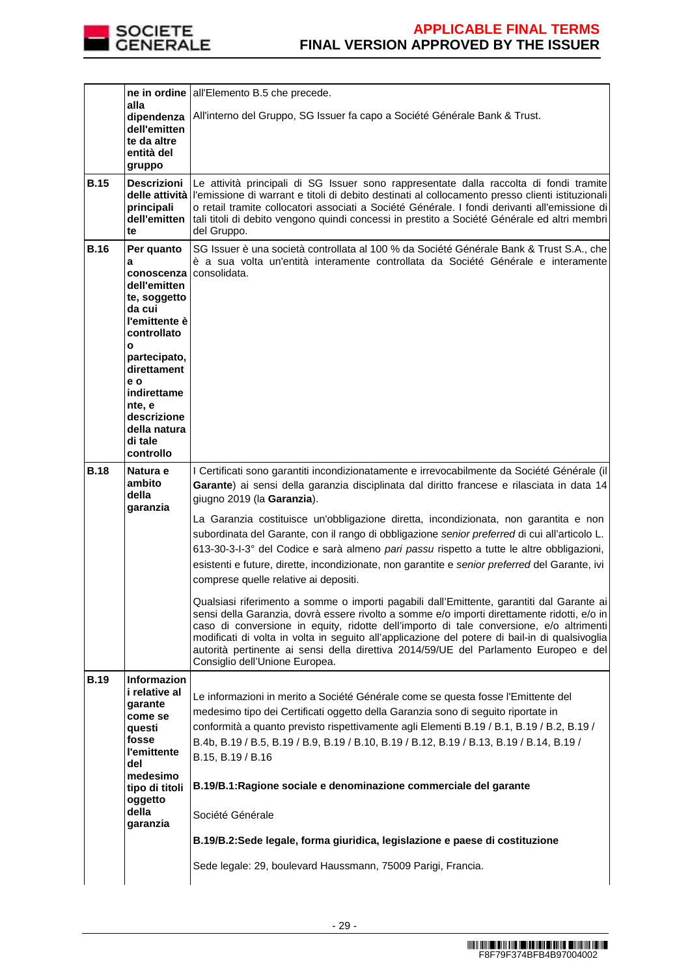

|             | alla                                                                                     | ne in ordine all'Elemento B.5 che precede.                                                                                                                                                                                                                                                                                                                                                                                                                                                                      |
|-------------|------------------------------------------------------------------------------------------|-----------------------------------------------------------------------------------------------------------------------------------------------------------------------------------------------------------------------------------------------------------------------------------------------------------------------------------------------------------------------------------------------------------------------------------------------------------------------------------------------------------------|
|             | dipendenza                                                                               | All'interno del Gruppo, SG Issuer fa capo a Société Générale Bank & Trust.                                                                                                                                                                                                                                                                                                                                                                                                                                      |
|             | dell'emitten<br>te da altre                                                              |                                                                                                                                                                                                                                                                                                                                                                                                                                                                                                                 |
|             | entità del                                                                               |                                                                                                                                                                                                                                                                                                                                                                                                                                                                                                                 |
|             | gruppo                                                                                   |                                                                                                                                                                                                                                                                                                                                                                                                                                                                                                                 |
| <b>B.15</b> | Descrizioni  <br>principali<br>dell'emitten<br>te                                        | Le attività principali di SG Issuer sono rappresentate dalla raccolta di fondi tramite<br>delle attività l'emissione di warrant e titoli di debito destinati al collocamento presso clienti istituzionali<br>o retail tramite collocatori associati a Société Générale. I fondi derivanti all'emissione di<br>tali titoli di debito vengono quindi concessi in prestito a Société Générale ed altri membri<br>del Gruppo.                                                                                       |
| <b>B.16</b> | Per quanto<br>a                                                                          | SG Issuer è una società controllata al 100 % da Société Générale Bank & Trust S.A., che<br>è a sua volta un'entità interamente controllata da Société Générale e interamente                                                                                                                                                                                                                                                                                                                                    |
|             | conoscenza l<br>dell'emitten<br>te, soggetto<br>da cui<br>l'emittente è<br>controllato   | consolidata.                                                                                                                                                                                                                                                                                                                                                                                                                                                                                                    |
|             | $\mathbf{o}$<br>partecipato,                                                             |                                                                                                                                                                                                                                                                                                                                                                                                                                                                                                                 |
|             | direttament<br>e o                                                                       |                                                                                                                                                                                                                                                                                                                                                                                                                                                                                                                 |
|             | indirettame<br>nte, e                                                                    |                                                                                                                                                                                                                                                                                                                                                                                                                                                                                                                 |
|             | descrizione                                                                              |                                                                                                                                                                                                                                                                                                                                                                                                                                                                                                                 |
|             | della natura<br>di tale                                                                  |                                                                                                                                                                                                                                                                                                                                                                                                                                                                                                                 |
|             | controllo                                                                                |                                                                                                                                                                                                                                                                                                                                                                                                                                                                                                                 |
| <b>B.18</b> | Natura e<br>ambito<br>della                                                              | I Certificati sono garantiti incondizionatamente e irrevocabilmente da Société Générale (il<br>Garante) ai sensi della garanzia disciplinata dal diritto francese e rilasciata in data 14<br>giugno 2019 (la Garanzia).                                                                                                                                                                                                                                                                                         |
|             | garanzia                                                                                 | La Garanzia costituisce un'obbligazione diretta, incondizionata, non garantita e non                                                                                                                                                                                                                                                                                                                                                                                                                            |
|             |                                                                                          | subordinata del Garante, con il rango di obbligazione senior preferred di cui all'articolo L.                                                                                                                                                                                                                                                                                                                                                                                                                   |
|             |                                                                                          | 613-30-3-I-3° del Codice e sarà almeno pari passu rispetto a tutte le altre obbligazioni,<br>esistenti e future, dirette, incondizionate, non garantite e senior preferred del Garante, ivi                                                                                                                                                                                                                                                                                                                     |
|             |                                                                                          | comprese quelle relative ai depositi.                                                                                                                                                                                                                                                                                                                                                                                                                                                                           |
|             |                                                                                          | Qualsiasi riferimento a somme o importi pagabili dall'Emittente, garantiti dal Garante ai<br>sensi della Garanzia, dovrà essere rivolto a somme e/o importi direttamente ridotti, e/o in<br>caso di conversione in equity, ridotte dell'importo di tale conversione, e/o altrimenti<br>modificati di volta in volta in seguito all'applicazione del potere di bail-in di qualsivoglia<br>autorità pertinente ai sensi della direttiva 2014/59/UE del Parlamento Europeo e del<br>Consiglio dell'Unione Europea. |
| <b>B.19</b> | <b>Informazion</b>                                                                       |                                                                                                                                                                                                                                                                                                                                                                                                                                                                                                                 |
|             | i relative al<br>garante<br>come se<br>questi<br>fosse<br>l'emittente<br>del<br>medesimo | Le informazioni in merito a Société Générale come se questa fosse l'Emittente del<br>medesimo tipo dei Certificati oggetto della Garanzia sono di seguito riportate in<br>conformità a quanto previsto rispettivamente agli Elementi B.19 / B.1, B.19 / B.2, B.19 /<br>B.4b, B.19 / B.5, B.19 / B.9, B.19 / B.10, B.19 / B.12, B.19 / B.13, B.19 / B.14, B.19 /<br>B.15, B.19 / B.16                                                                                                                            |
|             | tipo di titoli<br>oggetto                                                                | B.19/B.1: Ragione sociale e denominazione commerciale del garante                                                                                                                                                                                                                                                                                                                                                                                                                                               |
|             | della<br>garanzia                                                                        | Société Générale                                                                                                                                                                                                                                                                                                                                                                                                                                                                                                |
|             |                                                                                          | B.19/B.2:Sede legale, forma giuridica, legislazione e paese di costituzione                                                                                                                                                                                                                                                                                                                                                                                                                                     |
|             |                                                                                          | Sede legale: 29, boulevard Haussmann, 75009 Parigi, Francia.                                                                                                                                                                                                                                                                                                                                                                                                                                                    |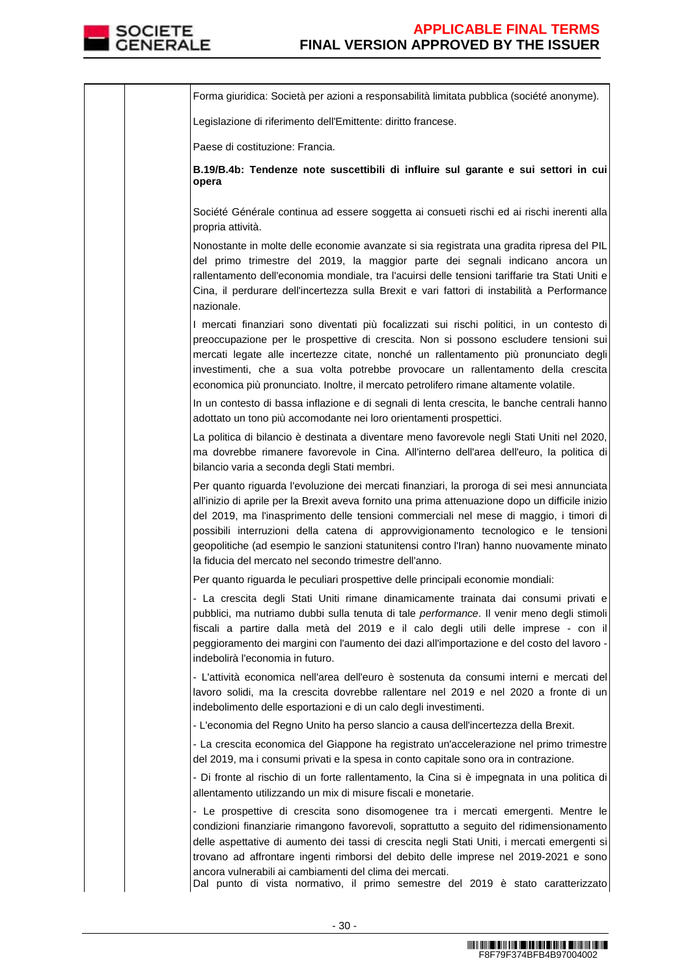

Forma giuridica: Società per azioni a responsabilità limitata pubblica (société anonyme). Legislazione di riferimento dell'Emittente: diritto francese. Paese di costituzione: Francia. **B.19/B.4b: Tendenze note suscettibili di influire sul garante e sui settori in cui opera**  Société Générale continua ad essere soggetta ai consueti rischi ed ai rischi inerenti alla propria attività. Nonostante in molte delle economie avanzate si sia registrata una gradita ripresa del PIL del primo trimestre del 2019, la maggior parte dei segnali indicano ancora un rallentamento dell'economia mondiale, tra l'acuirsi delle tensioni tariffarie tra Stati Uniti e Cina, il perdurare dell'incertezza sulla Brexit e vari fattori di instabilità a Performance nazionale. I mercati finanziari sono diventati più focalizzati sui rischi politici, in un contesto di preoccupazione per le prospettive di crescita. Non si possono escludere tensioni sui mercati legate alle incertezze citate, nonché un rallentamento più pronunciato degli investimenti, che a sua volta potrebbe provocare un rallentamento della crescita economica più pronunciato. Inoltre, il mercato petrolifero rimane altamente volatile. In un contesto di bassa inflazione e di segnali di lenta crescita, le banche centrali hanno adottato un tono più accomodante nei loro orientamenti prospettici. La politica di bilancio è destinata a diventare meno favorevole negli Stati Uniti nel 2020, ma dovrebbe rimanere favorevole in Cina. All'interno dell'area dell'euro, la politica di bilancio varia a seconda degli Stati membri. Per quanto riguarda l'evoluzione dei mercati finanziari, la proroga di sei mesi annunciata all'inizio di aprile per la Brexit aveva fornito una prima attenuazione dopo un difficile inizio del 2019, ma l'inasprimento delle tensioni commerciali nel mese di maggio, i timori di possibili interruzioni della catena di approvvigionamento tecnologico e le tensioni geopolitiche (ad esempio le sanzioni statunitensi contro l'Iran) hanno nuovamente minato la fiducia del mercato nel secondo trimestre dell'anno. Per quanto riguarda le peculiari prospettive delle principali economie mondiali: - La crescita degli Stati Uniti rimane dinamicamente trainata dai consumi privati e pubblici, ma nutriamo dubbi sulla tenuta di tale performance. Il venir meno degli stimoli fiscali a partire dalla metà del 2019 e il calo degli utili delle imprese - con il peggioramento dei margini con l'aumento dei dazi all'importazione e del costo del lavoro indebolirà l'economia in futuro. - L'attività economica nell'area dell'euro è sostenuta da consumi interni e mercati del lavoro solidi, ma la crescita dovrebbe rallentare nel 2019 e nel 2020 a fronte di un indebolimento delle esportazioni e di un calo degli investimenti. - L'economia del Regno Unito ha perso slancio a causa dell'incertezza della Brexit. - La crescita economica del Giappone ha registrato un'accelerazione nel primo trimestre del 2019, ma i consumi privati e la spesa in conto capitale sono ora in contrazione. - Di fronte al rischio di un forte rallentamento, la Cina si è impegnata in una politica di allentamento utilizzando un mix di misure fiscali e monetarie. - Le prospettive di crescita sono disomogenee tra i mercati emergenti. Mentre le condizioni finanziarie rimangono favorevoli, soprattutto a seguito del ridimensionamento delle aspettative di aumento dei tassi di crescita negli Stati Uniti, i mercati emergenti si trovano ad affrontare ingenti rimborsi del debito delle imprese nel 2019-2021 e sono ancora vulnerabili ai cambiamenti del clima dei mercati. Dal punto di vista normativo, il primo semestre del 2019 è stato caratterizzato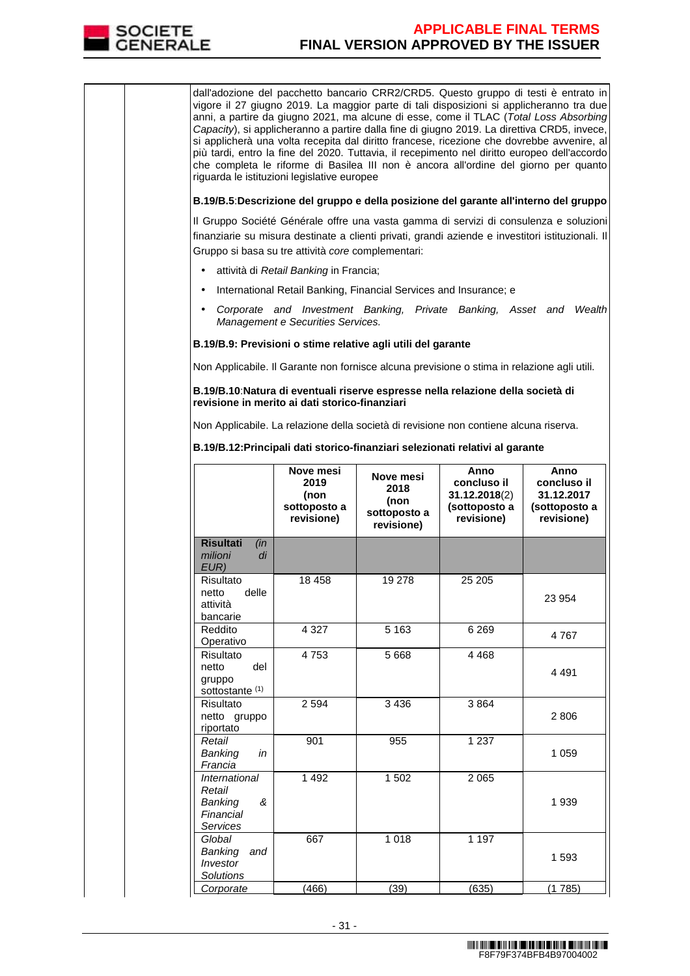

dall'adozione del pacchetto bancario CRR2/CRD5. Questo gruppo di testi è entrato in vigore il 27 giugno 2019. La maggior parte di tali disposizioni si applicheranno tra due anni, a partire da giugno 2021, ma alcune di esse, come il TLAC (Total Loss Absorbing Capacity), si applicheranno a partire dalla fine di giugno 2019. La direttiva CRD5, invece, si applicherà una volta recepita dal diritto francese, ricezione che dovrebbe avvenire, al più tardi, entro la fine del 2020. Tuttavia, il recepimento nel diritto europeo dell'accordo che completa le riforme di Basilea III non è ancora all'ordine del giorno per quanto riguarda le istituzioni legislative europee **B.19/B.5**:**Descrizione del gruppo e della posizione del garante all'interno del gruppo** Il Gruppo Société Générale offre una vasta gamma di servizi di consulenza e soluzioni finanziarie su misura destinate a clienti privati, grandi aziende e investitori istituzionali. Il Gruppo si basa su tre attività core complementari: • attività di Retail Banking in Francia; • International Retail Banking, Financial Services and Insurance; e • Corporate and Investment Banking, Private Banking, Asset and Wealth Management e Securities Services. **B.19/B.9: Previsioni o stime relative agli utili del garante**  Non Applicabile. Il Garante non fornisce alcuna previsione o stima in relazione agli utili. **B.19/B.10**:**Natura di eventuali riserve espresse nella relazione della società di revisione in merito ai dati storico-finanziari** Non Applicabile. La relazione della società di revisione non contiene alcuna riserva. **B.19/B.12:Principali dati storico-finanziari selezionati relativi al garante Nove mesi 2019 (non sottoposto a revisione) Nove mesi 2018 (non sottoposto a revisione) Anno concluso il 31.12.2018**(2) **(sottoposto a revisione) Anno concluso il 31.12.2017 (sottoposto a revisione) Risultati** (in milioni di EUR) Risultato<br>netto delle netto attività bancarie 18 458 19 278 25 205 23 954 Reddito Operativo 4 327 | 5 163 | 6 269 | 4 767 Risultato netto del gruppo sottostante<sup>(1)</sup> 4 753 5 668 4 468 4 491 Risultato netto gruppo riportato 2 594 3 436 3 864 2 806 Retail Banking in Francia 901 955 1237 1 059 **International** Retail Banking & Financial Services 1 492 1 502 2 065 1 939 **Global** Banking and Investor **Solutions** 667 1 018 1 197 1 593 Corporate (466) (39) (635) (1 785)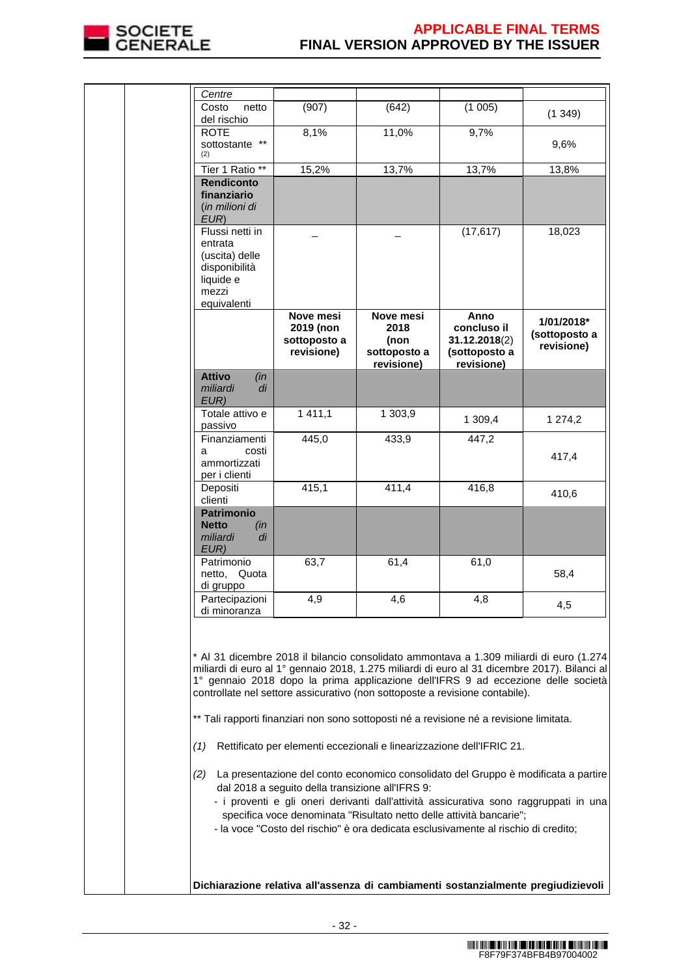

| (907)<br>netto                                       | (642)                                                   | (1005)                                                              | (1349)                                                                                                                                                                                                                                                                                                                                                                                                                                                                                                                                                                                                                                                                                                                                                                                                       |
|------------------------------------------------------|---------------------------------------------------------|---------------------------------------------------------------------|--------------------------------------------------------------------------------------------------------------------------------------------------------------------------------------------------------------------------------------------------------------------------------------------------------------------------------------------------------------------------------------------------------------------------------------------------------------------------------------------------------------------------------------------------------------------------------------------------------------------------------------------------------------------------------------------------------------------------------------------------------------------------------------------------------------|
|                                                      |                                                         |                                                                     |                                                                                                                                                                                                                                                                                                                                                                                                                                                                                                                                                                                                                                                                                                                                                                                                              |
|                                                      |                                                         |                                                                     | 9,6%                                                                                                                                                                                                                                                                                                                                                                                                                                                                                                                                                                                                                                                                                                                                                                                                         |
| Tier 1 Ratio **<br>15,2%                             | 13,7%                                                   | 13,7%                                                               | 13,8%                                                                                                                                                                                                                                                                                                                                                                                                                                                                                                                                                                                                                                                                                                                                                                                                        |
|                                                      |                                                         |                                                                     |                                                                                                                                                                                                                                                                                                                                                                                                                                                                                                                                                                                                                                                                                                                                                                                                              |
|                                                      |                                                         | (17, 617)                                                           | 18,023                                                                                                                                                                                                                                                                                                                                                                                                                                                                                                                                                                                                                                                                                                                                                                                                       |
| Nove mesi<br>2019 (non<br>sottoposto a<br>revisione) | Nove mesi<br>2018<br>(non<br>sottoposto a<br>revisione) | Anno<br>concluso il<br>31.12.2018(2)<br>(sottoposto a<br>revisione) | 1/01/2018*<br>(sottoposto a<br>revisione)                                                                                                                                                                                                                                                                                                                                                                                                                                                                                                                                                                                                                                                                                                                                                                    |
| (in<br>di                                            |                                                         |                                                                     |                                                                                                                                                                                                                                                                                                                                                                                                                                                                                                                                                                                                                                                                                                                                                                                                              |
| 1 411,1<br>Totale attivo e                           | 1 303,9                                                 | 1 309,4                                                             | 1 274,2                                                                                                                                                                                                                                                                                                                                                                                                                                                                                                                                                                                                                                                                                                                                                                                                      |
| 445,0<br>Finanziamenti<br>costi                      | 433,9                                                   | 447,2                                                               | 417,4                                                                                                                                                                                                                                                                                                                                                                                                                                                                                                                                                                                                                                                                                                                                                                                                        |
|                                                      |                                                         |                                                                     |                                                                                                                                                                                                                                                                                                                                                                                                                                                                                                                                                                                                                                                                                                                                                                                                              |
|                                                      |                                                         |                                                                     | 410,6                                                                                                                                                                                                                                                                                                                                                                                                                                                                                                                                                                                                                                                                                                                                                                                                        |
| (in<br>di                                            |                                                         |                                                                     |                                                                                                                                                                                                                                                                                                                                                                                                                                                                                                                                                                                                                                                                                                                                                                                                              |
| 63,7<br>netto, Quota                                 | 61,4                                                    | 61,0                                                                | 58,4                                                                                                                                                                                                                                                                                                                                                                                                                                                                                                                                                                                                                                                                                                                                                                                                         |
| 4.9<br>Partecipazioni                                | 4.6                                                     | 4.8                                                                 | 4,5                                                                                                                                                                                                                                                                                                                                                                                                                                                                                                                                                                                                                                                                                                                                                                                                          |
|                                                      |                                                         |                                                                     |                                                                                                                                                                                                                                                                                                                                                                                                                                                                                                                                                                                                                                                                                                                                                                                                              |
|                                                      |                                                         |                                                                     |                                                                                                                                                                                                                                                                                                                                                                                                                                                                                                                                                                                                                                                                                                                                                                                                              |
|                                                      |                                                         |                                                                     |                                                                                                                                                                                                                                                                                                                                                                                                                                                                                                                                                                                                                                                                                                                                                                                                              |
|                                                      |                                                         |                                                                     |                                                                                                                                                                                                                                                                                                                                                                                                                                                                                                                                                                                                                                                                                                                                                                                                              |
|                                                      | 8,1%<br>415,1                                           | 11,0%<br>411,4<br>dal 2018 a seguito della transizione all'IFRS 9:  | 9,7%<br>416,8<br>* Al 31 dicembre 2018 il bilancio consolidato ammontava a 1.309 miliardi di euro (1.274<br>miliardi di euro al 1º gennaio 2018, 1.275 miliardi di euro al 31 dicembre 2017). Bilanci al<br>1° gennaio 2018 dopo la prima applicazione dell'IFRS 9 ad eccezione delle società<br>controllate nel settore assicurativo (non sottoposte a revisione contabile).<br>** Tali rapporti finanziari non sono sottoposti né a revisione né a revisione limitata.<br>Rettificato per elementi eccezionali e linearizzazione dell'IFRIC 21.<br>(2) La presentazione del conto economico consolidato del Gruppo è modificata a partire<br>- i proventi e gli oneri derivanti dall'attività assicurativa sono raggruppati in una<br>specifica voce denominata "Risultato netto delle attività bancarie"; |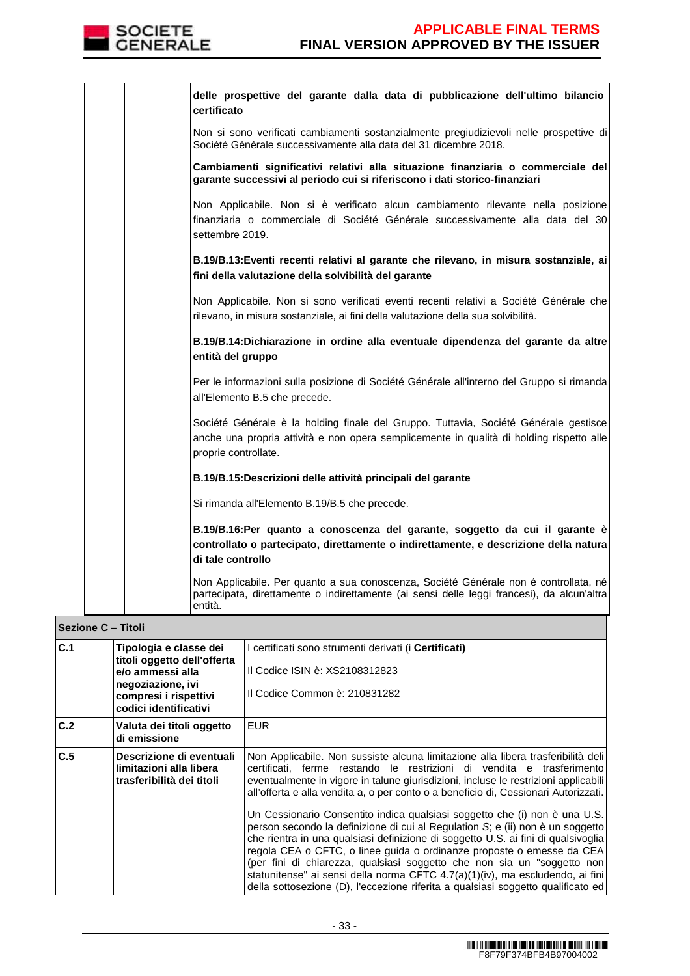

| delle prospettive del garante dalla data di pubblicazione dell'ultimo bilancio<br>certificato                                                                                                            |
|----------------------------------------------------------------------------------------------------------------------------------------------------------------------------------------------------------|
| Non si sono verificati cambiamenti sostanzialmente pregiudizievoli nelle prospettive di<br>Société Générale successivamente alla data del 31 dicembre 2018.                                              |
| Cambiamenti significativi relativi alla situazione finanziaria o commerciale del<br>garante successivi al periodo cui si riferiscono i dati storico-finanziari                                           |
| Non Applicabile. Non si è verificato alcun cambiamento rilevante nella posizione<br>finanziaria o commerciale di Société Générale successivamente alla data del 30<br>settembre 2019.                    |
| B.19/B.13: Eventi recenti relativi al garante che rilevano, in misura sostanziale, ai<br>fini della valutazione della solvibilità del garante                                                            |
| Non Applicabile. Non si sono verificati eventi recenti relativi a Société Générale che<br>rilevano, in misura sostanziale, ai fini della valutazione della sua solvibilità.                              |
| B.19/B.14:Dichiarazione in ordine alla eventuale dipendenza del garante da altre<br>entità del gruppo                                                                                                    |
| Per le informazioni sulla posizione di Société Générale all'interno del Gruppo si rimanda<br>all'Elemento B.5 che precede.                                                                               |
| Société Générale è la holding finale del Gruppo. Tuttavia, Société Générale gestisce<br>anche una propria attività e non opera semplicemente in qualità di holding rispetto alle<br>proprie controllate. |
| B.19/B.15:Descrizioni delle attività principali del garante                                                                                                                                              |
| Si rimanda all'Elemento B.19/B.5 che precede.                                                                                                                                                            |
| B.19/B.16:Per quanto a conoscenza del garante, soggetto da cui il garante è<br>controllato o partecipato, direttamente o indirettamente, e descrizione della natura<br>di tale controllo                 |
| Non Applicabile. Per quanto a sua conoscenza, Société Générale non é controllata, né<br>partecipata, direttamente o indirettamente (ai sensi delle leggi francesi), da alcun'altra<br>entità.            |

| Sezione C - Titoli |                                                                                                                                                  |                                                                                                                                                                                                                                                                                                                                                                                                                                                                                                                                                                                                                                                                                                                                                                                                                                                                                                                       |
|--------------------|--------------------------------------------------------------------------------------------------------------------------------------------------|-----------------------------------------------------------------------------------------------------------------------------------------------------------------------------------------------------------------------------------------------------------------------------------------------------------------------------------------------------------------------------------------------------------------------------------------------------------------------------------------------------------------------------------------------------------------------------------------------------------------------------------------------------------------------------------------------------------------------------------------------------------------------------------------------------------------------------------------------------------------------------------------------------------------------|
| C.1                | Tipologia e classe dei<br>titoli oggetto dell'offerta<br>e/o ammessi alla<br>negoziazione, ivi<br>compresi i rispettivi<br>codici identificativi | I certificati sono strumenti derivati (i <b>Certificati)</b><br>Il Codice ISIN è: XS2108312823<br>Il Codice Common è: 210831282                                                                                                                                                                                                                                                                                                                                                                                                                                                                                                                                                                                                                                                                                                                                                                                       |
| C.2                | Valuta dei titoli oggetto<br>di emissione                                                                                                        | <b>EUR</b>                                                                                                                                                                                                                                                                                                                                                                                                                                                                                                                                                                                                                                                                                                                                                                                                                                                                                                            |
| C.5                | Descrizione di eventuali<br>limitazioni alla libera<br>trasferibilità dei titoli                                                                 | Non Applicabile. Non sussiste alcuna limitazione alla libera trasferibilità deli<br>certificati, ferme restando le restrizioni di vendita e trasferimento<br>eventualmente in vigore in talune giurisdizioni, incluse le restrizioni applicabili<br>all'offerta e alla vendita a, o per conto o a beneficio di, Cessionari Autorizzati.<br>Un Cessionario Consentito indica qualsiasi soggetto che (i) non è una U.S.<br>person secondo la definizione di cui al Regulation S; e (ii) non è un soggetto<br>che rientra in una qualsiasi definizione di soggetto U.S. ai fini di qualsivoglia<br>regola CEA o CFTC, o linee guida o ordinanze proposte o emesse da CEA<br>(per fini di chiarezza, qualsiasi soggetto che non sia un "soggetto non<br>statunitense" ai sensi della norma CFTC 4.7(a)(1)(iv), ma escludendo, ai fini<br>della sottosezione (D), l'eccezione riferita a qualsiasi soggetto qualificato ed |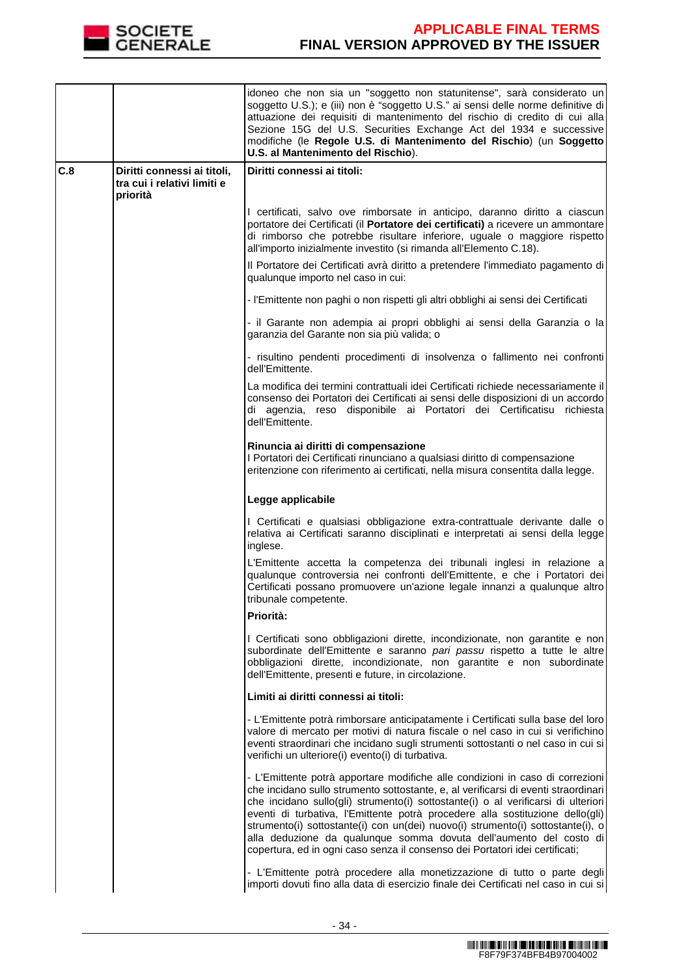

|     |                                                                        | idoneo che non sia un "soggetto non statunitense", sarà considerato un<br>soggetto U.S.); e (iii) non è "soggetto U.S." ai sensi delle norme definitive di<br>attuazione dei requisiti di mantenimento del rischio di credito di cui alla<br>Sezione 15G del U.S. Securities Exchange Act del 1934 e successive<br>modifiche (le Regole U.S. di Mantenimento del Rischio) (un Soggetto<br>U.S. al Mantenimento del Rischio).                                                                                                                                                       |
|-----|------------------------------------------------------------------------|------------------------------------------------------------------------------------------------------------------------------------------------------------------------------------------------------------------------------------------------------------------------------------------------------------------------------------------------------------------------------------------------------------------------------------------------------------------------------------------------------------------------------------------------------------------------------------|
| C.8 | Diritti connessi ai titoli,<br>tra cui i relativi limiti e<br>priorità | Diritti connessi ai titoli:                                                                                                                                                                                                                                                                                                                                                                                                                                                                                                                                                        |
|     |                                                                        | I certificati, salvo ove rimborsate in anticipo, daranno diritto a ciascun<br>portatore dei Certificati (il Portatore dei certificati) a ricevere un ammontare<br>di rimborso che potrebbe risultare inferiore, uguale o maggiore rispetto<br>all'importo inizialmente investito (si rimanda all'Elemento C.18).                                                                                                                                                                                                                                                                   |
|     |                                                                        | Il Portatore dei Certificati avrà diritto a pretendere l'immediato pagamento di<br>qualunque importo nel caso in cui:                                                                                                                                                                                                                                                                                                                                                                                                                                                              |
|     |                                                                        | - l'Emittente non paghi o non rispetti gli altri obblighi ai sensi dei Certificati                                                                                                                                                                                                                                                                                                                                                                                                                                                                                                 |
|     |                                                                        | - il Garante non adempia ai propri obblighi ai sensi della Garanzia o la<br>garanzia del Garante non sia più valida; o                                                                                                                                                                                                                                                                                                                                                                                                                                                             |
|     |                                                                        | - risultino pendenti procedimenti di insolvenza o fallimento nei confronti<br>dell'Emittente.                                                                                                                                                                                                                                                                                                                                                                                                                                                                                      |
|     |                                                                        | La modifica dei termini contrattuali idei Certificati richiede necessariamente il<br>consenso dei Portatori dei Certificati ai sensi delle disposizioni di un accordo<br>di agenzia, reso disponibile ai Portatori dei Certificatisu richiesta<br>dell'Emittente.                                                                                                                                                                                                                                                                                                                  |
|     |                                                                        | Rinuncia ai diritti di compensazione<br>I Portatori dei Certificati rinunciano a qualsiasi diritto di compensazione<br>eritenzione con riferimento ai certificati, nella misura consentita dalla legge.                                                                                                                                                                                                                                                                                                                                                                            |
|     |                                                                        | Legge applicabile                                                                                                                                                                                                                                                                                                                                                                                                                                                                                                                                                                  |
|     |                                                                        | I Certificati e qualsiasi obbligazione extra-contrattuale derivante dalle o<br>relativa ai Certificati saranno disciplinati e interpretati ai sensi della legge<br>inglese.                                                                                                                                                                                                                                                                                                                                                                                                        |
|     |                                                                        | L'Emittente accetta la competenza dei tribunali inglesi in relazione a<br>qualunque controversia nei confronti dell'Emittente, e che i Portatori dei<br>Certificati possano promuovere un'azione legale innanzi a qualunque altro<br>tribunale competente.                                                                                                                                                                                                                                                                                                                         |
|     |                                                                        | Priorità:                                                                                                                                                                                                                                                                                                                                                                                                                                                                                                                                                                          |
|     |                                                                        | I Certificati sono obbligazioni dirette, incondizionate, non garantite e non<br>subordinate dell'Emittente e saranno pari passu rispetto a tutte le altre<br>obbligazioni dirette, incondizionate, non garantite e non subordinate<br>dell'Emittente, presenti e future, in circolazione.                                                                                                                                                                                                                                                                                          |
|     |                                                                        | Limiti ai diritti connessi ai titoli:                                                                                                                                                                                                                                                                                                                                                                                                                                                                                                                                              |
|     |                                                                        | - L'Emittente potrà rimborsare anticipatamente i Certificati sulla base del loro<br>valore di mercato per motivi di natura fiscale o nel caso in cui si verifichino<br>eventi straordinari che incidano sugli strumenti sottostanti o nel caso in cui si<br>verifichi un ulteriore(i) evento(i) di turbativa.                                                                                                                                                                                                                                                                      |
|     |                                                                        | - L'Emittente potrà apportare modifiche alle condizioni in caso di correzioni<br>che incidano sullo strumento sottostante, e, al verificarsi di eventi straordinari<br>che incidano sullo(gli) strumento(i) sottostante(i) o al verificarsi di ulteriori<br>eventi di turbativa, l'Emittente potrà procedere alla sostituzione dello(gli)<br>strumento(i) sottostante(i) con un(dei) nuovo(i) strumento(i) sottostante(i), o<br>alla deduzione da qualunque somma dovuta dell'aumento del costo di<br>copertura, ed in ogni caso senza il consenso dei Portatori idei certificati; |
|     |                                                                        | - L'Emittente potrà procedere alla monetizzazione di tutto o parte degli<br>importi dovuti fino alla data di esercizio finale dei Certificati nel caso in cui si                                                                                                                                                                                                                                                                                                                                                                                                                   |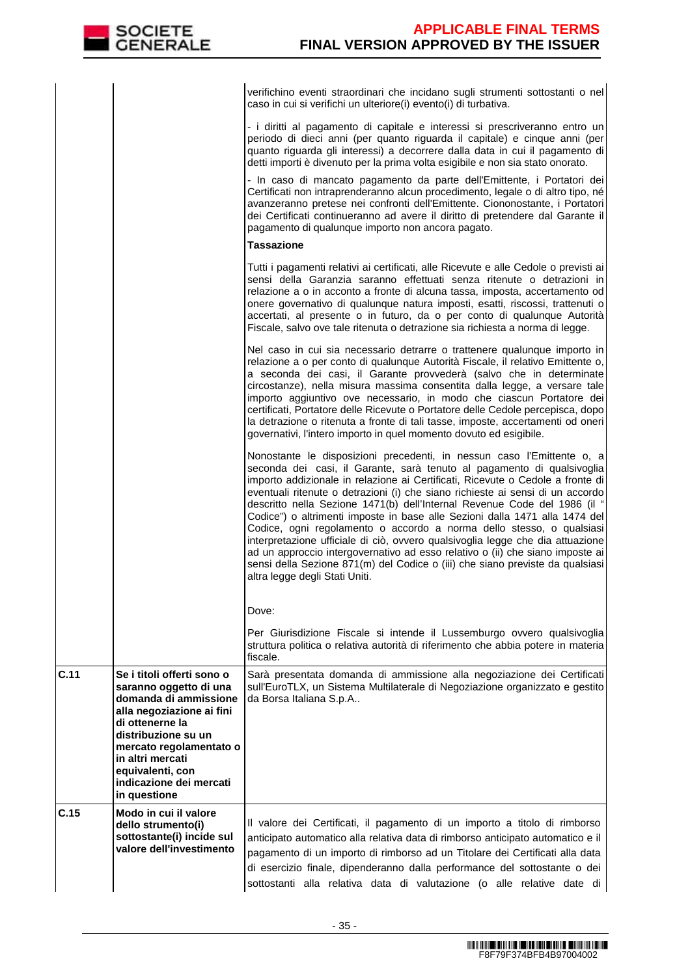|      |                                                                                                                                                                                 | verifichino eventi straordinari che incidano sugli strumenti sottostanti o nel<br>caso in cui si verifichi un ulteriore(i) evento(i) di turbativa.                                                                                                                                                                                                                                                                                                                                                                                                                                                                                                                                                                                                                                                                                             |
|------|---------------------------------------------------------------------------------------------------------------------------------------------------------------------------------|------------------------------------------------------------------------------------------------------------------------------------------------------------------------------------------------------------------------------------------------------------------------------------------------------------------------------------------------------------------------------------------------------------------------------------------------------------------------------------------------------------------------------------------------------------------------------------------------------------------------------------------------------------------------------------------------------------------------------------------------------------------------------------------------------------------------------------------------|
|      |                                                                                                                                                                                 | - i diritti al pagamento di capitale e interessi si prescriveranno entro un<br>periodo di dieci anni (per quanto riguarda il capitale) e cinque anni (per<br>quanto riguarda gli interessi) a decorrere dalla data in cui il pagamento di<br>detti importi è divenuto per la prima volta esigibile e non sia stato onorato.                                                                                                                                                                                                                                                                                                                                                                                                                                                                                                                    |
|      |                                                                                                                                                                                 | - In caso di mancato pagamento da parte dell'Emittente, i Portatori dei<br>Certificati non intraprenderanno alcun procedimento, legale o di altro tipo, né<br>avanzeranno pretese nei confronti dell'Emittente. Ciononostante, i Portatori<br>dei Certificati continueranno ad avere il diritto di pretendere dal Garante il<br>pagamento di qualunque importo non ancora pagato.                                                                                                                                                                                                                                                                                                                                                                                                                                                              |
|      |                                                                                                                                                                                 | <b>Tassazione</b>                                                                                                                                                                                                                                                                                                                                                                                                                                                                                                                                                                                                                                                                                                                                                                                                                              |
|      |                                                                                                                                                                                 | Tutti i pagamenti relativi ai certificati, alle Ricevute e alle Cedole o previsti ai<br>sensi della Garanzia saranno effettuati senza ritenute o detrazioni in<br>relazione a o in acconto a fronte di alcuna tassa, imposta, accertamento od<br>onere governativo di qualunque natura imposti, esatti, riscossi, trattenuti o<br>accertati, al presente o in futuro, da o per conto di qualunque Autorità<br>Fiscale, salvo ove tale ritenuta o detrazione sia richiesta a norma di legge.                                                                                                                                                                                                                                                                                                                                                    |
|      |                                                                                                                                                                                 | Nel caso in cui sia necessario detrarre o trattenere qualunque importo in<br>relazione a o per conto di qualunque Autorità Fiscale, il relativo Emittente o,<br>a seconda dei casi, il Garante provvederà (salvo che in determinate<br>circostanze), nella misura massima consentita dalla legge, a versare tale<br>importo aggiuntivo ove necessario, in modo che ciascun Portatore dei<br>certificati, Portatore delle Ricevute o Portatore delle Cedole percepisca, dopo<br>la detrazione o ritenuta a fronte di tali tasse, imposte, accertamenti od oneri<br>governativi, l'intero importo in quel momento dovuto ed esigibile.                                                                                                                                                                                                           |
|      |                                                                                                                                                                                 | Nonostante le disposizioni precedenti, in nessun caso l'Emittente o, a<br>seconda dei casi, il Garante, sarà tenuto al pagamento di qualsivoglia<br>importo addizionale in relazione ai Certificati, Ricevute o Cedole a fronte di<br>eventuali ritenute o detrazioni (i) che siano richieste ai sensi di un accordo<br>descritto nella Sezione 1471(b) dell'Internal Revenue Code del 1986 (il "<br>Codice") o altrimenti imposte in base alle Sezioni dalla 1471 alla 1474 del<br>Codice, ogni regolamento o accordo a norma dello stesso, o qualsiasi<br>interpretazione ufficiale di ciò, ovvero qualsivoglia legge che dia attuazione<br>ad un approccio intergovernativo ad esso relativo o (ii) che siano imposte ai<br>sensi della Sezione 871(m) del Codice o (iii) che siano previste da qualsiasi<br>altra legge degli Stati Uniti. |
|      |                                                                                                                                                                                 | Dove:                                                                                                                                                                                                                                                                                                                                                                                                                                                                                                                                                                                                                                                                                                                                                                                                                                          |
|      |                                                                                                                                                                                 | Per Giurisdizione Fiscale si intende il Lussemburgo ovvero qualsivoglia<br>struttura politica o relativa autorità di riferimento che abbia potere in materia<br>fiscale.                                                                                                                                                                                                                                                                                                                                                                                                                                                                                                                                                                                                                                                                       |
| C.11 | Se i titoli offerti sono o<br>saranno oggetto di una<br>domanda di ammissione<br>alla negoziazione ai fini<br>di ottenerne la<br>distribuzione su un<br>mercato regolamentato o | Sarà presentata domanda di ammissione alla negoziazione dei Certificati<br>sull'EuroTLX, un Sistema Multilaterale di Negoziazione organizzato e gestito<br>da Borsa Italiana S.p.A                                                                                                                                                                                                                                                                                                                                                                                                                                                                                                                                                                                                                                                             |
|      | in altri mercati<br>equivalenti, con<br>indicazione dei mercati<br>in questione                                                                                                 |                                                                                                                                                                                                                                                                                                                                                                                                                                                                                                                                                                                                                                                                                                                                                                                                                                                |
| C.15 | Modo in cui il valore<br>dello strumento(i)<br>sottostante(i) incide sul<br>valore dell'investimento                                                                            | Il valore dei Certificati, il pagamento di un importo a titolo di rimborso<br>anticipato automatico alla relativa data di rimborso anticipato automatico e il<br>pagamento di un importo di rimborso ad un Titolare dei Certificati alla data<br>di esercizio finale, dipenderanno dalla performance del sottostante o dei                                                                                                                                                                                                                                                                                                                                                                                                                                                                                                                     |
|      |                                                                                                                                                                                 | sottostanti alla relativa data di valutazione (o alle relative date di                                                                                                                                                                                                                                                                                                                                                                                                                                                                                                                                                                                                                                                                                                                                                                         |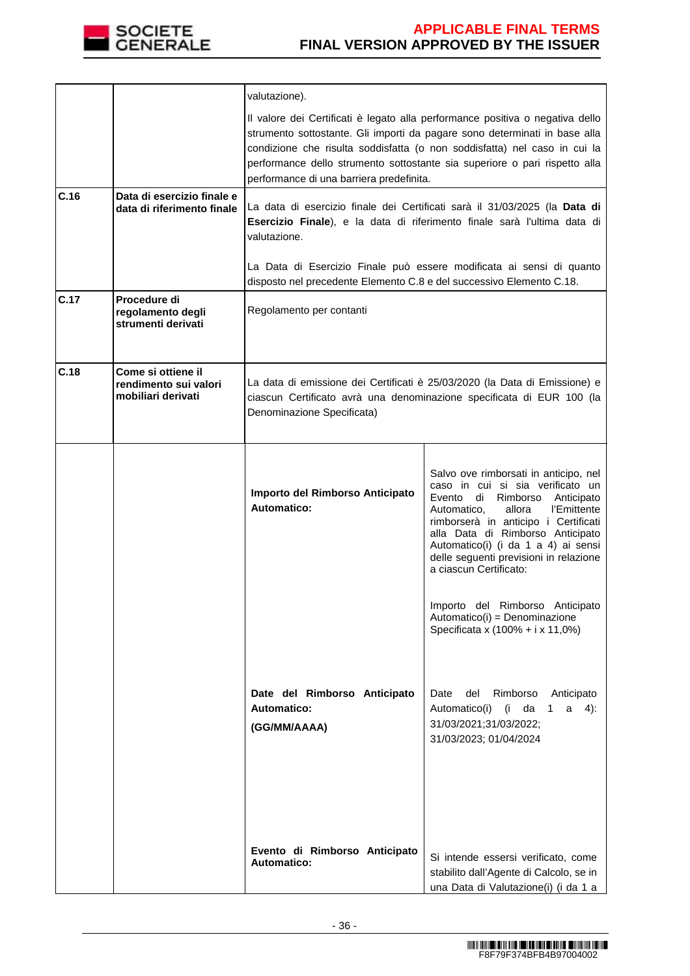

|      |                                                                   | valutazione).                                                                                                                                                                                                                                                                                                                                                      |                                                                                                                                                                                                                                                                                                                                                 |
|------|-------------------------------------------------------------------|--------------------------------------------------------------------------------------------------------------------------------------------------------------------------------------------------------------------------------------------------------------------------------------------------------------------------------------------------------------------|-------------------------------------------------------------------------------------------------------------------------------------------------------------------------------------------------------------------------------------------------------------------------------------------------------------------------------------------------|
|      |                                                                   | Il valore dei Certificati è legato alla performance positiva o negativa dello<br>strumento sottostante. Gli importi da pagare sono determinati in base alla<br>condizione che risulta soddisfatta (o non soddisfatta) nel caso in cui la<br>performance dello strumento sottostante sia superiore o pari rispetto alla<br>performance di una barriera predefinita. |                                                                                                                                                                                                                                                                                                                                                 |
| C.16 | Data di esercizio finale e<br>data di riferimento finale          | valutazione.                                                                                                                                                                                                                                                                                                                                                       | La data di esercizio finale dei Certificati sarà il 31/03/2025 (la Data di<br>Esercizio Finale), e la data di riferimento finale sarà l'ultima data di                                                                                                                                                                                          |
|      |                                                                   | disposto nel precedente Elemento C.8 e del successivo Elemento C.18.                                                                                                                                                                                                                                                                                               | La Data di Esercizio Finale può essere modificata ai sensi di quanto                                                                                                                                                                                                                                                                            |
| C.17 | Procedure di<br>regolamento degli<br>strumenti derivati           | Regolamento per contanti                                                                                                                                                                                                                                                                                                                                           |                                                                                                                                                                                                                                                                                                                                                 |
| C.18 | Come si ottiene il<br>rendimento sui valori<br>mobiliari derivati | Denominazione Specificata)                                                                                                                                                                                                                                                                                                                                         | La data di emissione dei Certificati è 25/03/2020 (la Data di Emissione) e<br>ciascun Certificato avrà una denominazione specificata di EUR 100 (la                                                                                                                                                                                             |
|      |                                                                   | Importo del Rimborso Anticipato<br><b>Automatico:</b>                                                                                                                                                                                                                                                                                                              | Salvo ove rimborsati in anticipo, nel<br>caso in cui si sia verificato un<br>Evento<br>di Rimborso<br>Anticipato<br>l'Emittente<br>Automatico,<br>allora<br>rimborserà in anticipo i Certificati<br>alla Data di Rimborso Anticipato<br>Automatico(i) (i da 1 a 4) ai sensi<br>delle seguenti previsioni in relazione<br>a ciascun Certificato: |
|      |                                                                   |                                                                                                                                                                                                                                                                                                                                                                    | Importo del Rimborso Anticipato<br>Automatico(i) = Denominazione<br>Specificata x (100% + i x 11,0%)                                                                                                                                                                                                                                            |
|      |                                                                   | Date del Rimborso Anticipato<br>Automatico:<br>(GG/MM/AAAA)                                                                                                                                                                                                                                                                                                        | del<br>Rimborso<br>Anticipato<br>Date<br>Automatico(i)<br>$4)$ :<br>(i<br>da<br>1<br>a<br>31/03/2021;31/03/2022;<br>31/03/2023; 01/04/2024                                                                                                                                                                                                      |
|      |                                                                   | Evento di Rimborso Anticipato<br><b>Automatico:</b>                                                                                                                                                                                                                                                                                                                | Si intende essersi verificato, come<br>stabilito dall'Agente di Calcolo, se in<br>una Data di Valutazione(i) (i da 1 a                                                                                                                                                                                                                          |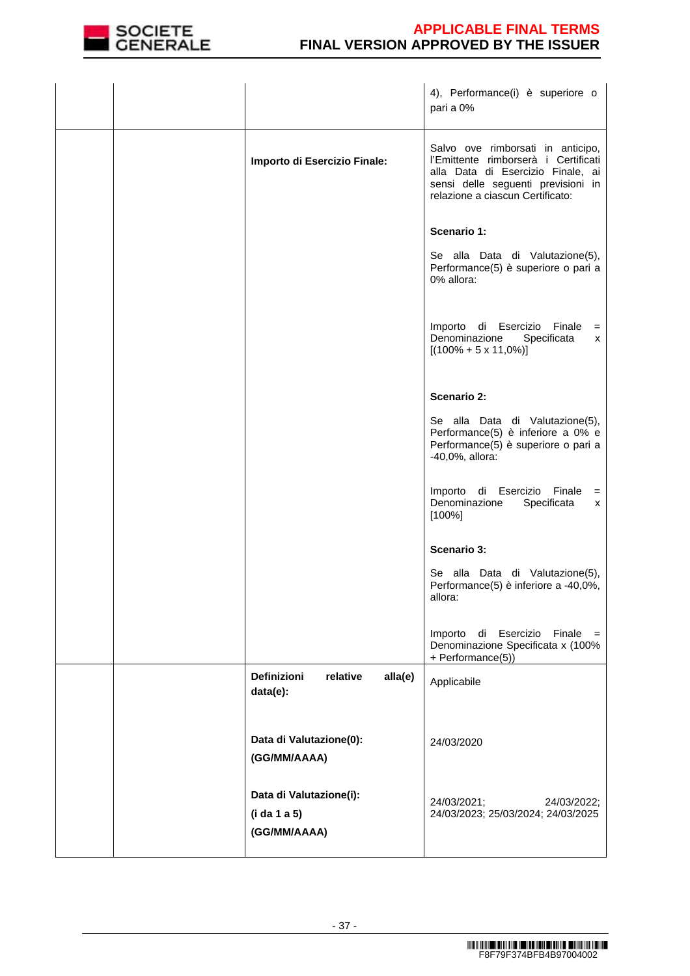

|  |                                                         | 4), Performance(i) è superiore o<br>pari a 0%                                                                                                                                            |
|--|---------------------------------------------------------|------------------------------------------------------------------------------------------------------------------------------------------------------------------------------------------|
|  | Importo di Esercizio Finale:                            | Salvo ove rimborsati in anticipo,<br>l'Emittente rimborserà i Certificati<br>alla Data di Esercizio Finale, ai<br>sensi delle seguenti previsioni in<br>relazione a ciascun Certificato: |
|  |                                                         | Scenario 1:                                                                                                                                                                              |
|  |                                                         | Se alla Data di Valutazione(5),<br>Performance(5) è superiore o pari a<br>0% allora:                                                                                                     |
|  |                                                         | Importo di Esercizio Finale =<br>Specificata<br>Denominazione<br>X<br>$[(100\% + 5 \times 11,0\%)]$                                                                                      |
|  |                                                         | <b>Scenario 2:</b>                                                                                                                                                                       |
|  |                                                         | Se alla Data di Valutazione(5),<br>Performance(5) è inferiore a 0% e<br>Performance(5) è superiore o pari a<br>-40,0%, allora:                                                           |
|  |                                                         | Importo di Esercizio Finale =<br>Denominazione<br>Specificata<br>X<br>$[100\%]$                                                                                                          |
|  |                                                         | Scenario 3:                                                                                                                                                                              |
|  |                                                         | Se alla Data di Valutazione(5),<br>Performance(5) è inferiore a -40,0%,<br>allora:                                                                                                       |
|  |                                                         | Esercizio<br>Importo<br>di<br>Finale<br>$=$<br>Denominazione Specificata x (100%<br>+ Performance(5))                                                                                    |
|  | <b>Definizioni</b><br>relative<br>alla(e)<br>data(e):   | Applicabile                                                                                                                                                                              |
|  | Data di Valutazione(0):<br>(GG/MM/AAAA)                 | 24/03/2020                                                                                                                                                                               |
|  | Data di Valutazione(i):<br>(i da 1 a 5)<br>(GG/MM/AAAA) | 24/03/2021;<br>24/03/2022;<br>24/03/2023; 25/03/2024; 24/03/2025                                                                                                                         |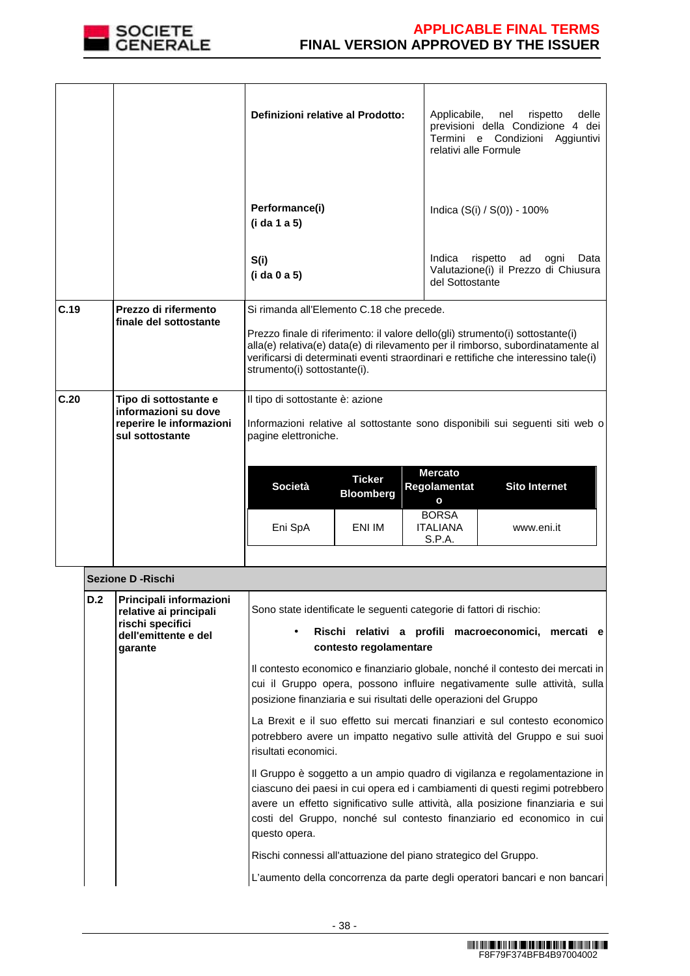

|                                                                                                                                                                                                                                                   |     |                                                                                                          | Definizioni relative al Prodotto:                                                                                                                                                                                                                                                                                                     |                                   | Applicabile, nel<br>relativi alle Formule                 | delle<br>rispetto<br>previsioni della Condizione 4 dei<br>Termini e Condizioni Aggiuntivi                                                                                                                                                                                                                             |
|---------------------------------------------------------------------------------------------------------------------------------------------------------------------------------------------------------------------------------------------------|-----|----------------------------------------------------------------------------------------------------------|---------------------------------------------------------------------------------------------------------------------------------------------------------------------------------------------------------------------------------------------------------------------------------------------------------------------------------------|-----------------------------------|-----------------------------------------------------------|-----------------------------------------------------------------------------------------------------------------------------------------------------------------------------------------------------------------------------------------------------------------------------------------------------------------------|
|                                                                                                                                                                                                                                                   |     |                                                                                                          | Performance(i)<br>(i da 1 a 5)                                                                                                                                                                                                                                                                                                        |                                   |                                                           | Indica (S(i) / S(0)) - 100%                                                                                                                                                                                                                                                                                           |
|                                                                                                                                                                                                                                                   |     |                                                                                                          | S(i)<br>(i da 0 a 5)                                                                                                                                                                                                                                                                                                                  |                                   | Indica<br>del Sottostante                                 | rispetto<br>ad<br>ogni<br>Data<br>Valutazione(i) il Prezzo di Chiusura                                                                                                                                                                                                                                                |
| C.19                                                                                                                                                                                                                                              |     | Prezzo di rifermento<br>finale del sottostante                                                           | Si rimanda all'Elemento C.18 che precede.<br>Prezzo finale di riferimento: il valore dello(gli) strumento(i) sottostante(i)<br>alla(e) relativa(e) data(e) di rilevamento per il rimborso, subordinatamente al<br>verificarsi di determinati eventi straordinari e rettifiche che interessino tale(i)<br>strumento(i) sottostante(i). |                                   |                                                           |                                                                                                                                                                                                                                                                                                                       |
| C.20<br>Tipo di sottostante e<br>Il tipo di sottostante è: azione<br>informazioni su dove<br>reperire le informazioni<br>Informazioni relative al sottostante sono disponibili sui seguenti siti web o<br>sul sottostante<br>pagine elettroniche. |     |                                                                                                          |                                                                                                                                                                                                                                                                                                                                       |                                   |                                                           |                                                                                                                                                                                                                                                                                                                       |
|                                                                                                                                                                                                                                                   |     |                                                                                                          | Società                                                                                                                                                                                                                                                                                                                               | <b>Ticker</b><br><b>Bloomberg</b> | <b>Mercato</b><br>Regolamentat                            | <b>Sito Internet</b>                                                                                                                                                                                                                                                                                                  |
|                                                                                                                                                                                                                                                   |     |                                                                                                          | Eni SpA                                                                                                                                                                                                                                                                                                                               | ENI IM                            | $\mathbf{o}$<br><b>BORSA</b><br><b>ITALIANA</b><br>S.P.A. | www.eni.it                                                                                                                                                                                                                                                                                                            |
|                                                                                                                                                                                                                                                   |     | <b>Sezione D - Rischi</b>                                                                                |                                                                                                                                                                                                                                                                                                                                       |                                   |                                                           |                                                                                                                                                                                                                                                                                                                       |
|                                                                                                                                                                                                                                                   | D.2 | Principali informazioni<br>relative ai principali<br>rischi specifici<br>dell'emittente e del<br>garante | Sono state identificate le seguenti categorie di fattori di rischio:                                                                                                                                                                                                                                                                  | contesto regolamentare            |                                                           | Rischi relativi a profili macroeconomici, mercati e                                                                                                                                                                                                                                                                   |
|                                                                                                                                                                                                                                                   |     |                                                                                                          | posizione finanziaria e sui risultati delle operazioni del Gruppo                                                                                                                                                                                                                                                                     |                                   |                                                           | Il contesto economico e finanziario globale, nonché il contesto dei mercati in<br>cui il Gruppo opera, possono influire negativamente sulle attività, sulla                                                                                                                                                           |
|                                                                                                                                                                                                                                                   |     |                                                                                                          | risultati economici.                                                                                                                                                                                                                                                                                                                  |                                   |                                                           | La Brexit e il suo effetto sui mercati finanziari e sul contesto economico<br>potrebbero avere un impatto negativo sulle attività del Gruppo e sui suoi                                                                                                                                                               |
|                                                                                                                                                                                                                                                   |     |                                                                                                          | questo opera.                                                                                                                                                                                                                                                                                                                         |                                   |                                                           | Il Gruppo è soggetto a un ampio quadro di vigilanza e regolamentazione in<br>ciascuno dei paesi in cui opera ed i cambiamenti di questi regimi potrebbero<br>avere un effetto significativo sulle attività, alla posizione finanziaria e sui<br>costi del Gruppo, nonché sul contesto finanziario ed economico in cui |
|                                                                                                                                                                                                                                                   |     |                                                                                                          | Rischi connessi all'attuazione del piano strategico del Gruppo.                                                                                                                                                                                                                                                                       |                                   |                                                           |                                                                                                                                                                                                                                                                                                                       |
|                                                                                                                                                                                                                                                   |     |                                                                                                          |                                                                                                                                                                                                                                                                                                                                       |                                   |                                                           | L'aumento della concorrenza da parte degli operatori bancari e non bancari                                                                                                                                                                                                                                            |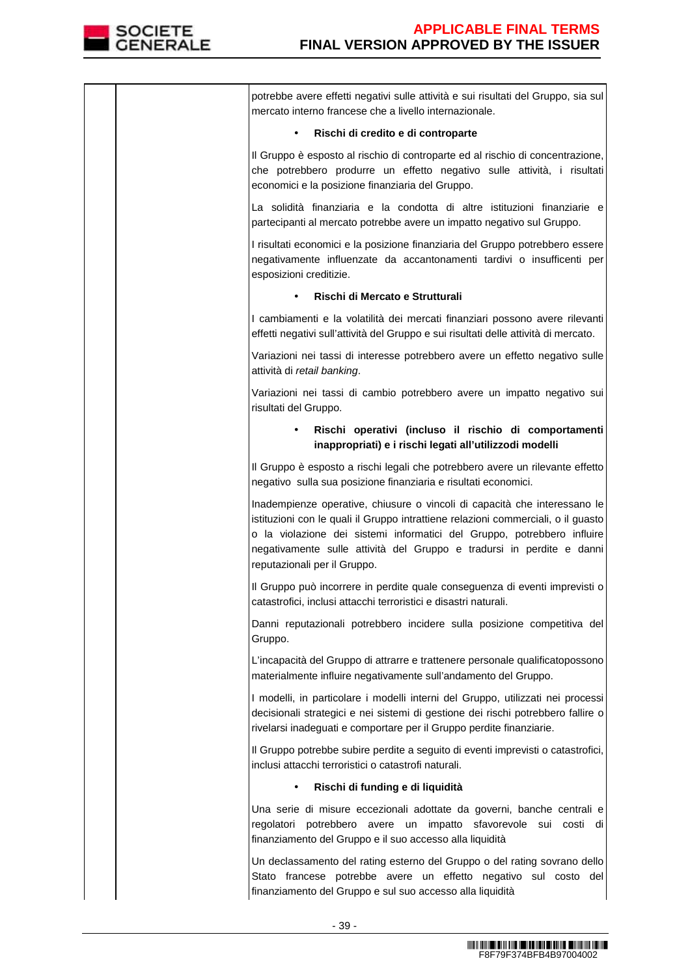

potrebbe avere effetti negativi sulle attività e sui risultati del Gruppo, sia sul mercato interno francese che a livello internazionale. • **Rischi di credito e di controparte**  Il Gruppo è esposto al rischio di controparte ed al rischio di concentrazione, che potrebbero produrre un effetto negativo sulle attività, i risultati economici e la posizione finanziaria del Gruppo. La solidità finanziaria e la condotta di altre istituzioni finanziarie e partecipanti al mercato potrebbe avere un impatto negativo sul Gruppo. I risultati economici e la posizione finanziaria del Gruppo potrebbero essere negativamente influenzate da accantonamenti tardivi o insufficenti per esposizioni creditizie. • **Rischi di Mercato e Strutturali**  I cambiamenti e la volatilità dei mercati finanziari possono avere rilevanti effetti negativi sull'attività del Gruppo e sui risultati delle attività di mercato. Variazioni nei tassi di interesse potrebbero avere un effetto negativo sulle attività di retail banking. Variazioni nei tassi di cambio potrebbero avere un impatto negativo sui risultati del Gruppo. • **Rischi operativi (incluso il rischio di comportamenti inappropriati) e i rischi legati all'utilizzodi modelli**  Il Gruppo è esposto a rischi legali che potrebbero avere un rilevante effetto negativo sulla sua posizione finanziaria e risultati economici. Inadempienze operative, chiusure o vincoli di capacità che interessano le istituzioni con le quali il Gruppo intrattiene relazioni commerciali, o il guasto o la violazione dei sistemi informatici del Gruppo, potrebbero influire negativamente sulle attività del Gruppo e tradursi in perdite e danni reputazionali per il Gruppo. Il Gruppo può incorrere in perdite quale conseguenza di eventi imprevisti o catastrofici, inclusi attacchi terroristici e disastri naturali. Danni reputazionali potrebbero incidere sulla posizione competitiva del Gruppo. L'incapacità del Gruppo di attrarre e trattenere personale qualificatopossono materialmente influire negativamente sull'andamento del Gruppo. I modelli, in particolare i modelli interni del Gruppo, utilizzati nei processi decisionali strategici e nei sistemi di gestione dei rischi potrebbero fallire o rivelarsi inadeguati e comportare per il Gruppo perdite finanziarie. Il Gruppo potrebbe subire perdite a seguito di eventi imprevisti o catastrofici, inclusi attacchi terroristici o catastrofi naturali. • **Rischi di funding e di liquidità**  Una serie di misure eccezionali adottate da governi, banche centrali e regolatori potrebbero avere un impatto sfavorevole sui costi di finanziamento del Gruppo e il suo accesso alla liquidità Un declassamento del rating esterno del Gruppo o del rating sovrano dello Stato francese potrebbe avere un effetto negativo sul costo del finanziamento del Gruppo e sul suo accesso alla liquidità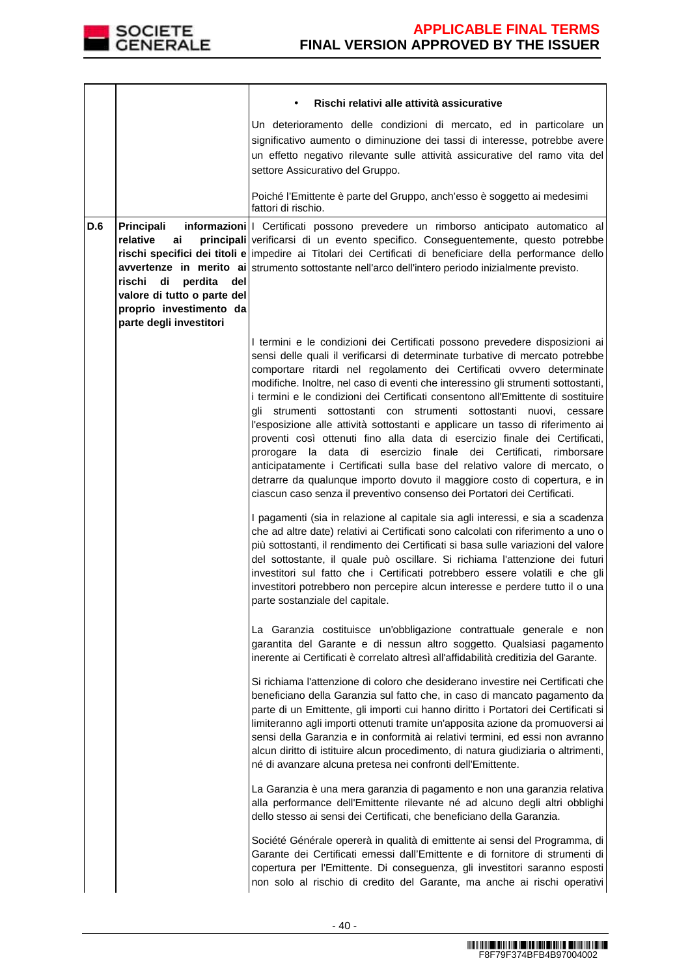

|     |                                                                                                                                                     | Rischi relativi alle attività assicurative                                                                                                                                                                                                                                                                                                                                                                                                                                                                                                                                                                                                                                                                                                                                                                                                                                                                                                                       |
|-----|-----------------------------------------------------------------------------------------------------------------------------------------------------|------------------------------------------------------------------------------------------------------------------------------------------------------------------------------------------------------------------------------------------------------------------------------------------------------------------------------------------------------------------------------------------------------------------------------------------------------------------------------------------------------------------------------------------------------------------------------------------------------------------------------------------------------------------------------------------------------------------------------------------------------------------------------------------------------------------------------------------------------------------------------------------------------------------------------------------------------------------|
|     |                                                                                                                                                     | Un deterioramento delle condizioni di mercato, ed in particolare un<br>significativo aumento o diminuzione dei tassi di interesse, potrebbe avere<br>un effetto negativo rilevante sulle attività assicurative del ramo vita del<br>settore Assicurativo del Gruppo.                                                                                                                                                                                                                                                                                                                                                                                                                                                                                                                                                                                                                                                                                             |
|     |                                                                                                                                                     | Poiché l'Emittente è parte del Gruppo, anch'esso è soggetto ai medesimi<br>fattori di rischio.                                                                                                                                                                                                                                                                                                                                                                                                                                                                                                                                                                                                                                                                                                                                                                                                                                                                   |
| D.6 | Principali<br>relative<br>ai<br>perdita<br>rischi<br>di<br>del<br>valore di tutto o parte del<br>proprio investimento da<br>parte degli investitori | informazioni   Certificati possono prevedere un rimborso anticipato automatico al<br>principali verificarsi di un evento specifico. Conseguentemente, questo potrebbe<br>rischi specifici dei titoli e impedire ai Titolari dei Certificati di beneficiare della performance dello<br>avvertenze in merito ai strumento sottostante nell'arco dell'intero periodo inizialmente previsto.                                                                                                                                                                                                                                                                                                                                                                                                                                                                                                                                                                         |
|     |                                                                                                                                                     | I termini e le condizioni dei Certificati possono prevedere disposizioni ai<br>sensi delle quali il verificarsi di determinate turbative di mercato potrebbe<br>comportare ritardi nel regolamento dei Certificati ovvero determinate<br>modifiche. Inoltre, nel caso di eventi che interessino gli strumenti sottostanti,<br>i termini e le condizioni dei Certificati consentono all'Emittente di sostituire<br>gli strumenti sottostanti con strumenti sottostanti nuovi, cessare<br>l'esposizione alle attività sottostanti e applicare un tasso di riferimento ai<br>proventi così ottenuti fino alla data di esercizio finale dei Certificati,<br>prorogare la data di esercizio finale dei Certificati, rimborsare<br>anticipatamente i Certificati sulla base del relativo valore di mercato, o<br>detrarre da qualunque importo dovuto il maggiore costo di copertura, e in<br>ciascun caso senza il preventivo consenso dei Portatori dei Certificati. |
|     |                                                                                                                                                     | I pagamenti (sia in relazione al capitale sia agli interessi, e sia a scadenza<br>che ad altre date) relativi ai Certificati sono calcolati con riferimento a uno o<br>più sottostanti, il rendimento dei Certificati si basa sulle variazioni del valore<br>del sottostante, il quale può oscillare. Si richiama l'attenzione dei futuri<br>investitori sul fatto che i Certificati potrebbero essere volatili e che gli<br>investitori potrebbero non percepire alcun interesse e perdere tutto il o una<br>parte sostanziale del capitale.                                                                                                                                                                                                                                                                                                                                                                                                                    |
|     |                                                                                                                                                     | La Garanzia costituisce un'obbligazione contrattuale generale e non<br>garantita del Garante e di nessun altro soggetto. Qualsiasi pagamento<br>inerente ai Certificati è correlato altresì all'affidabilità creditizia del Garante.                                                                                                                                                                                                                                                                                                                                                                                                                                                                                                                                                                                                                                                                                                                             |
|     |                                                                                                                                                     | Si richiama l'attenzione di coloro che desiderano investire nei Certificati che<br>beneficiano della Garanzia sul fatto che, in caso di mancato pagamento da<br>parte di un Emittente, gli importi cui hanno diritto i Portatori dei Certificati si<br>limiteranno agli importi ottenuti tramite un'apposita azione da promuoversi ai<br>sensi della Garanzia e in conformità ai relativi termini, ed essi non avranno<br>alcun diritto di istituire alcun procedimento, di natura giudiziaria o altrimenti,<br>né di avanzare alcuna pretesa nei confronti dell'Emittente.                                                                                                                                                                                                                                                                                                                                                                                      |
|     |                                                                                                                                                     | La Garanzia è una mera garanzia di pagamento e non una garanzia relativa<br>alla performance dell'Emittente rilevante né ad alcuno degli altri obblighi<br>dello stesso ai sensi dei Certificati, che beneficiano della Garanzia.                                                                                                                                                                                                                                                                                                                                                                                                                                                                                                                                                                                                                                                                                                                                |
|     |                                                                                                                                                     | Société Générale opererà in qualità di emittente ai sensi del Programma, di<br>Garante dei Certificati emessi dall'Emittente e di fornitore di strumenti di<br>copertura per l'Emittente. Di conseguenza, gli investitori saranno esposti<br>non solo al rischio di credito del Garante, ma anche ai rischi operativi                                                                                                                                                                                                                                                                                                                                                                                                                                                                                                                                                                                                                                            |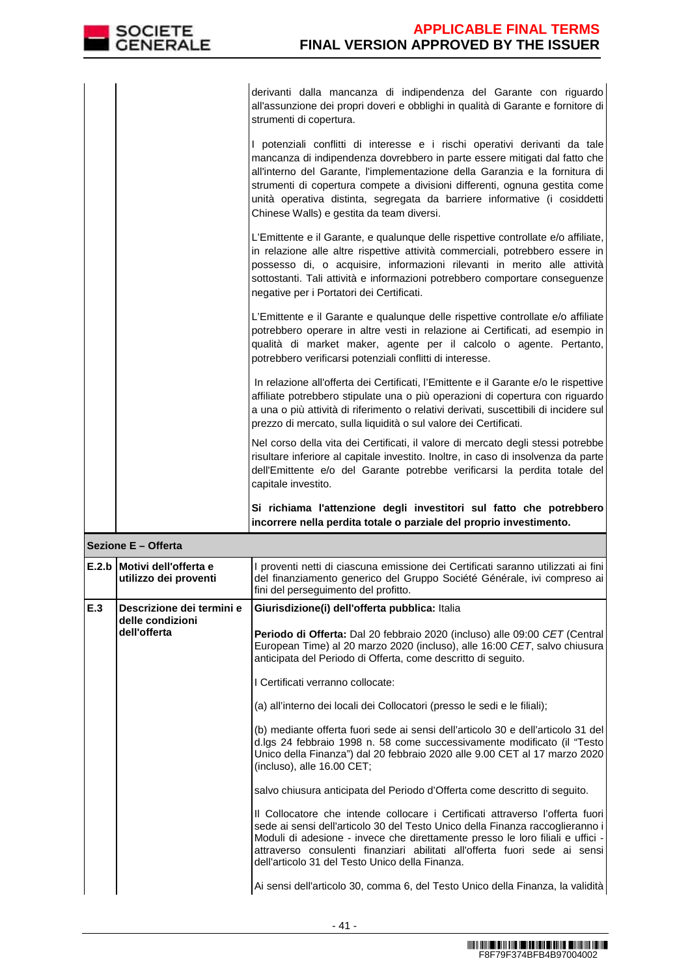derivanti dalla mancanza di indipendenza del Garante con riguardo all'assunzione dei propri doveri e obblighi in qualità di Garante e fornitore di strumenti di copertura.

I potenziali conflitti di interesse e i rischi operativi derivanti da tale mancanza di indipendenza dovrebbero in parte essere mitigati dal fatto che all'interno del Garante, l'implementazione della Garanzia e la fornitura di strumenti di copertura compete a divisioni differenti, ognuna gestita come unità operativa distinta, segregata da barriere informative (i cosiddetti Chinese Walls) e gestita da team diversi.

L'Emittente e il Garante, e qualunque delle rispettive controllate e/o affiliate, in relazione alle altre rispettive attività commerciali, potrebbero essere in possesso di, o acquisire, informazioni rilevanti in merito alle attività sottostanti. Tali attività e informazioni potrebbero comportare conseguenze negative per i Portatori dei Certificati.

L'Emittente e il Garante e qualunque delle rispettive controllate e/o affiliate potrebbero operare in altre vesti in relazione ai Certificati, ad esempio in qualità di market maker, agente per il calcolo o agente. Pertanto, potrebbero verificarsi potenziali conflitti di interesse.

In relazione all'offerta dei Certificati, l'Emittente e il Garante e/o le rispettive affiliate potrebbero stipulate una o più operazioni di copertura con riguardo a una o più attività di riferimento o relativi derivati, suscettibili di incidere sul prezzo di mercato, sulla liquidità o sul valore dei Certificati.

 Nel corso della vita dei Certificati, il valore di mercato degli stessi potrebbe risultare inferiore al capitale investito. Inoltre, in caso di insolvenza da parte dell'Emittente e/o del Garante potrebbe verificarsi la perdita totale del capitale investito.

**Si richiama l'attenzione degli investitori sul fatto che potrebbero incorrere nella perdita totale o parziale del proprio investimento.**

| Sezione E - Offerta |  |  |  |
|---------------------|--|--|--|
|---------------------|--|--|--|

|     | E.2.b Motivi dell'offerta e<br>utilizzo dei proventi          | I proventi netti di ciascuna emissione dei Certificati saranno utilizzati ai fini<br>del finanziamento generico del Gruppo Société Générale, ivi compreso ai<br>fini del perseguimento del profitto.                                                                                                                                                                                                                                                                                                                                                                                                                                                                                                                                                                                                                                                                                                                                                                                                                                                                                                                                      |
|-----|---------------------------------------------------------------|-------------------------------------------------------------------------------------------------------------------------------------------------------------------------------------------------------------------------------------------------------------------------------------------------------------------------------------------------------------------------------------------------------------------------------------------------------------------------------------------------------------------------------------------------------------------------------------------------------------------------------------------------------------------------------------------------------------------------------------------------------------------------------------------------------------------------------------------------------------------------------------------------------------------------------------------------------------------------------------------------------------------------------------------------------------------------------------------------------------------------------------------|
| E.3 | Descrizione dei termini e<br>delle condizioni<br>dell'offerta | Giurisdizione(i) dell'offerta pubblica: Italia<br>Periodo di Offerta: Dal 20 febbraio 2020 (incluso) alle 09:00 CET (Central<br>European Time) al 20 marzo 2020 (incluso), alle 16:00 CET, salvo chiusura<br>anticipata del Periodo di Offerta, come descritto di seguito.<br>I Certificati verranno collocate:<br>(a) all'interno dei locali dei Collocatori (presso le sedi e le filiali);<br>(b) mediante offerta fuori sede ai sensi dell'articolo 30 e dell'articolo 31 del<br>d.lgs 24 febbraio 1998 n. 58 come successivamente modificato (il "Testo<br>Unico della Finanza") dal 20 febbraio 2020 alle 9.00 CET al 17 marzo 2020<br>(incluso), alle 16.00 CET;<br>salvo chiusura anticipata del Periodo d'Offerta come descritto di seguito.<br>Il Collocatore che intende collocare i Certificati attraverso l'offerta fuori<br>sede ai sensi dell'articolo 30 del Testo Unico della Finanza raccoglieranno i<br>Moduli di adesione - invece che direttamente presso le loro filiali e uffici -<br>attraverso consulenti finanziari abilitati all'offerta fuori sede ai sensi<br>dell'articolo 31 del Testo Unico della Finanza. |
|     |                                                               | Ai sensi dell'articolo 30, comma 6, del Testo Unico della Finanza, la validità                                                                                                                                                                                                                                                                                                                                                                                                                                                                                                                                                                                                                                                                                                                                                                                                                                                                                                                                                                                                                                                            |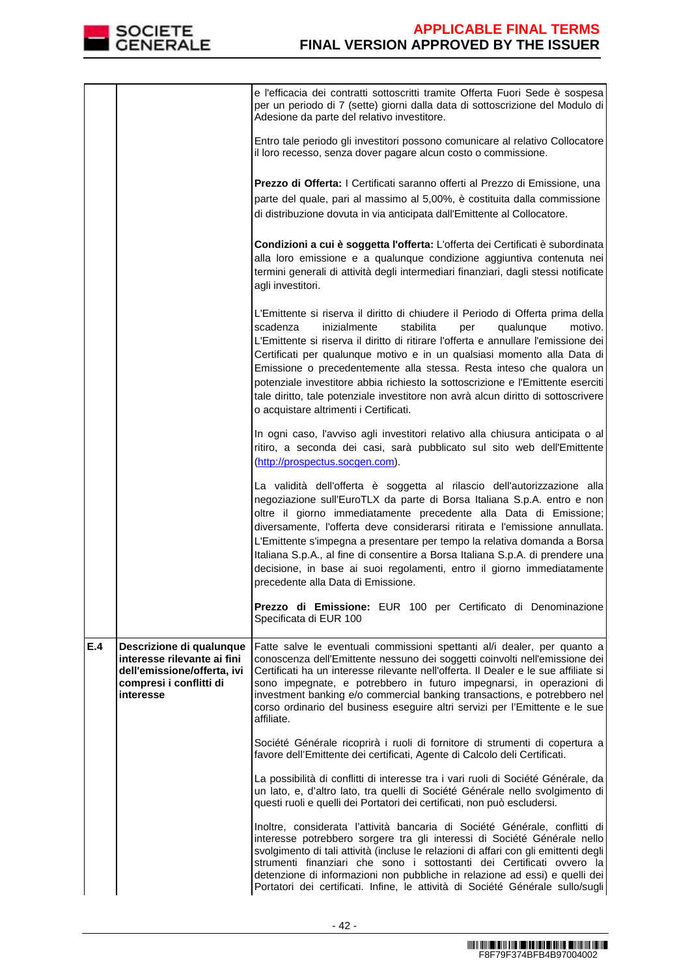

|     |                                                                                                                                | e l'efficacia dei contratti sottoscritti tramite Offerta Fuori Sede è sospesa<br>per un periodo di 7 (sette) giorni dalla data di sottoscrizione del Modulo di<br>Adesione da parte del relativo investitore.                                                                                                                                                                                                                                                                                                                                                                                                       |
|-----|--------------------------------------------------------------------------------------------------------------------------------|---------------------------------------------------------------------------------------------------------------------------------------------------------------------------------------------------------------------------------------------------------------------------------------------------------------------------------------------------------------------------------------------------------------------------------------------------------------------------------------------------------------------------------------------------------------------------------------------------------------------|
|     |                                                                                                                                | Entro tale periodo gli investitori possono comunicare al relativo Collocatore<br>il loro recesso, senza dover pagare alcun costo o commissione.                                                                                                                                                                                                                                                                                                                                                                                                                                                                     |
|     |                                                                                                                                | Prezzo di Offerta: I Certificati saranno offerti al Prezzo di Emissione, una<br>parte del quale, pari al massimo al 5,00%, è costituita dalla commissione<br>di distribuzione dovuta in via anticipata dall'Emittente al Collocatore.                                                                                                                                                                                                                                                                                                                                                                               |
|     |                                                                                                                                | Condizioni a cui è soggetta l'offerta: L'offerta dei Certificati è subordinata<br>alla loro emissione e a qualunque condizione aggiuntiva contenuta nei<br>termini generali di attività degli intermediari finanziari, dagli stessi notificate<br>agli investitori.                                                                                                                                                                                                                                                                                                                                                 |
|     |                                                                                                                                | L'Emittente si riserva il diritto di chiudere il Periodo di Offerta prima della<br>inizialmente<br>stabilita<br>qualunque<br>scadenza<br>per<br>motivo.<br>L'Emittente si riserva il diritto di ritirare l'offerta e annullare l'emissione dei<br>Certificati per qualunque motivo e in un qualsiasi momento alla Data di<br>Emissione o precedentemente alla stessa. Resta inteso che qualora un<br>potenziale investitore abbia richiesto la sottoscrizione e l'Emittente eserciti<br>tale diritto, tale potenziale investitore non avrà alcun diritto di sottoscrivere<br>o acquistare altrimenti i Certificati. |
|     |                                                                                                                                | In ogni caso, l'avviso agli investitori relativo alla chiusura anticipata o al<br>ritiro, a seconda dei casi, sarà pubblicato sul sito web dell'Emittente<br>(http://prospectus.socgen.com).                                                                                                                                                                                                                                                                                                                                                                                                                        |
|     |                                                                                                                                | La validità dell'offerta è soggetta al rilascio dell'autorizzazione alla<br>negoziazione sull'EuroTLX da parte di Borsa Italiana S.p.A. entro e non<br>oltre il giorno immediatamente precedente alla Data di Emissione;<br>diversamente, l'offerta deve considerarsi ritirata e l'emissione annullata.<br>L'Emittente s'impegna a presentare per tempo la relativa domanda a Borsa<br>Italiana S.p.A., al fine di consentire a Borsa Italiana S.p.A. di prendere una<br>decisione, in base ai suoi regolamenti, entro il giorno immediatamente<br>precedente alla Data di Emissione.                               |
|     |                                                                                                                                | Prezzo di Emissione: EUR 100 per Certificato di Denominazione<br>Specificata di EUR 100                                                                                                                                                                                                                                                                                                                                                                                                                                                                                                                             |
| E.4 | Descrizione di qualunque<br>interesse rilevante ai fini<br>dell'emissione/offerta, ivi<br>compresi i conflitti di<br>interesse | Fatte salve le eventuali commissioni spettanti al/i dealer, per quanto a<br>conoscenza dell'Emittente nessuno dei soggetti coinvolti nell'emissione dei<br>Certificati ha un interesse rilevante nell'offerta. Il Dealer e le sue affiliate si<br>sono impegnate, e potrebbero in futuro impegnarsi, in operazioni di<br>investment banking e/o commercial banking transactions, e potrebbero nel<br>corso ordinario del business eseguire altri servizi per l'Emittente e le sue<br>affiliate.                                                                                                                     |
|     |                                                                                                                                | Société Générale ricoprirà i ruoli di fornitore di strumenti di copertura a<br>favore dell'Emittente dei certificati, Agente di Calcolo deli Certificati.                                                                                                                                                                                                                                                                                                                                                                                                                                                           |
|     |                                                                                                                                | La possibilità di conflitti di interesse tra i vari ruoli di Société Générale, da<br>un lato, e, d'altro lato, tra quelli di Société Générale nello svolgimento di<br>questi ruoli e quelli dei Portatori dei certificati, non può escludersi.                                                                                                                                                                                                                                                                                                                                                                      |
|     |                                                                                                                                | Inoltre, considerata l'attività bancaria di Société Générale, conflitti di<br>interesse potrebbero sorgere tra gli interessi di Société Générale nello<br>svolgimento di tali attività (incluse le relazioni di affari con gli emittenti degli<br>strumenti finanziari che sono i sottostanti dei Certificati ovvero la<br>detenzione di informazioni non pubbliche in relazione ad essi) e quelli dei<br>Portatori dei certificati. Infine, le attività di Société Générale sullo/sugli                                                                                                                            |